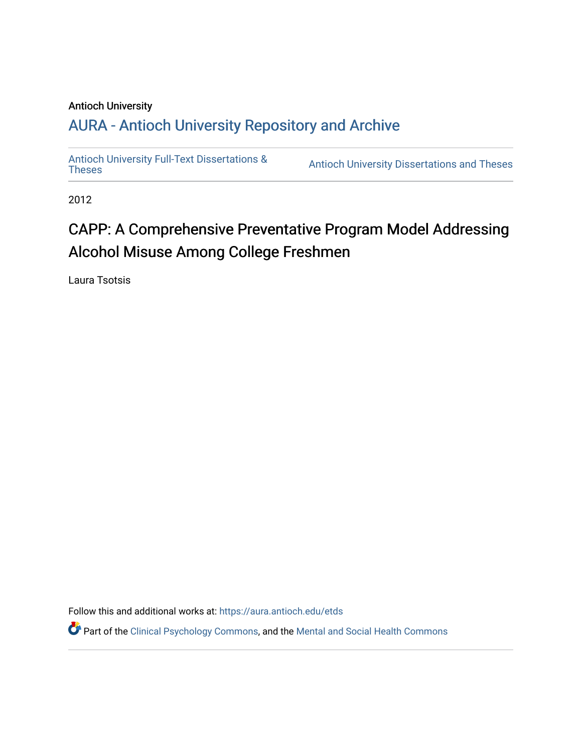#### Antioch University

## A[URA - Antioch University Reposit](https://aura.antioch.edu/)ory and Archive

[Antioch University Full-Text Dissertations &](https://aura.antioch.edu/etds) Antioch University Dissertations and Theses

2012

# CAPP: A Comprehensive Preventative Program Model Addressing Alcohol Misuse Among College Freshmen

Laura Tsotsis

Follow this and additional works at: [https://aura.antioch.edu/etds](https://aura.antioch.edu/etds?utm_source=aura.antioch.edu%2Fetds%2F848&utm_medium=PDF&utm_campaign=PDFCoverPages)

Part of the [Clinical Psychology Commons,](https://network.bepress.com/hgg/discipline/406?utm_source=aura.antioch.edu%2Fetds%2F848&utm_medium=PDF&utm_campaign=PDFCoverPages) and the [Mental and Social Health Commons](https://network.bepress.com/hgg/discipline/709?utm_source=aura.antioch.edu%2Fetds%2F848&utm_medium=PDF&utm_campaign=PDFCoverPages)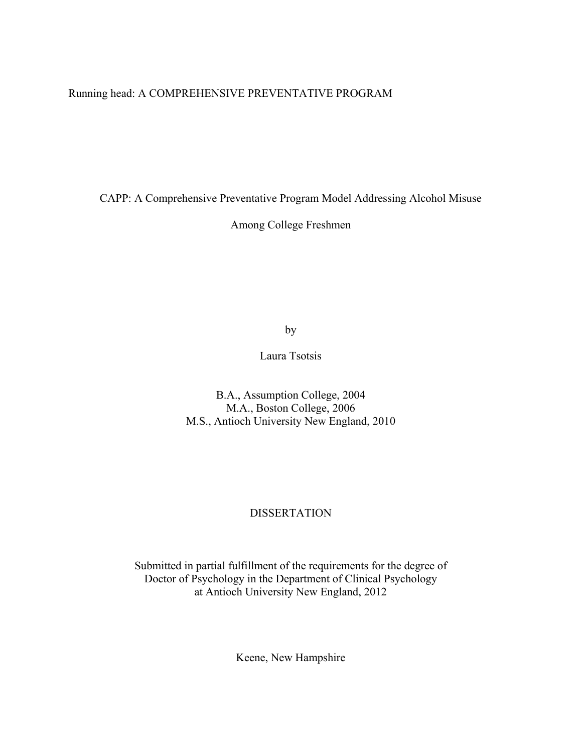Running head: A COMPREHENSIVE PREVENTATIVE PROGRAM

CAPP: A Comprehensive Preventative Program Model Addressing Alcohol Misuse

Among College Freshmen

by

Laura Tsotsis

B.A., Assumption College, 2004 M.A., Boston College, 2006 M.S., Antioch University New England, 2010

### DISSERTATION

Submitted in partial fulfillment of the requirements for the degree of Doctor of Psychology in the Department of Clinical Psychology at Antioch University New England, 2012

Keene, New Hampshire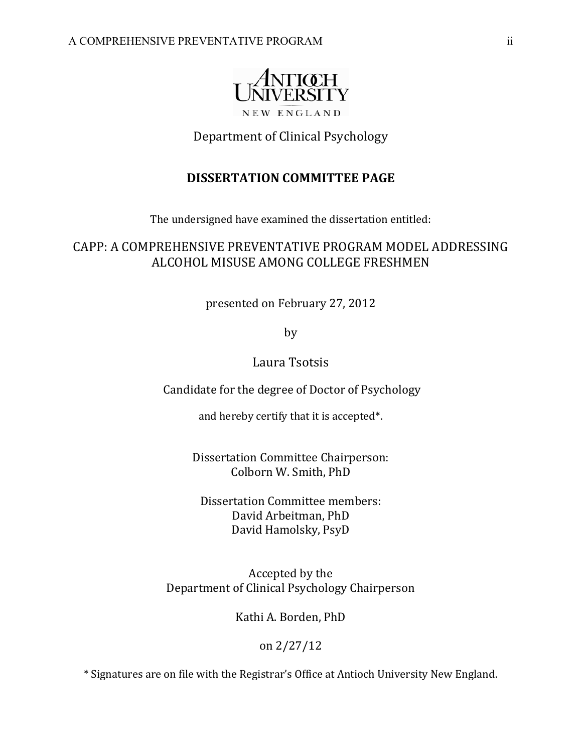

### Department of Clinical Psychology

### **DISSERTATION COMMITTEE PAGE**

The undersigned have examined the dissertation entitled:

### CAPP: A COMPREHENSIVE PREVENTATIVE PROGRAM MODEL ADDRESSING ALCOHOL MISUSE AMONG COLLEGE FRESHMEN

presented on February 27, 2012

by 

### Laura Tsotsis

Candidate for the degree of Doctor of Psychology

and hereby certify that it is accepted\*.

Dissertation Committee Chairperson: Colborn W. Smith, PhD

Dissertation Committee members: David Arbeitman, PhD David Hamolsky, PsyD

Accepted by the Department of Clinical Psychology Chairperson

Kathi A. Borden, PhD

on 2/27/12 

\* Signatures are on file with the Registrar's Office at Antioch University New England.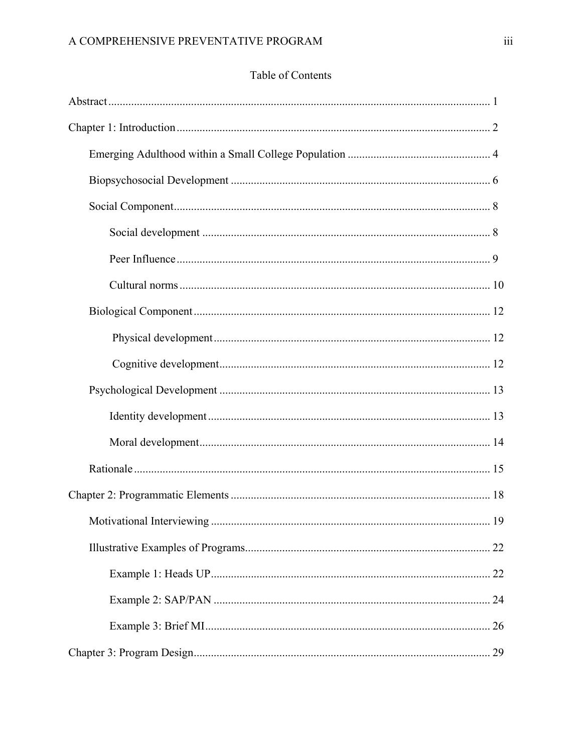### Table of Contents

| 19 |
|----|
|    |
|    |
|    |
|    |
|    |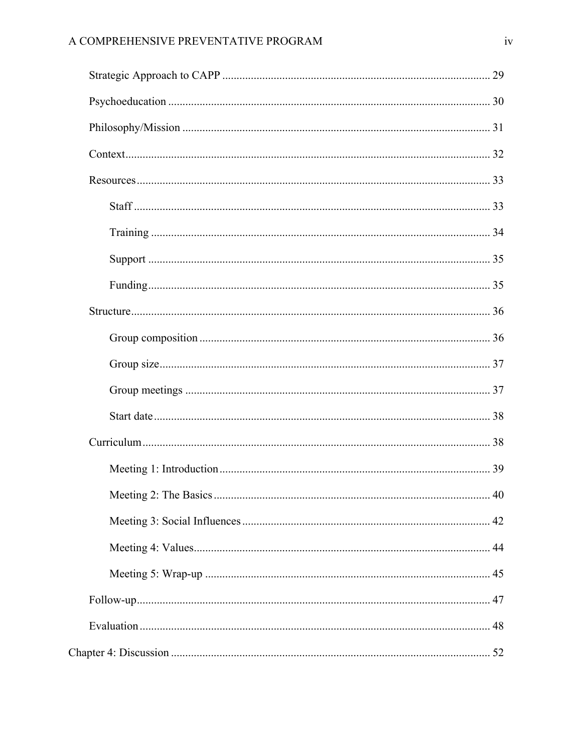### A COMPREHENSIVE PREVENTATIVE PROGRAM

| 40 |
|----|
|    |
|    |
|    |
|    |
|    |
|    |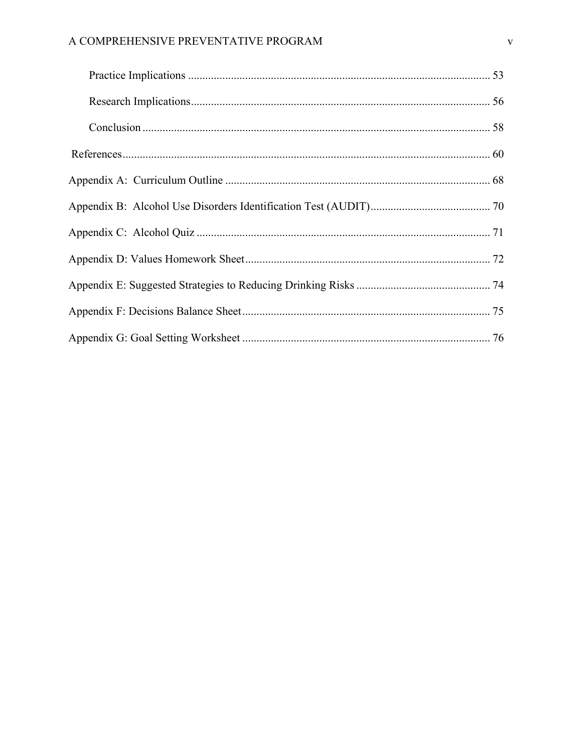### A COMPREHENSIVE PREVENTATIVE PROGRAM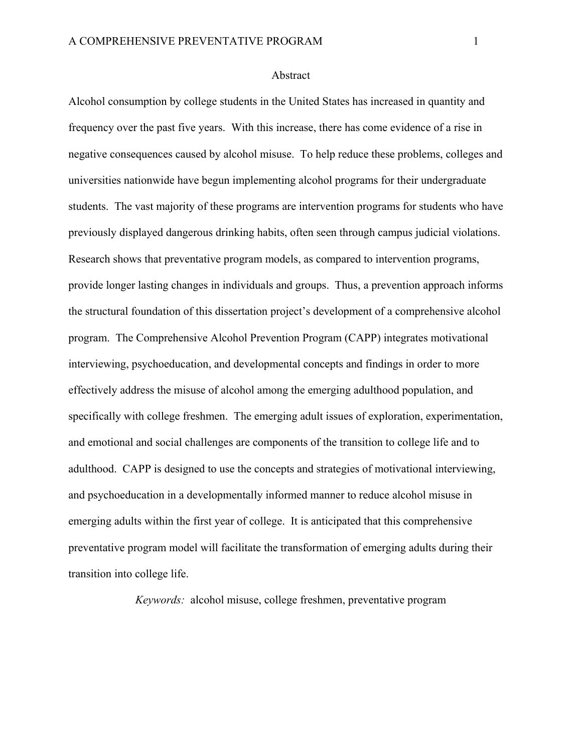#### Abstract

Alcohol consumption by college students in the United States has increased in quantity and frequency over the past five years. With this increase, there has come evidence of a rise in negative consequences caused by alcohol misuse. To help reduce these problems, colleges and universities nationwide have begun implementing alcohol programs for their undergraduate students. The vast majority of these programs are intervention programs for students who have previously displayed dangerous drinking habits, often seen through campus judicial violations. Research shows that preventative program models, as compared to intervention programs, provide longer lasting changes in individuals and groups. Thus, a prevention approach informs the structural foundation of this dissertation project's development of a comprehensive alcohol program. The Comprehensive Alcohol Prevention Program (CAPP) integrates motivational interviewing, psychoeducation, and developmental concepts and findings in order to more effectively address the misuse of alcohol among the emerging adulthood population, and specifically with college freshmen. The emerging adult issues of exploration, experimentation, and emotional and social challenges are components of the transition to college life and to adulthood. CAPP is designed to use the concepts and strategies of motivational interviewing, and psychoeducation in a developmentally informed manner to reduce alcohol misuse in emerging adults within the first year of college. It is anticipated that this comprehensive preventative program model will facilitate the transformation of emerging adults during their transition into college life.

*Keywords:* alcohol misuse, college freshmen, preventative program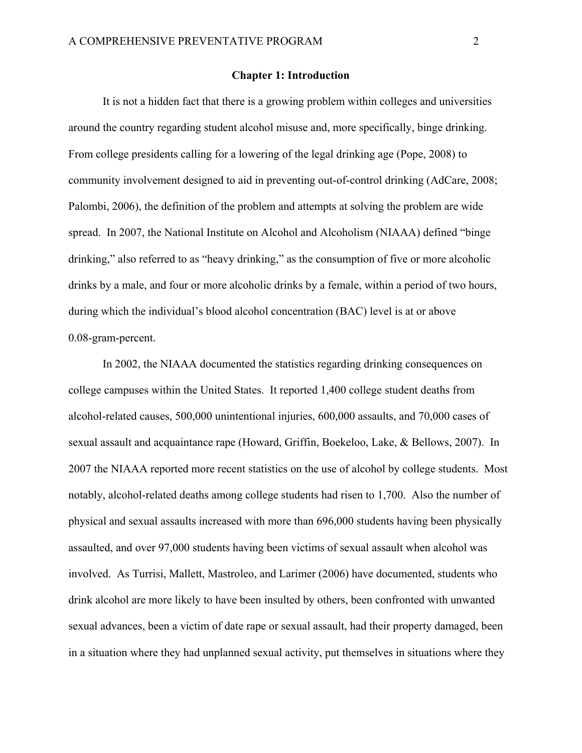#### **Chapter 1: Introduction**

It is not a hidden fact that there is a growing problem within colleges and universities around the country regarding student alcohol misuse and, more specifically, binge drinking. From college presidents calling for a lowering of the legal drinking age (Pope, 2008) to community involvement designed to aid in preventing out-of-control drinking (AdCare, 2008; Palombi, 2006), the definition of the problem and attempts at solving the problem are wide spread. In 2007, the National Institute on Alcohol and Alcoholism (NIAAA) defined "binge drinking," also referred to as "heavy drinking," as the consumption of five or more alcoholic drinks by a male, and four or more alcoholic drinks by a female, within a period of two hours, during which the individual's blood alcohol concentration (BAC) level is at or above 0.08-gram-percent.

In 2002, the NIAAA documented the statistics regarding drinking consequences on college campuses within the United States. It reported 1,400 college student deaths from alcohol-related causes, 500,000 unintentional injuries, 600,000 assaults, and 70,000 cases of sexual assault and acquaintance rape (Howard, Griffin, Boekeloo, Lake, & Bellows, 2007). In 2007 the NIAAA reported more recent statistics on the use of alcohol by college students. Most notably, alcohol-related deaths among college students had risen to 1,700. Also the number of physical and sexual assaults increased with more than 696,000 students having been physically assaulted, and over 97,000 students having been victims of sexual assault when alcohol was involved. As Turrisi, Mallett, Mastroleo, and Larimer (2006) have documented, students who drink alcohol are more likely to have been insulted by others, been confronted with unwanted sexual advances, been a victim of date rape or sexual assault, had their property damaged, been in a situation where they had unplanned sexual activity, put themselves in situations where they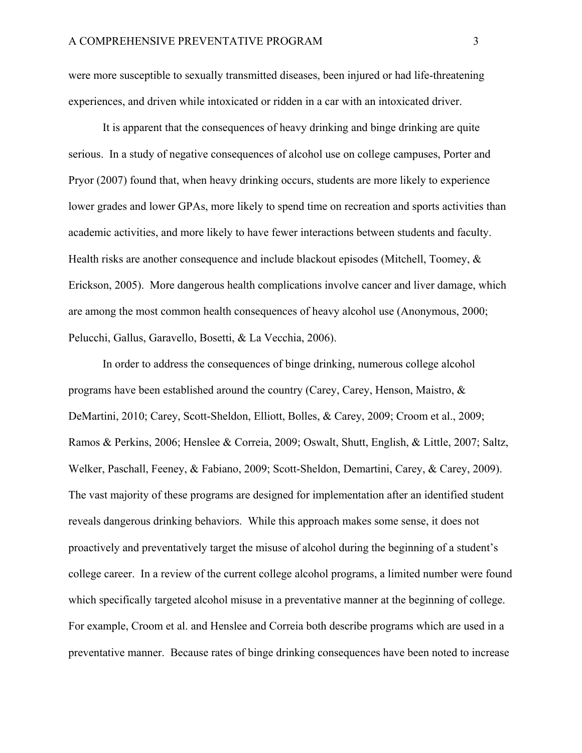were more susceptible to sexually transmitted diseases, been injured or had life-threatening experiences, and driven while intoxicated or ridden in a car with an intoxicated driver.

 It is apparent that the consequences of heavy drinking and binge drinking are quite serious. In a study of negative consequences of alcohol use on college campuses, Porter and Pryor (2007) found that, when heavy drinking occurs, students are more likely to experience lower grades and lower GPAs, more likely to spend time on recreation and sports activities than academic activities, and more likely to have fewer interactions between students and faculty. Health risks are another consequence and include blackout episodes (Mitchell, Toomey, & Erickson, 2005). More dangerous health complications involve cancer and liver damage, which are among the most common health consequences of heavy alcohol use (Anonymous, 2000; Pelucchi, Gallus, Garavello, Bosetti, & La Vecchia, 2006).

 In order to address the consequences of binge drinking, numerous college alcohol programs have been established around the country (Carey, Carey, Henson, Maistro, & DeMartini, 2010; Carey, Scott-Sheldon, Elliott, Bolles, & Carey, 2009; Croom et al., 2009; Ramos & Perkins, 2006; Henslee & Correia, 2009; Oswalt, Shutt, English, & Little, 2007; Saltz, Welker, Paschall, Feeney, & Fabiano, 2009; Scott-Sheldon, Demartini, Carey, & Carey, 2009). The vast majority of these programs are designed for implementation after an identified student reveals dangerous drinking behaviors. While this approach makes some sense, it does not proactively and preventatively target the misuse of alcohol during the beginning of a student's college career. In a review of the current college alcohol programs, a limited number were found which specifically targeted alcohol misuse in a preventative manner at the beginning of college. For example, Croom et al. and Henslee and Correia both describe programs which are used in a preventative manner. Because rates of binge drinking consequences have been noted to increase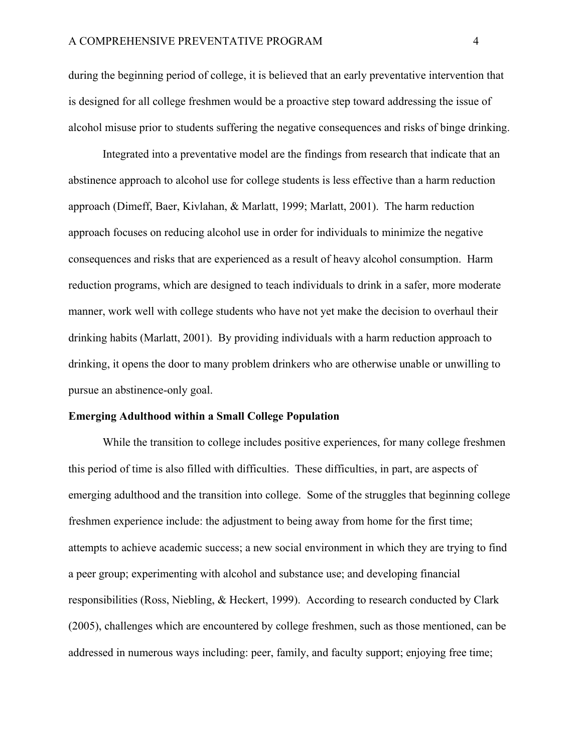during the beginning period of college, it is believed that an early preventative intervention that is designed for all college freshmen would be a proactive step toward addressing the issue of alcohol misuse prior to students suffering the negative consequences and risks of binge drinking.

 Integrated into a preventative model are the findings from research that indicate that an abstinence approach to alcohol use for college students is less effective than a harm reduction approach (Dimeff, Baer, Kivlahan, & Marlatt, 1999; Marlatt, 2001). The harm reduction approach focuses on reducing alcohol use in order for individuals to minimize the negative consequences and risks that are experienced as a result of heavy alcohol consumption. Harm reduction programs, which are designed to teach individuals to drink in a safer, more moderate manner, work well with college students who have not yet make the decision to overhaul their drinking habits (Marlatt, 2001). By providing individuals with a harm reduction approach to drinking, it opens the door to many problem drinkers who are otherwise unable or unwilling to pursue an abstinence-only goal.

#### **Emerging Adulthood within a Small College Population**

While the transition to college includes positive experiences, for many college freshmen this period of time is also filled with difficulties. These difficulties, in part, are aspects of emerging adulthood and the transition into college. Some of the struggles that beginning college freshmen experience include: the adjustment to being away from home for the first time; attempts to achieve academic success; a new social environment in which they are trying to find a peer group; experimenting with alcohol and substance use; and developing financial responsibilities (Ross, Niebling, & Heckert, 1999). According to research conducted by Clark (2005), challenges which are encountered by college freshmen, such as those mentioned, can be addressed in numerous ways including: peer, family, and faculty support; enjoying free time;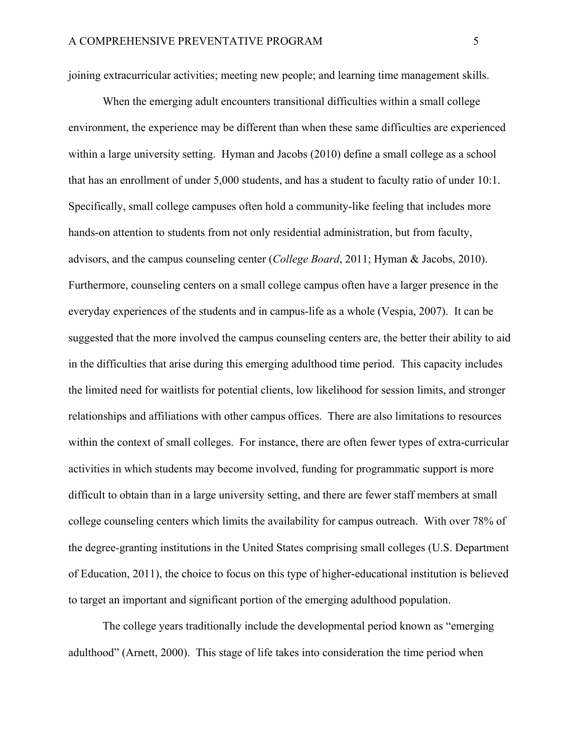joining extracurricular activities; meeting new people; and learning time management skills.

When the emerging adult encounters transitional difficulties within a small college environment, the experience may be different than when these same difficulties are experienced within a large university setting. Hyman and Jacobs (2010) define a small college as a school that has an enrollment of under 5,000 students, and has a student to faculty ratio of under 10:1. Specifically, small college campuses often hold a community-like feeling that includes more hands-on attention to students from not only residential administration, but from faculty, advisors, and the campus counseling center (*College Board*, 2011; Hyman & Jacobs, 2010). Furthermore, counseling centers on a small college campus often have a larger presence in the everyday experiences of the students and in campus-life as a whole (Vespia, 2007). It can be suggested that the more involved the campus counseling centers are, the better their ability to aid in the difficulties that arise during this emerging adulthood time period. This capacity includes the limited need for waitlists for potential clients, low likelihood for session limits, and stronger relationships and affiliations with other campus offices. There are also limitations to resources within the context of small colleges. For instance, there are often fewer types of extra-curricular activities in which students may become involved, funding for programmatic support is more difficult to obtain than in a large university setting, and there are fewer staff members at small college counseling centers which limits the availability for campus outreach. With over 78% of the degree-granting institutions in the United States comprising small colleges (U.S. Department of Education, 2011), the choice to focus on this type of higher-educational institution is believed to target an important and significant portion of the emerging adulthood population.

The college years traditionally include the developmental period known as "emerging adulthood" (Arnett, 2000). This stage of life takes into consideration the time period when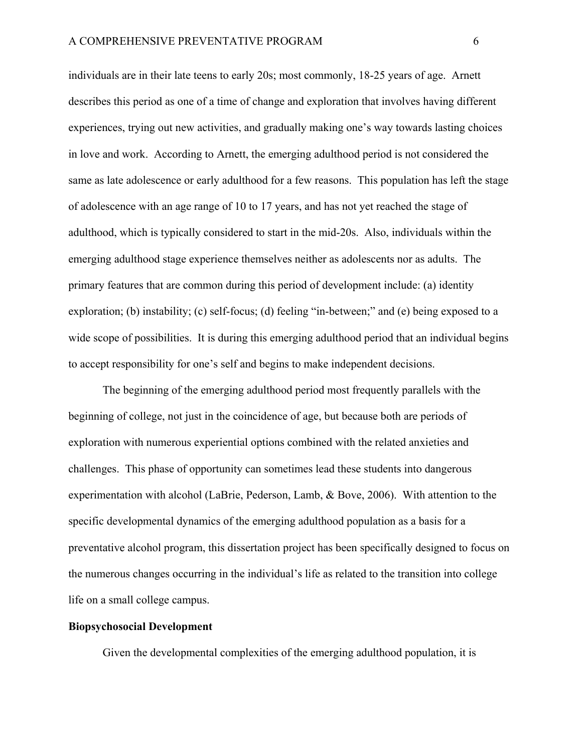individuals are in their late teens to early 20s; most commonly, 18-25 years of age. Arnett describes this period as one of a time of change and exploration that involves having different experiences, trying out new activities, and gradually making one's way towards lasting choices in love and work. According to Arnett, the emerging adulthood period is not considered the same as late adolescence or early adulthood for a few reasons. This population has left the stage of adolescence with an age range of 10 to 17 years, and has not yet reached the stage of adulthood, which is typically considered to start in the mid-20s. Also, individuals within the emerging adulthood stage experience themselves neither as adolescents nor as adults. The primary features that are common during this period of development include: (a) identity exploration; (b) instability; (c) self-focus; (d) feeling "in-between;" and (e) being exposed to a wide scope of possibilities. It is during this emerging adulthood period that an individual begins to accept responsibility for one's self and begins to make independent decisions.

The beginning of the emerging adulthood period most frequently parallels with the beginning of college, not just in the coincidence of age, but because both are periods of exploration with numerous experiential options combined with the related anxieties and challenges. This phase of opportunity can sometimes lead these students into dangerous experimentation with alcohol (LaBrie, Pederson, Lamb, & Bove, 2006). With attention to the specific developmental dynamics of the emerging adulthood population as a basis for a preventative alcohol program, this dissertation project has been specifically designed to focus on the numerous changes occurring in the individual's life as related to the transition into college life on a small college campus.

#### **Biopsychosocial Development**

Given the developmental complexities of the emerging adulthood population, it is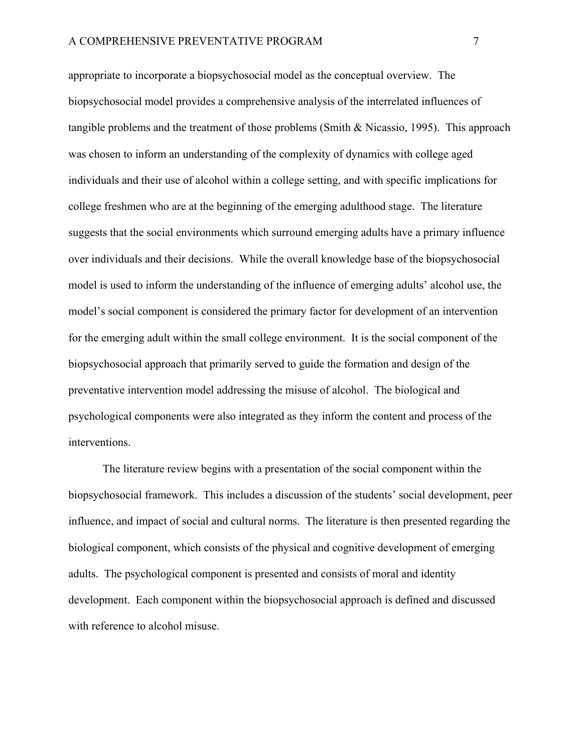appropriate to incorporate a biopsychosocial model as the conceptual overview. The biopsychosocial model provides a comprehensive analysis of the interrelated influences of tangible problems and the treatment of those problems (Smith & Nicassio, 1995). This approach was chosen to inform an understanding of the complexity of dynamics with college aged individuals and their use of alcohol within a college setting, and with specific implications for college freshmen who are at the beginning of the emerging adulthood stage. The literature suggests that the social environments which surround emerging adults have a primary influence over individuals and their decisions. While the overall knowledge base of the biopsychosocial model is used to inform the understanding of the influence of emerging adults' alcohol use, the model's social component is considered the primary factor for development of an intervention for the emerging adult within the small college environment. It is the social component of the biopsychosocial approach that primarily served to guide the formation and design of the preventative intervention model addressing the misuse of alcohol. The biological and psychological components were also integrated as they inform the content and process of the interventions.

The literature review begins with a presentation of the social component within the biopsychosocial framework. This includes a discussion of the students' social development, peer influence, and impact of social and cultural norms. The literature is then presented regarding the biological component, which consists of the physical and cognitive development of emerging adults. The psychological component is presented and consists of moral and identity development. Each component within the biopsychosocial approach is defined and discussed with reference to alcohol misuse.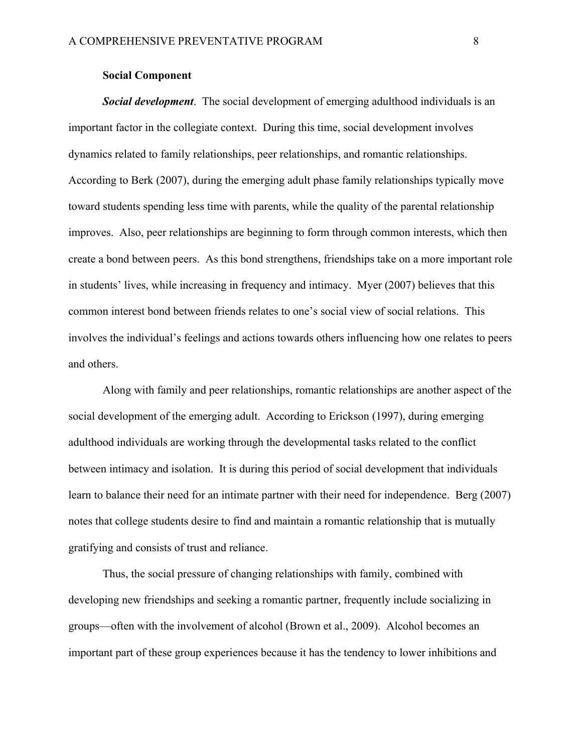#### **Social Component**

*Social development*. The social development of emerging adulthood individuals is an important factor in the collegiate context. During this time, social development involves dynamics related to family relationships, peer relationships, and romantic relationships. According to Berk (2007), during the emerging adult phase family relationships typically move toward students spending less time with parents, while the quality of the parental relationship improves. Also, peer relationships are beginning to form through common interests, which then create a bond between peers. As this bond strengthens, friendships take on a more important role in students' lives, while increasing in frequency and intimacy. Myer (2007) believes that this common interest bond between friends relates to one's social view of social relations. This involves the individual's feelings and actions towards others influencing how one relates to peers and others.

Along with family and peer relationships, romantic relationships are another aspect of the social development of the emerging adult. According to Erickson (1997), during emerging adulthood individuals are working through the developmental tasks related to the conflict between intimacy and isolation. It is during this period of social development that individuals learn to balance their need for an intimate partner with their need for independence. Berg (2007) notes that college students desire to find and maintain a romantic relationship that is mutually gratifying and consists of trust and reliance.

Thus, the social pressure of changing relationships with family, combined with developing new friendships and seeking a romantic partner, frequently include socializing in groups—often with the involvement of alcohol (Brown et al., 2009). Alcohol becomes an important part of these group experiences because it has the tendency to lower inhibitions and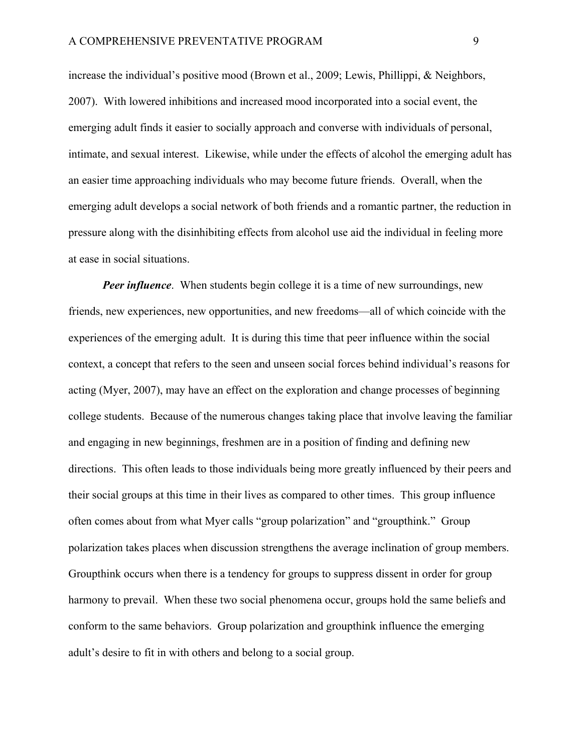increase the individual's positive mood (Brown et al., 2009; Lewis, Phillippi, & Neighbors, 2007). With lowered inhibitions and increased mood incorporated into a social event, the emerging adult finds it easier to socially approach and converse with individuals of personal, intimate, and sexual interest. Likewise, while under the effects of alcohol the emerging adult has an easier time approaching individuals who may become future friends. Overall, when the emerging adult develops a social network of both friends and a romantic partner, the reduction in pressure along with the disinhibiting effects from alcohol use aid the individual in feeling more at ease in social situations.

*Peer influence*. When students begin college it is a time of new surroundings, new friends, new experiences, new opportunities, and new freedoms—all of which coincide with the experiences of the emerging adult. It is during this time that peer influence within the social context, a concept that refers to the seen and unseen social forces behind individual's reasons for acting (Myer, 2007), may have an effect on the exploration and change processes of beginning college students. Because of the numerous changes taking place that involve leaving the familiar and engaging in new beginnings, freshmen are in a position of finding and defining new directions. This often leads to those individuals being more greatly influenced by their peers and their social groups at this time in their lives as compared to other times. This group influence often comes about from what Myer calls "group polarization" and "groupthink." Group polarization takes places when discussion strengthens the average inclination of group members. Groupthink occurs when there is a tendency for groups to suppress dissent in order for group harmony to prevail. When these two social phenomena occur, groups hold the same beliefs and conform to the same behaviors. Group polarization and groupthink influence the emerging adult's desire to fit in with others and belong to a social group.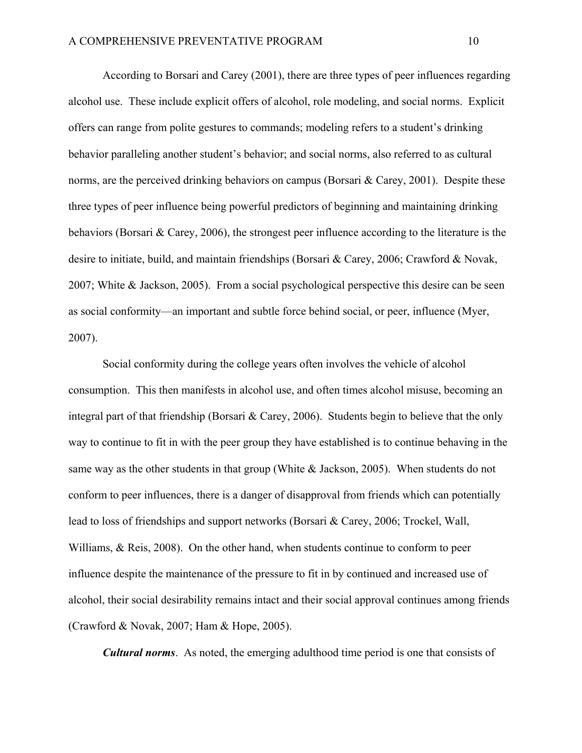According to Borsari and Carey (2001), there are three types of peer influences regarding alcohol use. These include explicit offers of alcohol, role modeling, and social norms. Explicit offers can range from polite gestures to commands; modeling refers to a student's drinking behavior paralleling another student's behavior; and social norms, also referred to as cultural norms, are the perceived drinking behaviors on campus (Borsari & Carey, 2001). Despite these three types of peer influence being powerful predictors of beginning and maintaining drinking behaviors (Borsari & Carey, 2006), the strongest peer influence according to the literature is the desire to initiate, build, and maintain friendships (Borsari & Carey, 2006; Crawford & Novak, 2007; White & Jackson, 2005). From a social psychological perspective this desire can be seen as social conformity—an important and subtle force behind social, or peer, influence (Myer, 2007).

Social conformity during the college years often involves the vehicle of alcohol consumption. This then manifests in alcohol use, and often times alcohol misuse, becoming an integral part of that friendship (Borsari & Carey, 2006). Students begin to believe that the only way to continue to fit in with the peer group they have established is to continue behaving in the same way as the other students in that group (White & Jackson, 2005). When students do not conform to peer influences, there is a danger of disapproval from friends which can potentially lead to loss of friendships and support networks (Borsari & Carey, 2006; Trockel, Wall, Williams, & Reis, 2008). On the other hand, when students continue to conform to peer influence despite the maintenance of the pressure to fit in by continued and increased use of alcohol, their social desirability remains intact and their social approval continues among friends (Crawford & Novak, 2007; Ham & Hope, 2005).

*Cultural norms*. As noted, the emerging adulthood time period is one that consists of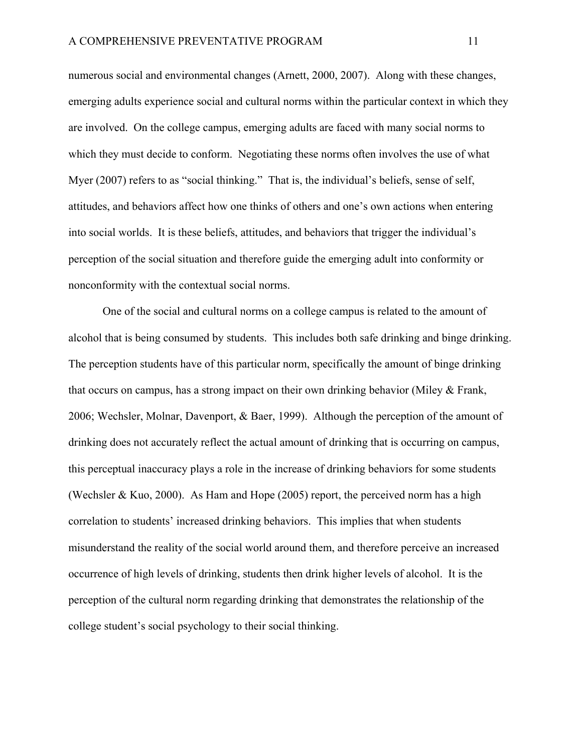numerous social and environmental changes (Arnett, 2000, 2007). Along with these changes, emerging adults experience social and cultural norms within the particular context in which they are involved. On the college campus, emerging adults are faced with many social norms to which they must decide to conform. Negotiating these norms often involves the use of what Myer (2007) refers to as "social thinking." That is, the individual's beliefs, sense of self, attitudes, and behaviors affect how one thinks of others and one's own actions when entering into social worlds. It is these beliefs, attitudes, and behaviors that trigger the individual's perception of the social situation and therefore guide the emerging adult into conformity or nonconformity with the contextual social norms.

One of the social and cultural norms on a college campus is related to the amount of alcohol that is being consumed by students. This includes both safe drinking and binge drinking. The perception students have of this particular norm, specifically the amount of binge drinking that occurs on campus, has a strong impact on their own drinking behavior (Miley & Frank, 2006; Wechsler, Molnar, Davenport, & Baer, 1999). Although the perception of the amount of drinking does not accurately reflect the actual amount of drinking that is occurring on campus, this perceptual inaccuracy plays a role in the increase of drinking behaviors for some students (Wechsler & Kuo, 2000). As Ham and Hope (2005) report, the perceived norm has a high correlation to students' increased drinking behaviors. This implies that when students misunderstand the reality of the social world around them, and therefore perceive an increased occurrence of high levels of drinking, students then drink higher levels of alcohol. It is the perception of the cultural norm regarding drinking that demonstrates the relationship of the college student's social psychology to their social thinking.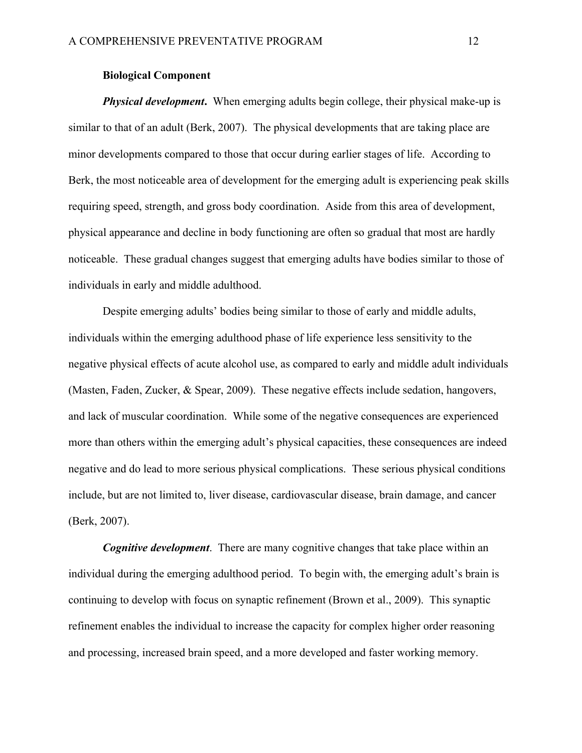#### **Biological Component**

*Physical development.* When emerging adults begin college, their physical make-up is similar to that of an adult (Berk, 2007). The physical developments that are taking place are minor developments compared to those that occur during earlier stages of life. According to Berk, the most noticeable area of development for the emerging adult is experiencing peak skills requiring speed, strength, and gross body coordination. Aside from this area of development, physical appearance and decline in body functioning are often so gradual that most are hardly noticeable. These gradual changes suggest that emerging adults have bodies similar to those of individuals in early and middle adulthood.

Despite emerging adults' bodies being similar to those of early and middle adults, individuals within the emerging adulthood phase of life experience less sensitivity to the negative physical effects of acute alcohol use, as compared to early and middle adult individuals (Masten, Faden, Zucker, & Spear, 2009). These negative effects include sedation, hangovers, and lack of muscular coordination. While some of the negative consequences are experienced more than others within the emerging adult's physical capacities, these consequences are indeed negative and do lead to more serious physical complications. These serious physical conditions include, but are not limited to, liver disease, cardiovascular disease, brain damage, and cancer (Berk, 2007).

*Cognitive development*. There are many cognitive changes that take place within an individual during the emerging adulthood period. To begin with, the emerging adult's brain is continuing to develop with focus on synaptic refinement (Brown et al., 2009). This synaptic refinement enables the individual to increase the capacity for complex higher order reasoning and processing, increased brain speed, and a more developed and faster working memory.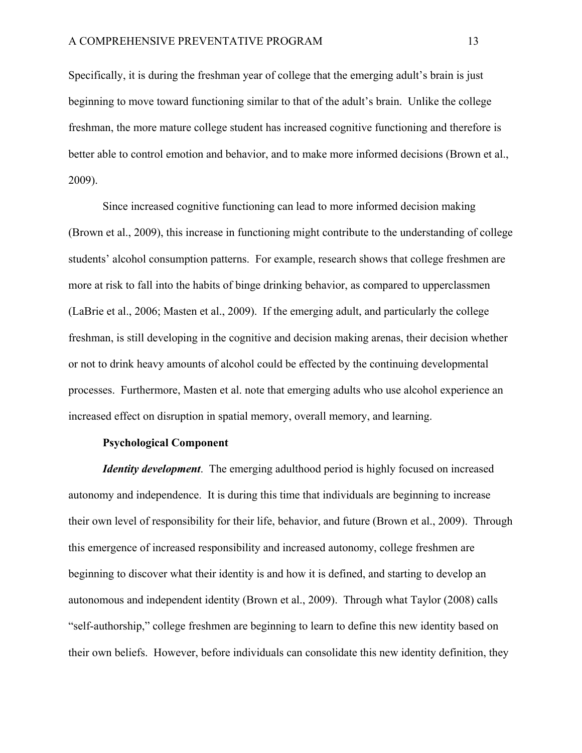Specifically, it is during the freshman year of college that the emerging adult's brain is just beginning to move toward functioning similar to that of the adult's brain. Unlike the college freshman, the more mature college student has increased cognitive functioning and therefore is better able to control emotion and behavior, and to make more informed decisions (Brown et al., 2009).

 Since increased cognitive functioning can lead to more informed decision making (Brown et al., 2009), this increase in functioning might contribute to the understanding of college students' alcohol consumption patterns. For example, research shows that college freshmen are more at risk to fall into the habits of binge drinking behavior, as compared to upperclassmen (LaBrie et al., 2006; Masten et al., 2009). If the emerging adult, and particularly the college freshman, is still developing in the cognitive and decision making arenas, their decision whether or not to drink heavy amounts of alcohol could be effected by the continuing developmental processes. Furthermore, Masten et al. note that emerging adults who use alcohol experience an increased effect on disruption in spatial memory, overall memory, and learning.

#### **Psychological Component**

*Identity development*. The emerging adulthood period is highly focused on increased autonomy and independence. It is during this time that individuals are beginning to increase their own level of responsibility for their life, behavior, and future (Brown et al., 2009). Through this emergence of increased responsibility and increased autonomy, college freshmen are beginning to discover what their identity is and how it is defined, and starting to develop an autonomous and independent identity (Brown et al., 2009). Through what Taylor (2008) calls "self-authorship," college freshmen are beginning to learn to define this new identity based on their own beliefs. However, before individuals can consolidate this new identity definition, they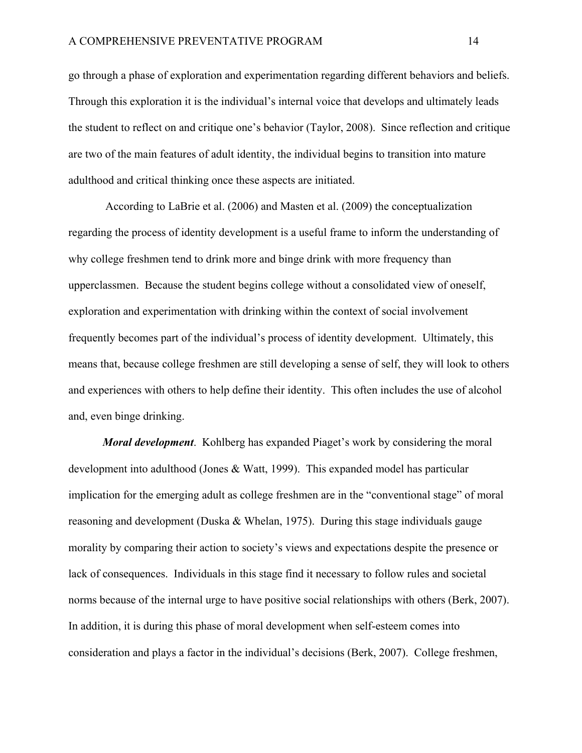go through a phase of exploration and experimentation regarding different behaviors and beliefs. Through this exploration it is the individual's internal voice that develops and ultimately leads the student to reflect on and critique one's behavior (Taylor, 2008). Since reflection and critique are two of the main features of adult identity, the individual begins to transition into mature adulthood and critical thinking once these aspects are initiated.

 According to LaBrie et al. (2006) and Masten et al. (2009) the conceptualization regarding the process of identity development is a useful frame to inform the understanding of why college freshmen tend to drink more and binge drink with more frequency than upperclassmen. Because the student begins college without a consolidated view of oneself, exploration and experimentation with drinking within the context of social involvement frequently becomes part of the individual's process of identity development. Ultimately, this means that, because college freshmen are still developing a sense of self, they will look to others and experiences with others to help define their identity. This often includes the use of alcohol and, even binge drinking.

*Moral development*. Kohlberg has expanded Piaget's work by considering the moral development into adulthood (Jones & Watt, 1999). This expanded model has particular implication for the emerging adult as college freshmen are in the "conventional stage" of moral reasoning and development (Duska & Whelan, 1975). During this stage individuals gauge morality by comparing their action to society's views and expectations despite the presence or lack of consequences. Individuals in this stage find it necessary to follow rules and societal norms because of the internal urge to have positive social relationships with others (Berk, 2007). In addition, it is during this phase of moral development when self-esteem comes into consideration and plays a factor in the individual's decisions (Berk, 2007). College freshmen,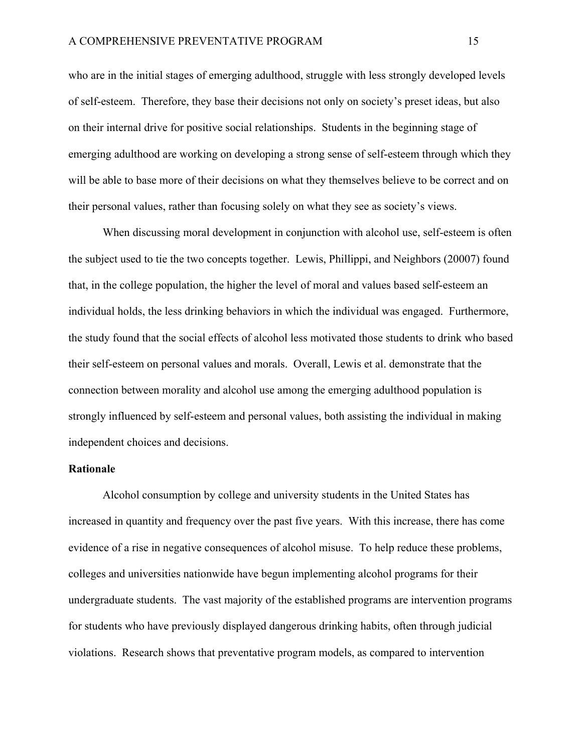who are in the initial stages of emerging adulthood, struggle with less strongly developed levels of self-esteem. Therefore, they base their decisions not only on society's preset ideas, but also on their internal drive for positive social relationships. Students in the beginning stage of emerging adulthood are working on developing a strong sense of self-esteem through which they will be able to base more of their decisions on what they themselves believe to be correct and on their personal values, rather than focusing solely on what they see as society's views.

When discussing moral development in conjunction with alcohol use, self-esteem is often the subject used to tie the two concepts together. Lewis, Phillippi, and Neighbors (20007) found that, in the college population, the higher the level of moral and values based self-esteem an individual holds, the less drinking behaviors in which the individual was engaged. Furthermore, the study found that the social effects of alcohol less motivated those students to drink who based their self-esteem on personal values and morals. Overall, Lewis et al. demonstrate that the connection between morality and alcohol use among the emerging adulthood population is strongly influenced by self-esteem and personal values, both assisting the individual in making independent choices and decisions.

#### **Rationale**

Alcohol consumption by college and university students in the United States has increased in quantity and frequency over the past five years. With this increase, there has come evidence of a rise in negative consequences of alcohol misuse. To help reduce these problems, colleges and universities nationwide have begun implementing alcohol programs for their undergraduate students. The vast majority of the established programs are intervention programs for students who have previously displayed dangerous drinking habits, often through judicial violations. Research shows that preventative program models, as compared to intervention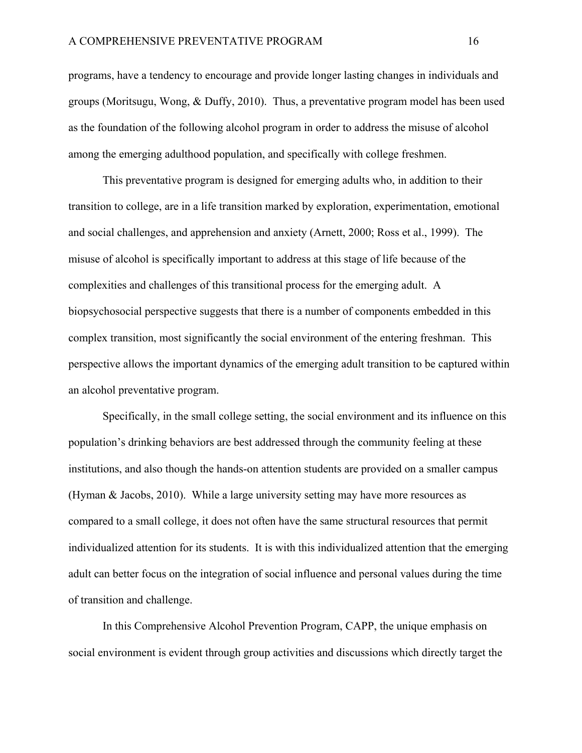programs, have a tendency to encourage and provide longer lasting changes in individuals and groups (Moritsugu, Wong, & Duffy, 2010). Thus, a preventative program model has been used as the foundation of the following alcohol program in order to address the misuse of alcohol among the emerging adulthood population, and specifically with college freshmen.

This preventative program is designed for emerging adults who, in addition to their transition to college, are in a life transition marked by exploration, experimentation, emotional and social challenges, and apprehension and anxiety (Arnett, 2000; Ross et al., 1999). The misuse of alcohol is specifically important to address at this stage of life because of the complexities and challenges of this transitional process for the emerging adult. A biopsychosocial perspective suggests that there is a number of components embedded in this complex transition, most significantly the social environment of the entering freshman. This perspective allows the important dynamics of the emerging adult transition to be captured within an alcohol preventative program.

Specifically, in the small college setting, the social environment and its influence on this population's drinking behaviors are best addressed through the community feeling at these institutions, and also though the hands-on attention students are provided on a smaller campus (Hyman & Jacobs, 2010). While a large university setting may have more resources as compared to a small college, it does not often have the same structural resources that permit individualized attention for its students. It is with this individualized attention that the emerging adult can better focus on the integration of social influence and personal values during the time of transition and challenge.

In this Comprehensive Alcohol Prevention Program, CAPP, the unique emphasis on social environment is evident through group activities and discussions which directly target the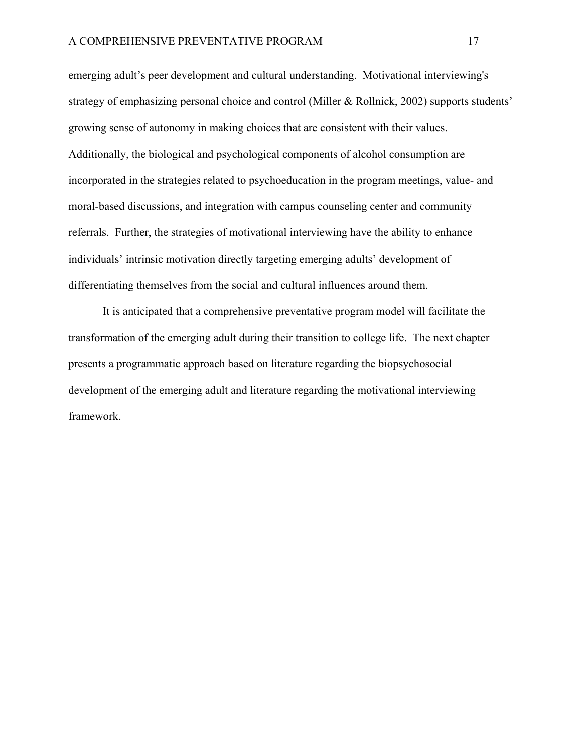emerging adult's peer development and cultural understanding. Motivational interviewing's strategy of emphasizing personal choice and control (Miller & Rollnick, 2002) supports students' growing sense of autonomy in making choices that are consistent with their values. Additionally, the biological and psychological components of alcohol consumption are incorporated in the strategies related to psychoeducation in the program meetings, value- and moral-based discussions, and integration with campus counseling center and community referrals. Further, the strategies of motivational interviewing have the ability to enhance individuals' intrinsic motivation directly targeting emerging adults' development of differentiating themselves from the social and cultural influences around them.

It is anticipated that a comprehensive preventative program model will facilitate the transformation of the emerging adult during their transition to college life. The next chapter presents a programmatic approach based on literature regarding the biopsychosocial development of the emerging adult and literature regarding the motivational interviewing framework.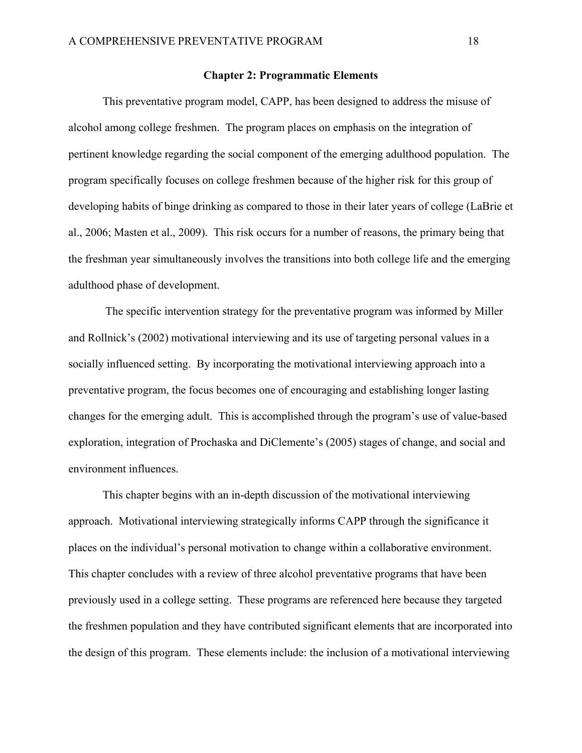#### **Chapter 2: Programmatic Elements**

This preventative program model, CAPP, has been designed to address the misuse of alcohol among college freshmen. The program places on emphasis on the integration of pertinent knowledge regarding the social component of the emerging adulthood population. The program specifically focuses on college freshmen because of the higher risk for this group of developing habits of binge drinking as compared to those in their later years of college (LaBrie et al., 2006; Masten et al., 2009). This risk occurs for a number of reasons, the primary being that the freshman year simultaneously involves the transitions into both college life and the emerging adulthood phase of development.

 The specific intervention strategy for the preventative program was informed by Miller and Rollnick's (2002) motivational interviewing and its use of targeting personal values in a socially influenced setting. By incorporating the motivational interviewing approach into a preventative program, the focus becomes one of encouraging and establishing longer lasting changes for the emerging adult. This is accomplished through the program's use of value-based exploration, integration of Prochaska and DiClemente's (2005) stages of change, and social and environment influences.

This chapter begins with an in-depth discussion of the motivational interviewing approach. Motivational interviewing strategically informs CAPP through the significance it places on the individual's personal motivation to change within a collaborative environment. This chapter concludes with a review of three alcohol preventative programs that have been previously used in a college setting. These programs are referenced here because they targeted the freshmen population and they have contributed significant elements that are incorporated into the design of this program. These elements include: the inclusion of a motivational interviewing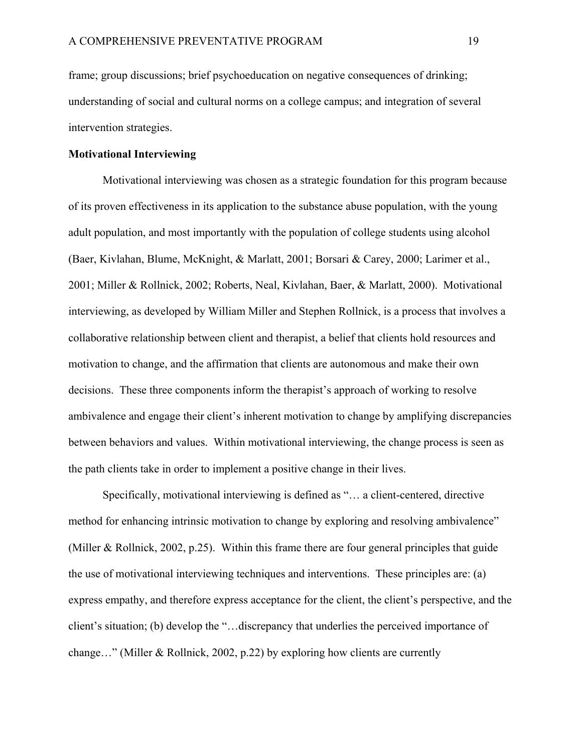frame; group discussions; brief psychoeducation on negative consequences of drinking; understanding of social and cultural norms on a college campus; and integration of several intervention strategies.

#### **Motivational Interviewing**

 Motivational interviewing was chosen as a strategic foundation for this program because of its proven effectiveness in its application to the substance abuse population, with the young adult population, and most importantly with the population of college students using alcohol (Baer, Kivlahan, Blume, McKnight, & Marlatt, 2001; Borsari & Carey, 2000; Larimer et al., 2001; Miller & Rollnick, 2002; Roberts, Neal, Kivlahan, Baer, & Marlatt, 2000). Motivational interviewing, as developed by William Miller and Stephen Rollnick, is a process that involves a collaborative relationship between client and therapist, a belief that clients hold resources and motivation to change, and the affirmation that clients are autonomous and make their own decisions. These three components inform the therapist's approach of working to resolve ambivalence and engage their client's inherent motivation to change by amplifying discrepancies between behaviors and values. Within motivational interviewing, the change process is seen as the path clients take in order to implement a positive change in their lives.

Specifically, motivational interviewing is defined as "… a client-centered, directive method for enhancing intrinsic motivation to change by exploring and resolving ambivalence" (Miller & Rollnick, 2002, p.25). Within this frame there are four general principles that guide the use of motivational interviewing techniques and interventions. These principles are: (a) express empathy, and therefore express acceptance for the client, the client's perspective, and the client's situation; (b) develop the "…discrepancy that underlies the perceived importance of change…" (Miller & Rollnick, 2002, p.22) by exploring how clients are currently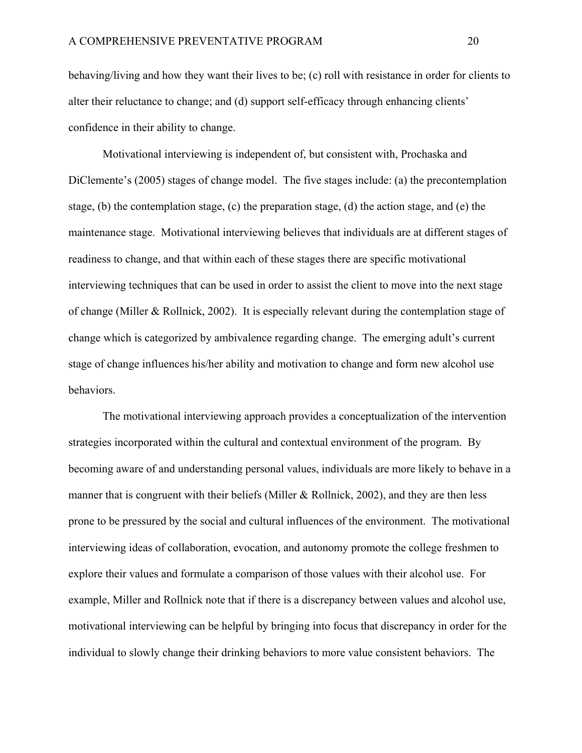behaving/living and how they want their lives to be; (c) roll with resistance in order for clients to alter their reluctance to change; and (d) support self-efficacy through enhancing clients' confidence in their ability to change.

Motivational interviewing is independent of, but consistent with, Prochaska and DiClemente's (2005) stages of change model. The five stages include: (a) the precontemplation stage, (b) the contemplation stage, (c) the preparation stage, (d) the action stage, and (e) the maintenance stage. Motivational interviewing believes that individuals are at different stages of readiness to change, and that within each of these stages there are specific motivational interviewing techniques that can be used in order to assist the client to move into the next stage of change (Miller & Rollnick, 2002). It is especially relevant during the contemplation stage of change which is categorized by ambivalence regarding change. The emerging adult's current stage of change influences his/her ability and motivation to change and form new alcohol use behaviors.

The motivational interviewing approach provides a conceptualization of the intervention strategies incorporated within the cultural and contextual environment of the program. By becoming aware of and understanding personal values, individuals are more likely to behave in a manner that is congruent with their beliefs (Miller & Rollnick, 2002), and they are then less prone to be pressured by the social and cultural influences of the environment. The motivational interviewing ideas of collaboration, evocation, and autonomy promote the college freshmen to explore their values and formulate a comparison of those values with their alcohol use. For example, Miller and Rollnick note that if there is a discrepancy between values and alcohol use, motivational interviewing can be helpful by bringing into focus that discrepancy in order for the individual to slowly change their drinking behaviors to more value consistent behaviors. The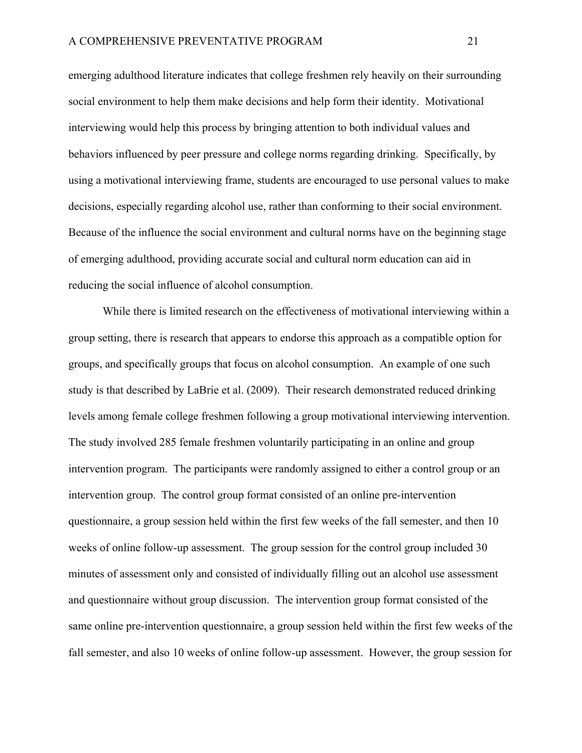emerging adulthood literature indicates that college freshmen rely heavily on their surrounding social environment to help them make decisions and help form their identity. Motivational interviewing would help this process by bringing attention to both individual values and behaviors influenced by peer pressure and college norms regarding drinking. Specifically, by using a motivational interviewing frame, students are encouraged to use personal values to make decisions, especially regarding alcohol use, rather than conforming to their social environment. Because of the influence the social environment and cultural norms have on the beginning stage of emerging adulthood, providing accurate social and cultural norm education can aid in reducing the social influence of alcohol consumption.

While there is limited research on the effectiveness of motivational interviewing within a group setting, there is research that appears to endorse this approach as a compatible option for groups, and specifically groups that focus on alcohol consumption. An example of one such study is that described by LaBrie et al. (2009). Their research demonstrated reduced drinking levels among female college freshmen following a group motivational interviewing intervention. The study involved 285 female freshmen voluntarily participating in an online and group intervention program. The participants were randomly assigned to either a control group or an intervention group. The control group format consisted of an online pre-intervention questionnaire, a group session held within the first few weeks of the fall semester, and then 10 weeks of online follow-up assessment. The group session for the control group included 30 minutes of assessment only and consisted of individually filling out an alcohol use assessment and questionnaire without group discussion. The intervention group format consisted of the same online pre-intervention questionnaire, a group session held within the first few weeks of the fall semester, and also 10 weeks of online follow-up assessment. However, the group session for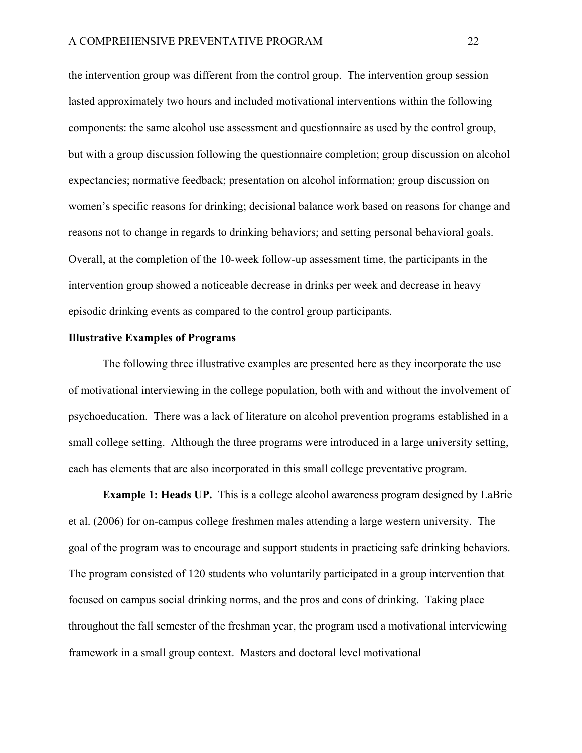the intervention group was different from the control group. The intervention group session lasted approximately two hours and included motivational interventions within the following components: the same alcohol use assessment and questionnaire as used by the control group, but with a group discussion following the questionnaire completion; group discussion on alcohol expectancies; normative feedback; presentation on alcohol information; group discussion on women's specific reasons for drinking; decisional balance work based on reasons for change and reasons not to change in regards to drinking behaviors; and setting personal behavioral goals. Overall, at the completion of the 10-week follow-up assessment time, the participants in the intervention group showed a noticeable decrease in drinks per week and decrease in heavy episodic drinking events as compared to the control group participants.

#### **Illustrative Examples of Programs**

 The following three illustrative examples are presented here as they incorporate the use of motivational interviewing in the college population, both with and without the involvement of psychoeducation. There was a lack of literature on alcohol prevention programs established in a small college setting. Although the three programs were introduced in a large university setting, each has elements that are also incorporated in this small college preventative program.

**Example 1: Heads UP.** This is a college alcohol awareness program designed by LaBrie et al. (2006) for on-campus college freshmen males attending a large western university. The goal of the program was to encourage and support students in practicing safe drinking behaviors. The program consisted of 120 students who voluntarily participated in a group intervention that focused on campus social drinking norms, and the pros and cons of drinking. Taking place throughout the fall semester of the freshman year, the program used a motivational interviewing framework in a small group context. Masters and doctoral level motivational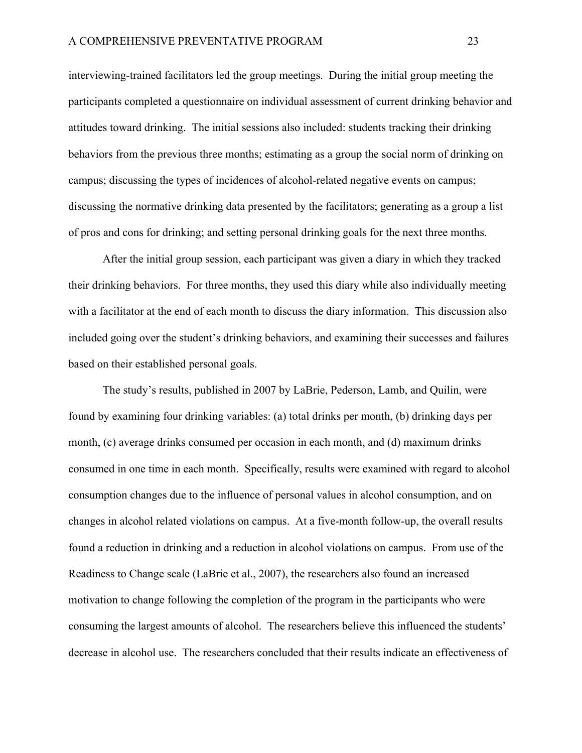interviewing-trained facilitators led the group meetings. During the initial group meeting the participants completed a questionnaire on individual assessment of current drinking behavior and attitudes toward drinking. The initial sessions also included: students tracking their drinking behaviors from the previous three months; estimating as a group the social norm of drinking on campus; discussing the types of incidences of alcohol-related negative events on campus; discussing the normative drinking data presented by the facilitators; generating as a group a list of pros and cons for drinking; and setting personal drinking goals for the next three months.

After the initial group session, each participant was given a diary in which they tracked their drinking behaviors. For three months, they used this diary while also individually meeting with a facilitator at the end of each month to discuss the diary information. This discussion also included going over the student's drinking behaviors, and examining their successes and failures based on their established personal goals.

The study's results, published in 2007 by LaBrie, Pederson, Lamb, and Quilin, were found by examining four drinking variables: (a) total drinks per month, (b) drinking days per month, (c) average drinks consumed per occasion in each month, and (d) maximum drinks consumed in one time in each month. Specifically, results were examined with regard to alcohol consumption changes due to the influence of personal values in alcohol consumption, and on changes in alcohol related violations on campus. At a five-month follow-up, the overall results found a reduction in drinking and a reduction in alcohol violations on campus. From use of the Readiness to Change scale (LaBrie et al., 2007), the researchers also found an increased motivation to change following the completion of the program in the participants who were consuming the largest amounts of alcohol. The researchers believe this influenced the students' decrease in alcohol use. The researchers concluded that their results indicate an effectiveness of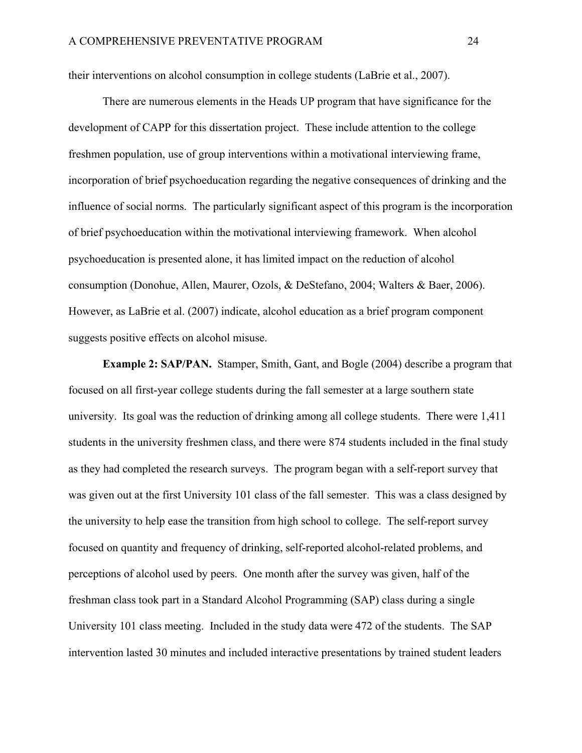their interventions on alcohol consumption in college students (LaBrie et al., 2007).

There are numerous elements in the Heads UP program that have significance for the development of CAPP for this dissertation project. These include attention to the college freshmen population, use of group interventions within a motivational interviewing frame, incorporation of brief psychoeducation regarding the negative consequences of drinking and the influence of social norms. The particularly significant aspect of this program is the incorporation of brief psychoeducation within the motivational interviewing framework. When alcohol psychoeducation is presented alone, it has limited impact on the reduction of alcohol consumption (Donohue, Allen, Maurer, Ozols, & DeStefano, 2004; Walters & Baer, 2006). However, as LaBrie et al. (2007) indicate, alcohol education as a brief program component suggests positive effects on alcohol misuse.

**Example 2: SAP/PAN.** Stamper, Smith, Gant, and Bogle (2004) describe a program that focused on all first-year college students during the fall semester at a large southern state university. Its goal was the reduction of drinking among all college students. There were 1,411 students in the university freshmen class, and there were 874 students included in the final study as they had completed the research surveys. The program began with a self-report survey that was given out at the first University 101 class of the fall semester. This was a class designed by the university to help ease the transition from high school to college. The self-report survey focused on quantity and frequency of drinking, self-reported alcohol-related problems, and perceptions of alcohol used by peers. One month after the survey was given, half of the freshman class took part in a Standard Alcohol Programming (SAP) class during a single University 101 class meeting. Included in the study data were 472 of the students. The SAP intervention lasted 30 minutes and included interactive presentations by trained student leaders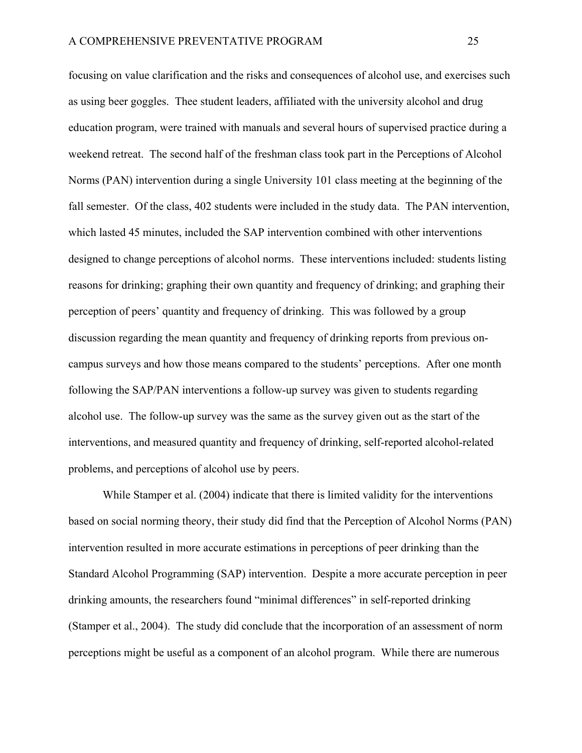focusing on value clarification and the risks and consequences of alcohol use, and exercises such as using beer goggles. Thee student leaders, affiliated with the university alcohol and drug education program, were trained with manuals and several hours of supervised practice during a weekend retreat. The second half of the freshman class took part in the Perceptions of Alcohol Norms (PAN) intervention during a single University 101 class meeting at the beginning of the fall semester. Of the class, 402 students were included in the study data. The PAN intervention, which lasted 45 minutes, included the SAP intervention combined with other interventions designed to change perceptions of alcohol norms. These interventions included: students listing reasons for drinking; graphing their own quantity and frequency of drinking; and graphing their perception of peers' quantity and frequency of drinking. This was followed by a group discussion regarding the mean quantity and frequency of drinking reports from previous oncampus surveys and how those means compared to the students' perceptions. After one month following the SAP/PAN interventions a follow-up survey was given to students regarding alcohol use. The follow-up survey was the same as the survey given out as the start of the interventions, and measured quantity and frequency of drinking, self-reported alcohol-related problems, and perceptions of alcohol use by peers.

 While Stamper et al. (2004) indicate that there is limited validity for the interventions based on social norming theory, their study did find that the Perception of Alcohol Norms (PAN) intervention resulted in more accurate estimations in perceptions of peer drinking than the Standard Alcohol Programming (SAP) intervention. Despite a more accurate perception in peer drinking amounts, the researchers found "minimal differences" in self-reported drinking (Stamper et al., 2004). The study did conclude that the incorporation of an assessment of norm perceptions might be useful as a component of an alcohol program. While there are numerous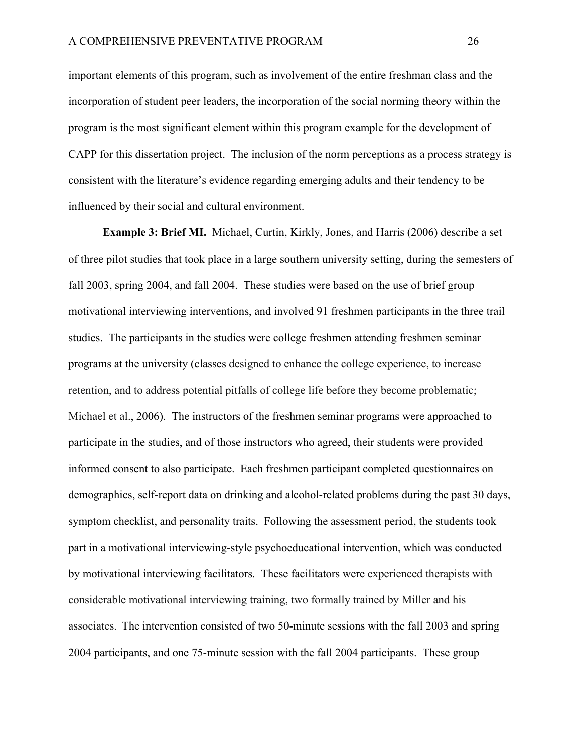important elements of this program, such as involvement of the entire freshman class and the incorporation of student peer leaders, the incorporation of the social norming theory within the program is the most significant element within this program example for the development of CAPP for this dissertation project. The inclusion of the norm perceptions as a process strategy is consistent with the literature's evidence regarding emerging adults and their tendency to be influenced by their social and cultural environment.

**Example 3: Brief MI.** Michael, Curtin, Kirkly, Jones, and Harris (2006) describe a set of three pilot studies that took place in a large southern university setting, during the semesters of fall 2003, spring 2004, and fall 2004. These studies were based on the use of brief group motivational interviewing interventions, and involved 91 freshmen participants in the three trail studies. The participants in the studies were college freshmen attending freshmen seminar programs at the university (classes designed to enhance the college experience, to increase retention, and to address potential pitfalls of college life before they become problematic; Michael et al., 2006). The instructors of the freshmen seminar programs were approached to participate in the studies, and of those instructors who agreed, their students were provided informed consent to also participate. Each freshmen participant completed questionnaires on demographics, self-report data on drinking and alcohol-related problems during the past 30 days, symptom checklist, and personality traits. Following the assessment period, the students took part in a motivational interviewing-style psychoeducational intervention, which was conducted by motivational interviewing facilitators. These facilitators were experienced therapists with considerable motivational interviewing training, two formally trained by Miller and his associates. The intervention consisted of two 50-minute sessions with the fall 2003 and spring 2004 participants, and one 75-minute session with the fall 2004 participants. These group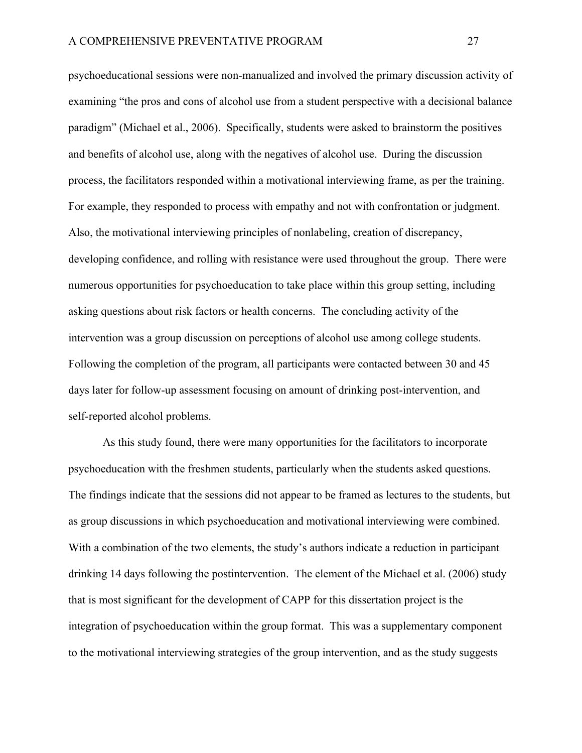psychoeducational sessions were non-manualized and involved the primary discussion activity of examining "the pros and cons of alcohol use from a student perspective with a decisional balance paradigm" (Michael et al., 2006). Specifically, students were asked to brainstorm the positives and benefits of alcohol use, along with the negatives of alcohol use. During the discussion process, the facilitators responded within a motivational interviewing frame, as per the training. For example, they responded to process with empathy and not with confrontation or judgment. Also, the motivational interviewing principles of nonlabeling, creation of discrepancy, developing confidence, and rolling with resistance were used throughout the group. There were numerous opportunities for psychoeducation to take place within this group setting, including asking questions about risk factors or health concerns. The concluding activity of the intervention was a group discussion on perceptions of alcohol use among college students. Following the completion of the program, all participants were contacted between 30 and 45 days later for follow-up assessment focusing on amount of drinking post-intervention, and self-reported alcohol problems.

As this study found, there were many opportunities for the facilitators to incorporate psychoeducation with the freshmen students, particularly when the students asked questions. The findings indicate that the sessions did not appear to be framed as lectures to the students, but as group discussions in which psychoeducation and motivational interviewing were combined. With a combination of the two elements, the study's authors indicate a reduction in participant drinking 14 days following the postintervention. The element of the Michael et al. (2006) study that is most significant for the development of CAPP for this dissertation project is the integration of psychoeducation within the group format. This was a supplementary component to the motivational interviewing strategies of the group intervention, and as the study suggests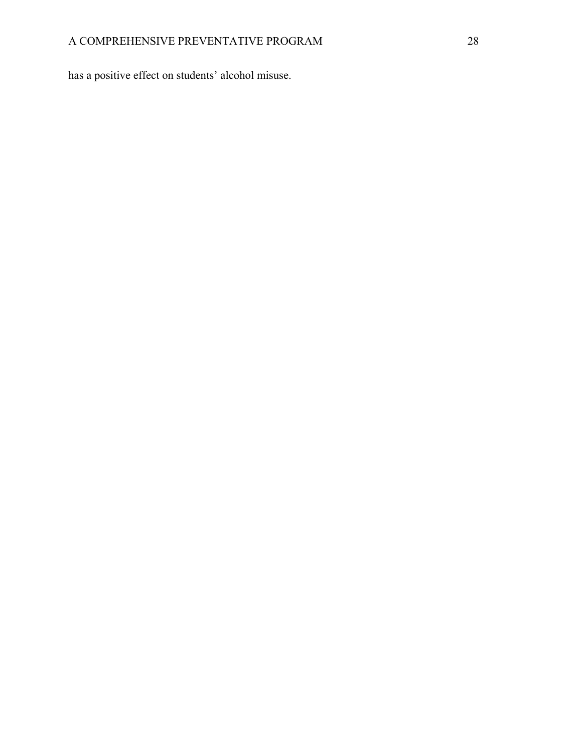has a positive effect on students' alcohol misuse.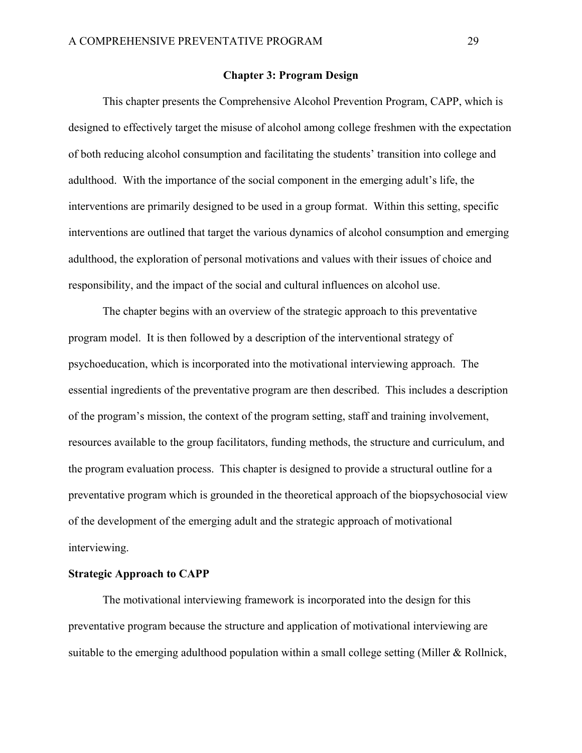#### **Chapter 3: Program Design**

 This chapter presents the Comprehensive Alcohol Prevention Program, CAPP, which is designed to effectively target the misuse of alcohol among college freshmen with the expectation of both reducing alcohol consumption and facilitating the students' transition into college and adulthood. With the importance of the social component in the emerging adult's life, the interventions are primarily designed to be used in a group format. Within this setting, specific interventions are outlined that target the various dynamics of alcohol consumption and emerging adulthood, the exploration of personal motivations and values with their issues of choice and responsibility, and the impact of the social and cultural influences on alcohol use.

 The chapter begins with an overview of the strategic approach to this preventative program model. It is then followed by a description of the interventional strategy of psychoeducation, which is incorporated into the motivational interviewing approach. The essential ingredients of the preventative program are then described. This includes a description of the program's mission, the context of the program setting, staff and training involvement, resources available to the group facilitators, funding methods, the structure and curriculum, and the program evaluation process. This chapter is designed to provide a structural outline for a preventative program which is grounded in the theoretical approach of the biopsychosocial view of the development of the emerging adult and the strategic approach of motivational interviewing.

#### **Strategic Approach to CAPP**

The motivational interviewing framework is incorporated into the design for this preventative program because the structure and application of motivational interviewing are suitable to the emerging adulthood population within a small college setting (Miller  $\&$  Rollnick,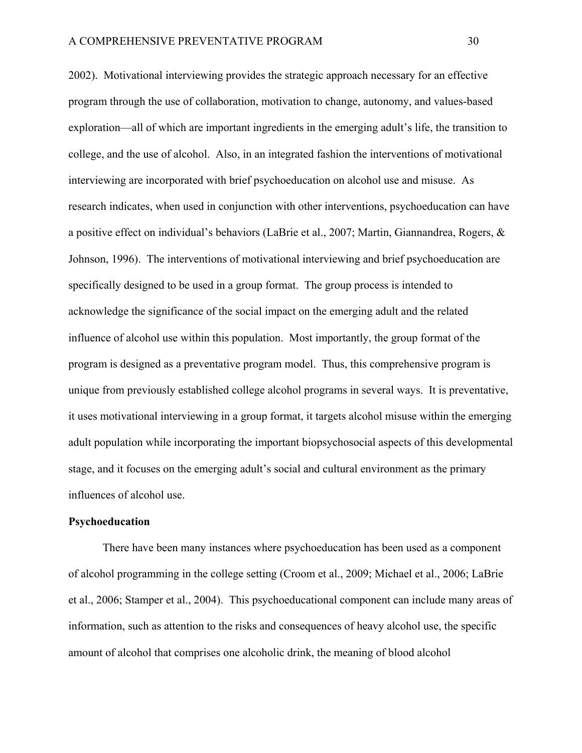2002). Motivational interviewing provides the strategic approach necessary for an effective program through the use of collaboration, motivation to change, autonomy, and values-based exploration—all of which are important ingredients in the emerging adult's life, the transition to college, and the use of alcohol. Also, in an integrated fashion the interventions of motivational interviewing are incorporated with brief psychoeducation on alcohol use and misuse. As research indicates, when used in conjunction with other interventions, psychoeducation can have a positive effect on individual's behaviors (LaBrie et al., 2007; Martin, Giannandrea, Rogers, & Johnson, 1996). The interventions of motivational interviewing and brief psychoeducation are specifically designed to be used in a group format. The group process is intended to acknowledge the significance of the social impact on the emerging adult and the related influence of alcohol use within this population. Most importantly, the group format of the program is designed as a preventative program model. Thus, this comprehensive program is unique from previously established college alcohol programs in several ways. It is preventative, it uses motivational interviewing in a group format, it targets alcohol misuse within the emerging adult population while incorporating the important biopsychosocial aspects of this developmental stage, and it focuses on the emerging adult's social and cultural environment as the primary influences of alcohol use.

#### **Psychoeducation**

There have been many instances where psychoeducation has been used as a component of alcohol programming in the college setting (Croom et al., 2009; Michael et al., 2006; LaBrie et al., 2006; Stamper et al., 2004). This psychoeducational component can include many areas of information, such as attention to the risks and consequences of heavy alcohol use, the specific amount of alcohol that comprises one alcoholic drink, the meaning of blood alcohol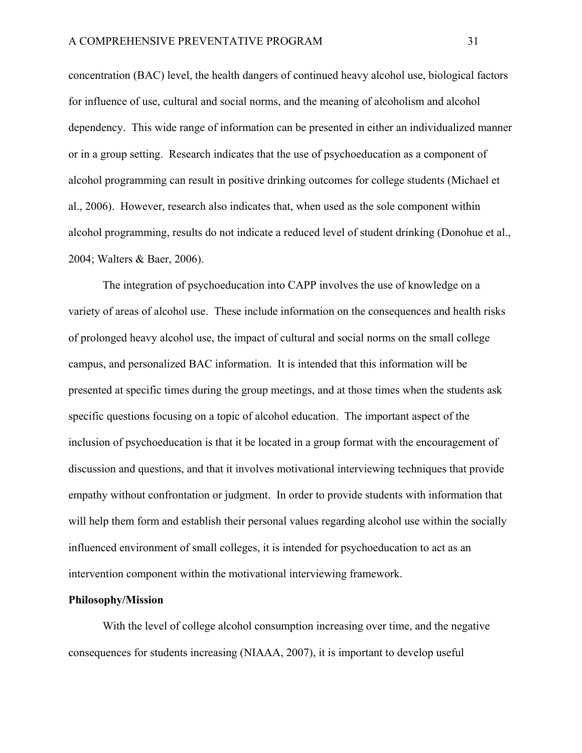concentration (BAC) level, the health dangers of continued heavy alcohol use, biological factors for influence of use, cultural and social norms, and the meaning of alcoholism and alcohol dependency. This wide range of information can be presented in either an individualized manner or in a group setting. Research indicates that the use of psychoeducation as a component of alcohol programming can result in positive drinking outcomes for college students (Michael et al., 2006). However, research also indicates that, when used as the sole component within alcohol programming, results do not indicate a reduced level of student drinking (Donohue et al., 2004; Walters & Baer, 2006).

 The integration of psychoeducation into CAPP involves the use of knowledge on a variety of areas of alcohol use. These include information on the consequences and health risks of prolonged heavy alcohol use, the impact of cultural and social norms on the small college campus, and personalized BAC information. It is intended that this information will be presented at specific times during the group meetings, and at those times when the students ask specific questions focusing on a topic of alcohol education. The important aspect of the inclusion of psychoeducation is that it be located in a group format with the encouragement of discussion and questions, and that it involves motivational interviewing techniques that provide empathy without confrontation or judgment. In order to provide students with information that will help them form and establish their personal values regarding alcohol use within the socially influenced environment of small colleges, it is intended for psychoeducation to act as an intervention component within the motivational interviewing framework.

### **Philosophy/Mission**

 With the level of college alcohol consumption increasing over time, and the negative consequences for students increasing (NIAAA, 2007), it is important to develop useful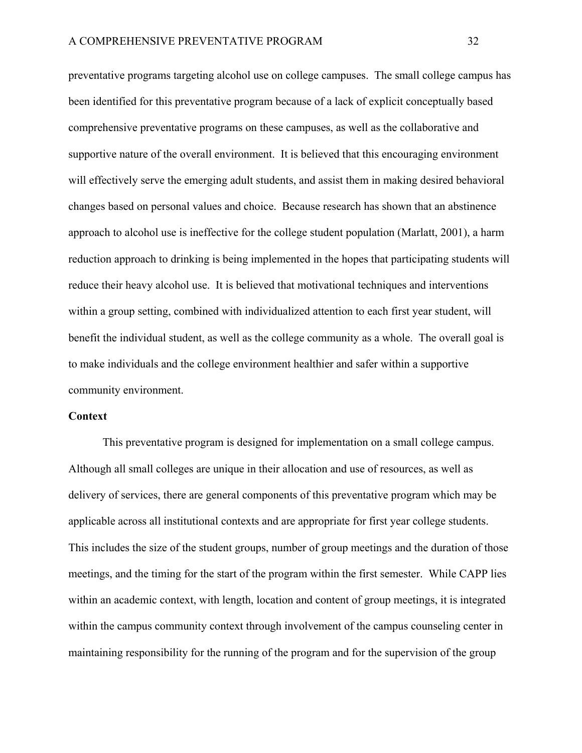preventative programs targeting alcohol use on college campuses. The small college campus has been identified for this preventative program because of a lack of explicit conceptually based comprehensive preventative programs on these campuses, as well as the collaborative and supportive nature of the overall environment. It is believed that this encouraging environment will effectively serve the emerging adult students, and assist them in making desired behavioral changes based on personal values and choice. Because research has shown that an abstinence approach to alcohol use is ineffective for the college student population (Marlatt, 2001), a harm reduction approach to drinking is being implemented in the hopes that participating students will reduce their heavy alcohol use. It is believed that motivational techniques and interventions within a group setting, combined with individualized attention to each first year student, will benefit the individual student, as well as the college community as a whole. The overall goal is to make individuals and the college environment healthier and safer within a supportive community environment.

## **Context**

 This preventative program is designed for implementation on a small college campus. Although all small colleges are unique in their allocation and use of resources, as well as delivery of services, there are general components of this preventative program which may be applicable across all institutional contexts and are appropriate for first year college students. This includes the size of the student groups, number of group meetings and the duration of those meetings, and the timing for the start of the program within the first semester. While CAPP lies within an academic context, with length, location and content of group meetings, it is integrated within the campus community context through involvement of the campus counseling center in maintaining responsibility for the running of the program and for the supervision of the group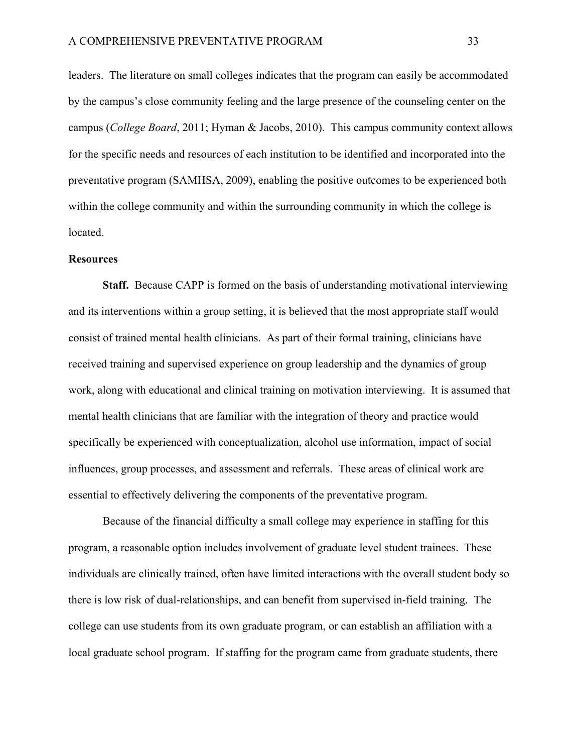leaders. The literature on small colleges indicates that the program can easily be accommodated by the campus's close community feeling and the large presence of the counseling center on the campus (*College Board*, 2011; Hyman & Jacobs, 2010). This campus community context allows for the specific needs and resources of each institution to be identified and incorporated into the preventative program (SAMHSA, 2009), enabling the positive outcomes to be experienced both within the college community and within the surrounding community in which the college is located.

### **Resources**

**Staff.** Because CAPP is formed on the basis of understanding motivational interviewing and its interventions within a group setting, it is believed that the most appropriate staff would consist of trained mental health clinicians. As part of their formal training, clinicians have received training and supervised experience on group leadership and the dynamics of group work, along with educational and clinical training on motivation interviewing. It is assumed that mental health clinicians that are familiar with the integration of theory and practice would specifically be experienced with conceptualization, alcohol use information, impact of social influences, group processes, and assessment and referrals. These areas of clinical work are essential to effectively delivering the components of the preventative program.

Because of the financial difficulty a small college may experience in staffing for this program, a reasonable option includes involvement of graduate level student trainees. These individuals are clinically trained, often have limited interactions with the overall student body so there is low risk of dual-relationships, and can benefit from supervised in-field training. The college can use students from its own graduate program, or can establish an affiliation with a local graduate school program. If staffing for the program came from graduate students, there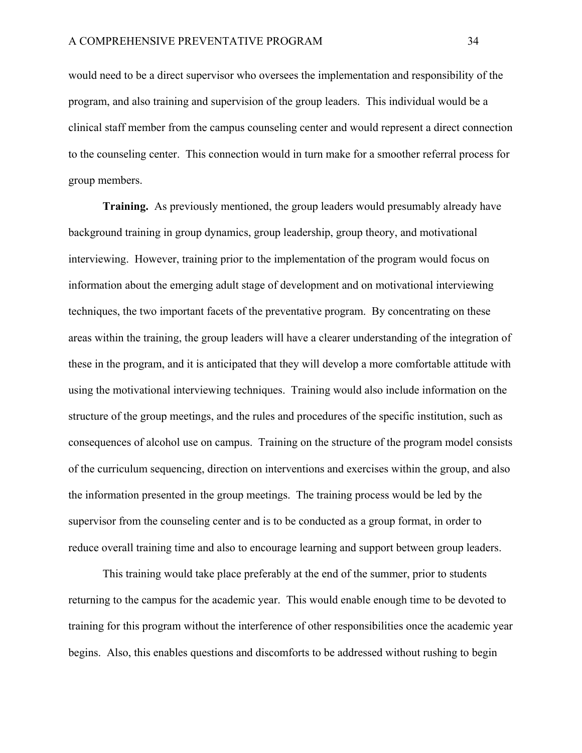would need to be a direct supervisor who oversees the implementation and responsibility of the program, and also training and supervision of the group leaders. This individual would be a clinical staff member from the campus counseling center and would represent a direct connection to the counseling center. This connection would in turn make for a smoother referral process for group members.

**Training.** As previously mentioned, the group leaders would presumably already have background training in group dynamics, group leadership, group theory, and motivational interviewing. However, training prior to the implementation of the program would focus on information about the emerging adult stage of development and on motivational interviewing techniques, the two important facets of the preventative program. By concentrating on these areas within the training, the group leaders will have a clearer understanding of the integration of these in the program, and it is anticipated that they will develop a more comfortable attitude with using the motivational interviewing techniques. Training would also include information on the structure of the group meetings, and the rules and procedures of the specific institution, such as consequences of alcohol use on campus. Training on the structure of the program model consists of the curriculum sequencing, direction on interventions and exercises within the group, and also the information presented in the group meetings. The training process would be led by the supervisor from the counseling center and is to be conducted as a group format, in order to reduce overall training time and also to encourage learning and support between group leaders.

This training would take place preferably at the end of the summer, prior to students returning to the campus for the academic year. This would enable enough time to be devoted to training for this program without the interference of other responsibilities once the academic year begins. Also, this enables questions and discomforts to be addressed without rushing to begin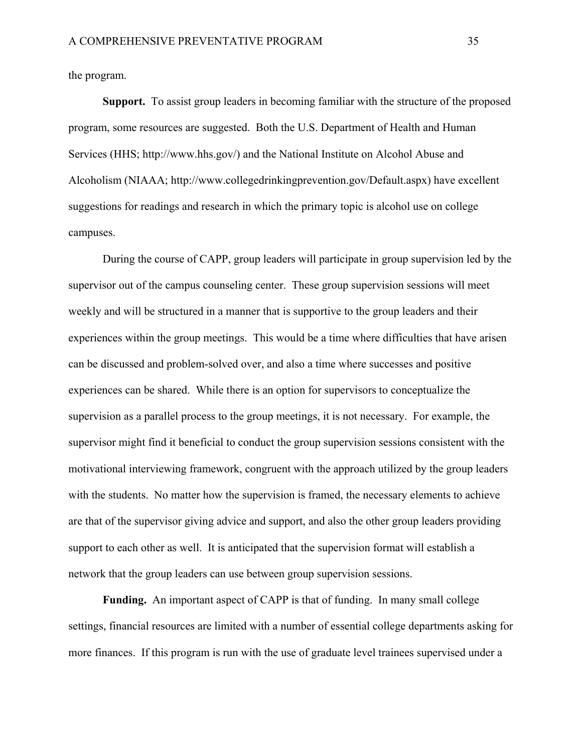the program.

**Support.** To assist group leaders in becoming familiar with the structure of the proposed program, some resources are suggested. Both the U.S. Department of Health and Human Services (HHS; http://www.hhs.gov/) and the National Institute on Alcohol Abuse and Alcoholism (NIAAA; http://www.collegedrinkingprevention.gov/Default.aspx) have excellent suggestions for readings and research in which the primary topic is alcohol use on college campuses.

During the course of CAPP, group leaders will participate in group supervision led by the supervisor out of the campus counseling center. These group supervision sessions will meet weekly and will be structured in a manner that is supportive to the group leaders and their experiences within the group meetings. This would be a time where difficulties that have arisen can be discussed and problem-solved over, and also a time where successes and positive experiences can be shared. While there is an option for supervisors to conceptualize the supervision as a parallel process to the group meetings, it is not necessary. For example, the supervisor might find it beneficial to conduct the group supervision sessions consistent with the motivational interviewing framework, congruent with the approach utilized by the group leaders with the students. No matter how the supervision is framed, the necessary elements to achieve are that of the supervisor giving advice and support, and also the other group leaders providing support to each other as well. It is anticipated that the supervision format will establish a network that the group leaders can use between group supervision sessions.

**Funding.** An important aspect of CAPP is that of funding. In many small college settings, financial resources are limited with a number of essential college departments asking for more finances. If this program is run with the use of graduate level trainees supervised under a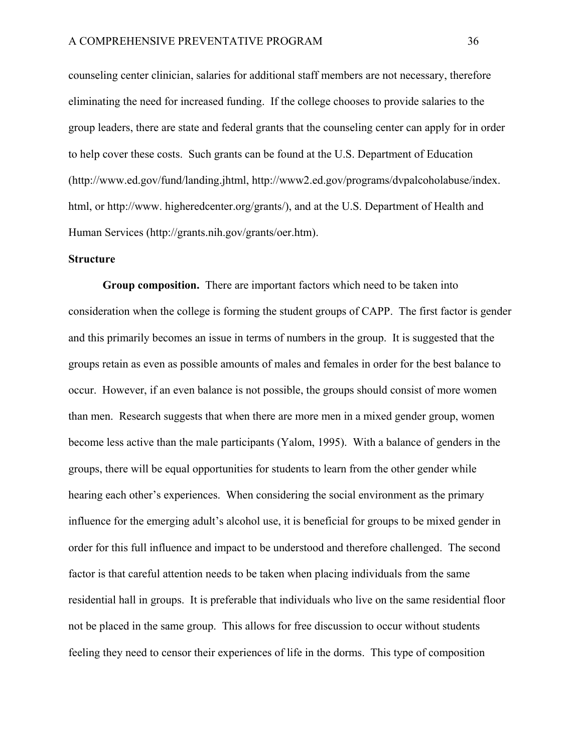counseling center clinician, salaries for additional staff members are not necessary, therefore eliminating the need for increased funding. If the college chooses to provide salaries to the group leaders, there are state and federal grants that the counseling center can apply for in order to help cover these costs. Such grants can be found at the U.S. Department of Education (http://www.ed.gov/fund/landing.jhtml, http://www2.ed.gov/programs/dvpalcoholabuse/index. html, or http://www. higheredcenter.org/grants/), and at the U.S. Department of Health and Human Services (http://grants.nih.gov/grants/oer.htm).

### **Structure**

**Group composition.** There are important factors which need to be taken into consideration when the college is forming the student groups of CAPP. The first factor is gender and this primarily becomes an issue in terms of numbers in the group. It is suggested that the groups retain as even as possible amounts of males and females in order for the best balance to occur. However, if an even balance is not possible, the groups should consist of more women than men. Research suggests that when there are more men in a mixed gender group, women become less active than the male participants (Yalom, 1995). With a balance of genders in the groups, there will be equal opportunities for students to learn from the other gender while hearing each other's experiences. When considering the social environment as the primary influence for the emerging adult's alcohol use, it is beneficial for groups to be mixed gender in order for this full influence and impact to be understood and therefore challenged. The second factor is that careful attention needs to be taken when placing individuals from the same residential hall in groups. It is preferable that individuals who live on the same residential floor not be placed in the same group. This allows for free discussion to occur without students feeling they need to censor their experiences of life in the dorms. This type of composition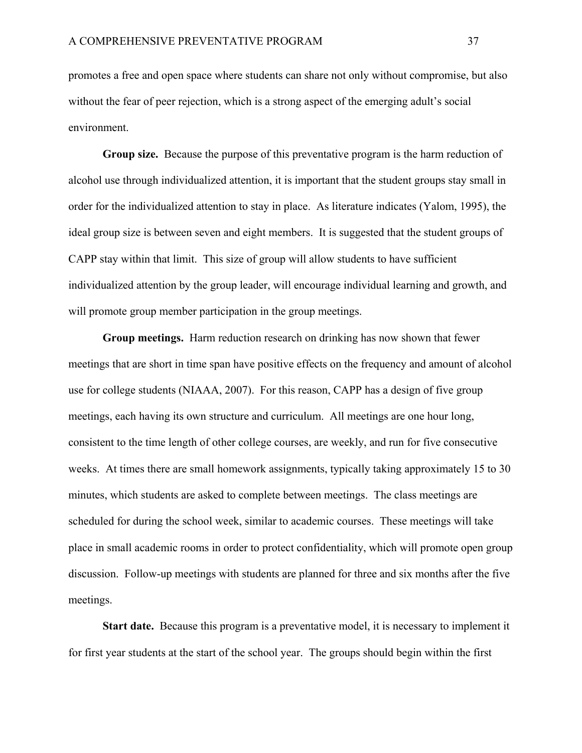promotes a free and open space where students can share not only without compromise, but also without the fear of peer rejection, which is a strong aspect of the emerging adult's social environment.

**Group size.** Because the purpose of this preventative program is the harm reduction of alcohol use through individualized attention, it is important that the student groups stay small in order for the individualized attention to stay in place. As literature indicates (Yalom, 1995), the ideal group size is between seven and eight members. It is suggested that the student groups of CAPP stay within that limit. This size of group will allow students to have sufficient individualized attention by the group leader, will encourage individual learning and growth, and will promote group member participation in the group meetings.

**Group meetings.** Harm reduction research on drinking has now shown that fewer meetings that are short in time span have positive effects on the frequency and amount of alcohol use for college students (NIAAA, 2007). For this reason, CAPP has a design of five group meetings, each having its own structure and curriculum. All meetings are one hour long, consistent to the time length of other college courses, are weekly, and run for five consecutive weeks. At times there are small homework assignments, typically taking approximately 15 to 30 minutes, which students are asked to complete between meetings. The class meetings are scheduled for during the school week, similar to academic courses. These meetings will take place in small academic rooms in order to protect confidentiality, which will promote open group discussion. Follow-up meetings with students are planned for three and six months after the five meetings.

**Start date.** Because this program is a preventative model, it is necessary to implement it for first year students at the start of the school year. The groups should begin within the first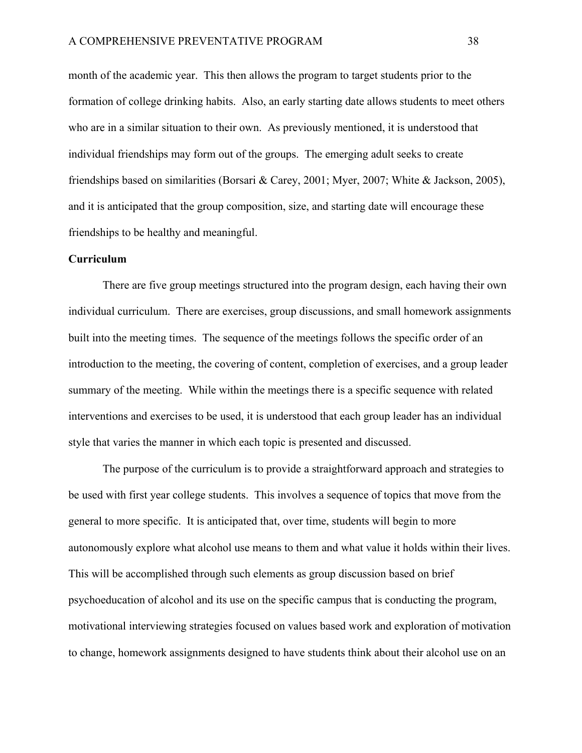month of the academic year. This then allows the program to target students prior to the formation of college drinking habits. Also, an early starting date allows students to meet others who are in a similar situation to their own. As previously mentioned, it is understood that individual friendships may form out of the groups. The emerging adult seeks to create friendships based on similarities (Borsari & Carey, 2001; Myer, 2007; White & Jackson, 2005), and it is anticipated that the group composition, size, and starting date will encourage these friendships to be healthy and meaningful.

## **Curriculum**

 There are five group meetings structured into the program design, each having their own individual curriculum. There are exercises, group discussions, and small homework assignments built into the meeting times. The sequence of the meetings follows the specific order of an introduction to the meeting, the covering of content, completion of exercises, and a group leader summary of the meeting. While within the meetings there is a specific sequence with related interventions and exercises to be used, it is understood that each group leader has an individual style that varies the manner in which each topic is presented and discussed.

 The purpose of the curriculum is to provide a straightforward approach and strategies to be used with first year college students. This involves a sequence of topics that move from the general to more specific. It is anticipated that, over time, students will begin to more autonomously explore what alcohol use means to them and what value it holds within their lives. This will be accomplished through such elements as group discussion based on brief psychoeducation of alcohol and its use on the specific campus that is conducting the program, motivational interviewing strategies focused on values based work and exploration of motivation to change, homework assignments designed to have students think about their alcohol use on an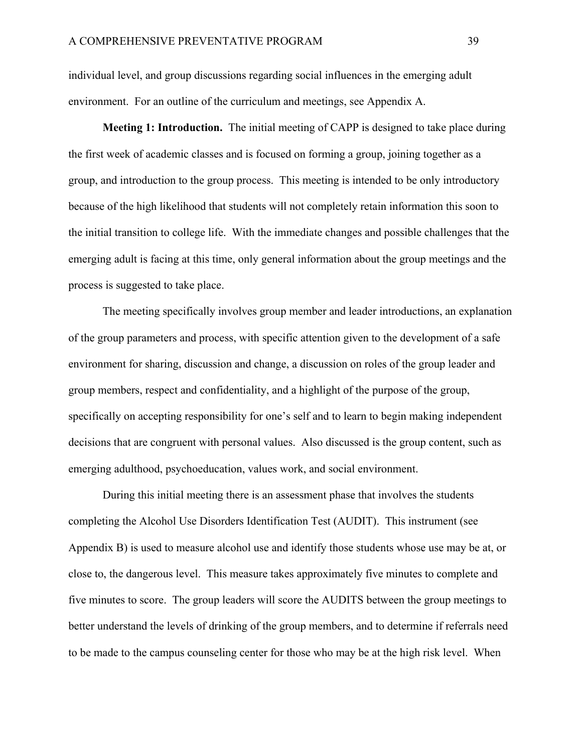individual level, and group discussions regarding social influences in the emerging adult environment. For an outline of the curriculum and meetings, see Appendix A.

**Meeting 1: Introduction.** The initial meeting of CAPP is designed to take place during the first week of academic classes and is focused on forming a group, joining together as a group, and introduction to the group process. This meeting is intended to be only introductory because of the high likelihood that students will not completely retain information this soon to the initial transition to college life. With the immediate changes and possible challenges that the emerging adult is facing at this time, only general information about the group meetings and the process is suggested to take place.

 The meeting specifically involves group member and leader introductions, an explanation of the group parameters and process, with specific attention given to the development of a safe environment for sharing, discussion and change, a discussion on roles of the group leader and group members, respect and confidentiality, and a highlight of the purpose of the group, specifically on accepting responsibility for one's self and to learn to begin making independent decisions that are congruent with personal values. Also discussed is the group content, such as emerging adulthood, psychoeducation, values work, and social environment.

 During this initial meeting there is an assessment phase that involves the students completing the Alcohol Use Disorders Identification Test (AUDIT). This instrument (see Appendix B) is used to measure alcohol use and identify those students whose use may be at, or close to, the dangerous level. This measure takes approximately five minutes to complete and five minutes to score. The group leaders will score the AUDITS between the group meetings to better understand the levels of drinking of the group members, and to determine if referrals need to be made to the campus counseling center for those who may be at the high risk level. When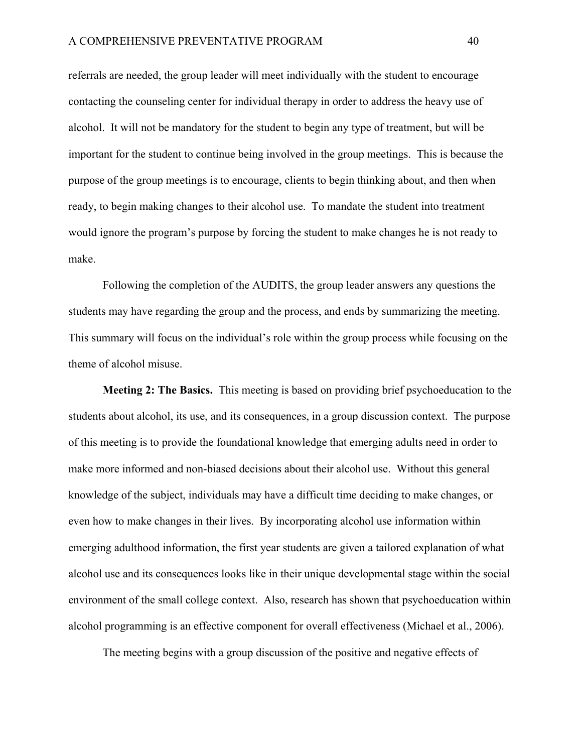referrals are needed, the group leader will meet individually with the student to encourage contacting the counseling center for individual therapy in order to address the heavy use of alcohol. It will not be mandatory for the student to begin any type of treatment, but will be important for the student to continue being involved in the group meetings. This is because the purpose of the group meetings is to encourage, clients to begin thinking about, and then when ready, to begin making changes to their alcohol use. To mandate the student into treatment would ignore the program's purpose by forcing the student to make changes he is not ready to make.

Following the completion of the AUDITS, the group leader answers any questions the students may have regarding the group and the process, and ends by summarizing the meeting. This summary will focus on the individual's role within the group process while focusing on the theme of alcohol misuse.

**Meeting 2: The Basics.** This meeting is based on providing brief psychoeducation to the students about alcohol, its use, and its consequences, in a group discussion context. The purpose of this meeting is to provide the foundational knowledge that emerging adults need in order to make more informed and non-biased decisions about their alcohol use. Without this general knowledge of the subject, individuals may have a difficult time deciding to make changes, or even how to make changes in their lives. By incorporating alcohol use information within emerging adulthood information, the first year students are given a tailored explanation of what alcohol use and its consequences looks like in their unique developmental stage within the social environment of the small college context. Also, research has shown that psychoeducation within alcohol programming is an effective component for overall effectiveness (Michael et al., 2006).

The meeting begins with a group discussion of the positive and negative effects of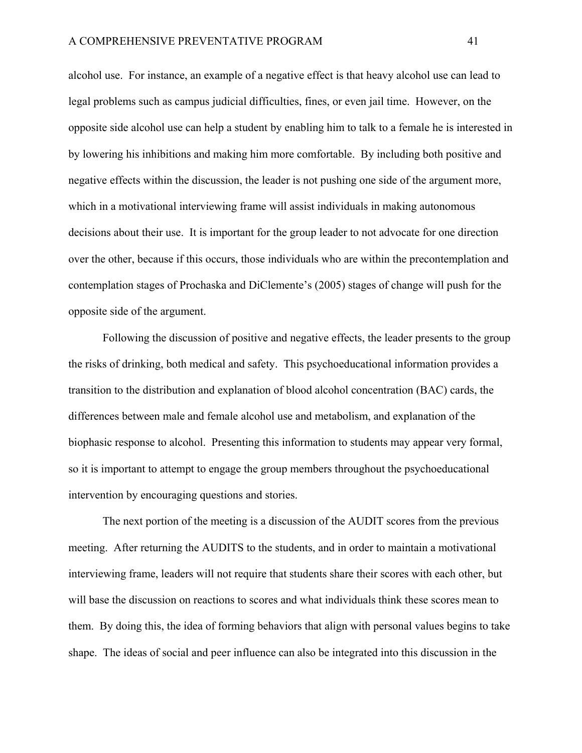alcohol use. For instance, an example of a negative effect is that heavy alcohol use can lead to legal problems such as campus judicial difficulties, fines, or even jail time. However, on the opposite side alcohol use can help a student by enabling him to talk to a female he is interested in by lowering his inhibitions and making him more comfortable. By including both positive and negative effects within the discussion, the leader is not pushing one side of the argument more, which in a motivational interviewing frame will assist individuals in making autonomous decisions about their use. It is important for the group leader to not advocate for one direction over the other, because if this occurs, those individuals who are within the precontemplation and contemplation stages of Prochaska and DiClemente's (2005) stages of change will push for the opposite side of the argument.

 Following the discussion of positive and negative effects, the leader presents to the group the risks of drinking, both medical and safety. This psychoeducational information provides a transition to the distribution and explanation of blood alcohol concentration (BAC) cards, the differences between male and female alcohol use and metabolism, and explanation of the biophasic response to alcohol. Presenting this information to students may appear very formal, so it is important to attempt to engage the group members throughout the psychoeducational intervention by encouraging questions and stories.

The next portion of the meeting is a discussion of the AUDIT scores from the previous meeting. After returning the AUDITS to the students, and in order to maintain a motivational interviewing frame, leaders will not require that students share their scores with each other, but will base the discussion on reactions to scores and what individuals think these scores mean to them. By doing this, the idea of forming behaviors that align with personal values begins to take shape. The ideas of social and peer influence can also be integrated into this discussion in the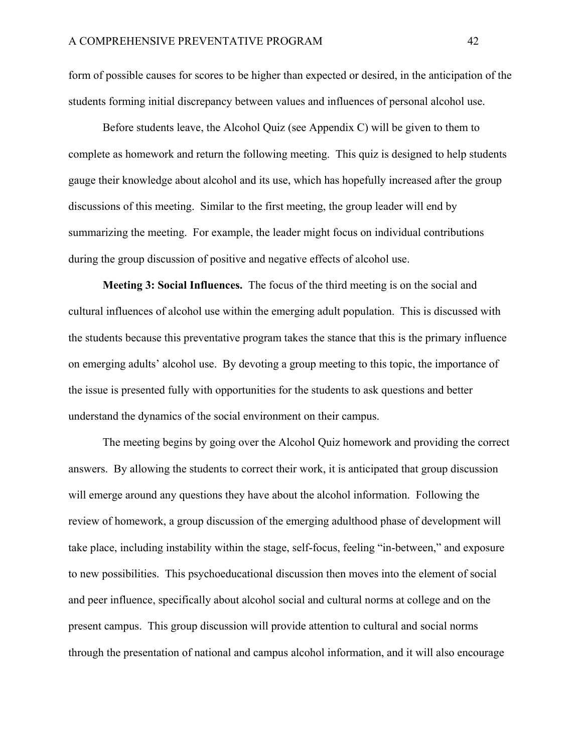form of possible causes for scores to be higher than expected or desired, in the anticipation of the students forming initial discrepancy between values and influences of personal alcohol use.

 Before students leave, the Alcohol Quiz (see Appendix C) will be given to them to complete as homework and return the following meeting. This quiz is designed to help students gauge their knowledge about alcohol and its use, which has hopefully increased after the group discussions of this meeting. Similar to the first meeting, the group leader will end by summarizing the meeting. For example, the leader might focus on individual contributions during the group discussion of positive and negative effects of alcohol use.

 **Meeting 3: Social Influences.** The focus of the third meeting is on the social and cultural influences of alcohol use within the emerging adult population. This is discussed with the students because this preventative program takes the stance that this is the primary influence on emerging adults' alcohol use. By devoting a group meeting to this topic, the importance of the issue is presented fully with opportunities for the students to ask questions and better understand the dynamics of the social environment on their campus.

The meeting begins by going over the Alcohol Quiz homework and providing the correct answers. By allowing the students to correct their work, it is anticipated that group discussion will emerge around any questions they have about the alcohol information. Following the review of homework, a group discussion of the emerging adulthood phase of development will take place, including instability within the stage, self-focus, feeling "in-between," and exposure to new possibilities. This psychoeducational discussion then moves into the element of social and peer influence, specifically about alcohol social and cultural norms at college and on the present campus. This group discussion will provide attention to cultural and social norms through the presentation of national and campus alcohol information, and it will also encourage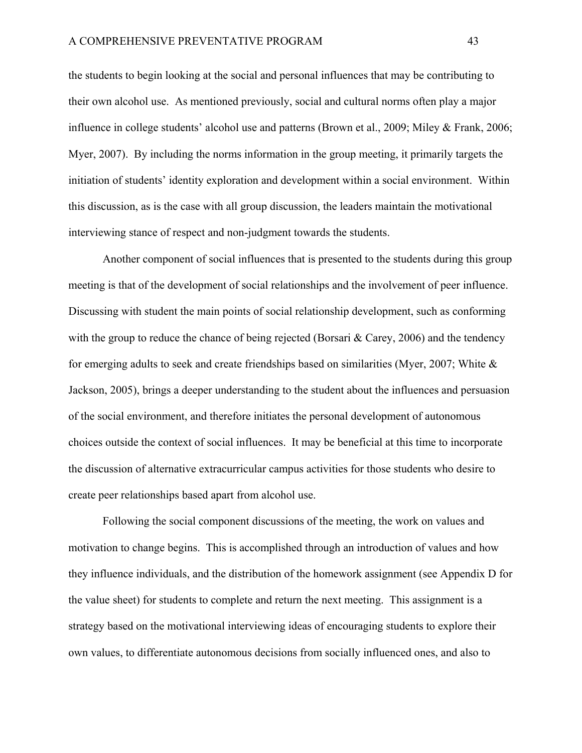the students to begin looking at the social and personal influences that may be contributing to their own alcohol use. As mentioned previously, social and cultural norms often play a major influence in college students' alcohol use and patterns (Brown et al., 2009; Miley & Frank, 2006; Myer, 2007). By including the norms information in the group meeting, it primarily targets the initiation of students' identity exploration and development within a social environment. Within this discussion, as is the case with all group discussion, the leaders maintain the motivational interviewing stance of respect and non-judgment towards the students.

Another component of social influences that is presented to the students during this group meeting is that of the development of social relationships and the involvement of peer influence. Discussing with student the main points of social relationship development, such as conforming with the group to reduce the chance of being rejected (Borsari & Carey, 2006) and the tendency for emerging adults to seek and create friendships based on similarities (Myer, 2007; White  $\&$ Jackson, 2005), brings a deeper understanding to the student about the influences and persuasion of the social environment, and therefore initiates the personal development of autonomous choices outside the context of social influences. It may be beneficial at this time to incorporate the discussion of alternative extracurricular campus activities for those students who desire to create peer relationships based apart from alcohol use.

 Following the social component discussions of the meeting, the work on values and motivation to change begins. This is accomplished through an introduction of values and how they influence individuals, and the distribution of the homework assignment (see Appendix D for the value sheet) for students to complete and return the next meeting. This assignment is a strategy based on the motivational interviewing ideas of encouraging students to explore their own values, to differentiate autonomous decisions from socially influenced ones, and also to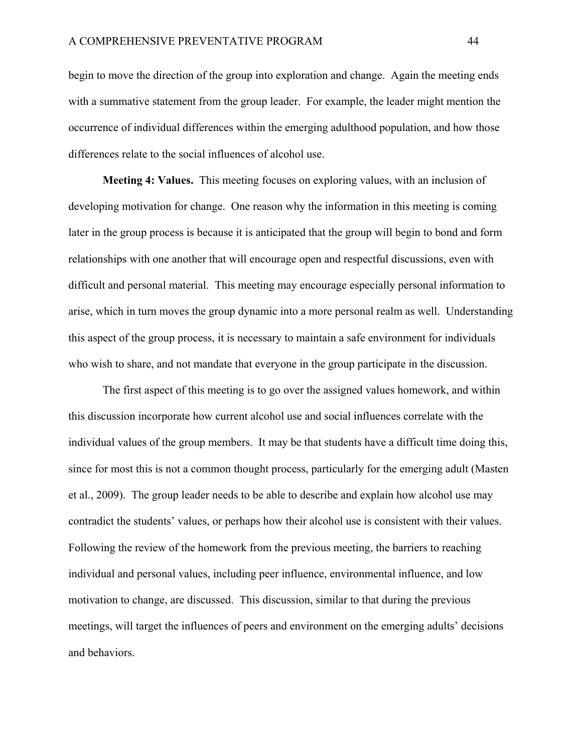begin to move the direction of the group into exploration and change. Again the meeting ends with a summative statement from the group leader. For example, the leader might mention the occurrence of individual differences within the emerging adulthood population, and how those differences relate to the social influences of alcohol use.

**Meeting 4: Values.** This meeting focuses on exploring values, with an inclusion of developing motivation for change. One reason why the information in this meeting is coming later in the group process is because it is anticipated that the group will begin to bond and form relationships with one another that will encourage open and respectful discussions, even with difficult and personal material. This meeting may encourage especially personal information to arise, which in turn moves the group dynamic into a more personal realm as well. Understanding this aspect of the group process, it is necessary to maintain a safe environment for individuals who wish to share, and not mandate that everyone in the group participate in the discussion.

The first aspect of this meeting is to go over the assigned values homework, and within this discussion incorporate how current alcohol use and social influences correlate with the individual values of the group members. It may be that students have a difficult time doing this, since for most this is not a common thought process, particularly for the emerging adult (Masten et al., 2009). The group leader needs to be able to describe and explain how alcohol use may contradict the students' values, or perhaps how their alcohol use is consistent with their values. Following the review of the homework from the previous meeting, the barriers to reaching individual and personal values, including peer influence, environmental influence, and low motivation to change, are discussed. This discussion, similar to that during the previous meetings, will target the influences of peers and environment on the emerging adults' decisions and behaviors.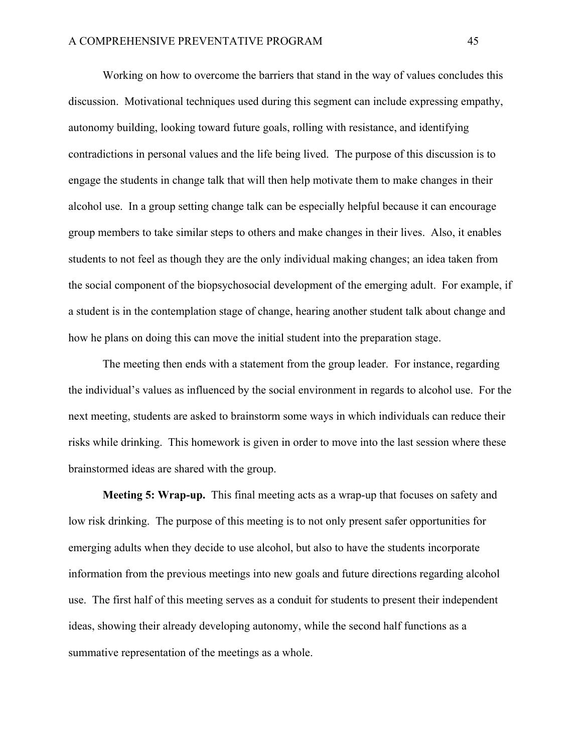Working on how to overcome the barriers that stand in the way of values concludes this discussion. Motivational techniques used during this segment can include expressing empathy, autonomy building, looking toward future goals, rolling with resistance, and identifying contradictions in personal values and the life being lived. The purpose of this discussion is to engage the students in change talk that will then help motivate them to make changes in their alcohol use. In a group setting change talk can be especially helpful because it can encourage group members to take similar steps to others and make changes in their lives. Also, it enables students to not feel as though they are the only individual making changes; an idea taken from the social component of the biopsychosocial development of the emerging adult. For example, if a student is in the contemplation stage of change, hearing another student talk about change and how he plans on doing this can move the initial student into the preparation stage.

The meeting then ends with a statement from the group leader. For instance, regarding the individual's values as influenced by the social environment in regards to alcohol use. For the next meeting, students are asked to brainstorm some ways in which individuals can reduce their risks while drinking. This homework is given in order to move into the last session where these brainstormed ideas are shared with the group.

 **Meeting 5: Wrap-up.** This final meeting acts as a wrap-up that focuses on safety and low risk drinking. The purpose of this meeting is to not only present safer opportunities for emerging adults when they decide to use alcohol, but also to have the students incorporate information from the previous meetings into new goals and future directions regarding alcohol use. The first half of this meeting serves as a conduit for students to present their independent ideas, showing their already developing autonomy, while the second half functions as a summative representation of the meetings as a whole.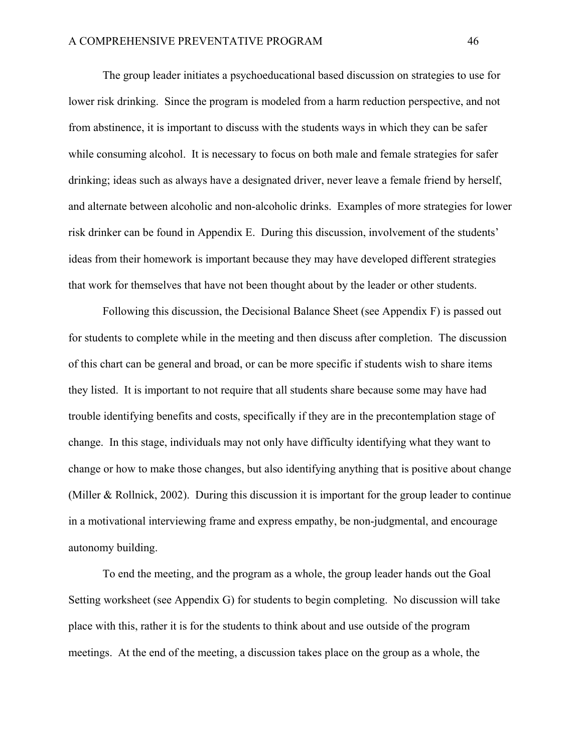The group leader initiates a psychoeducational based discussion on strategies to use for lower risk drinking. Since the program is modeled from a harm reduction perspective, and not from abstinence, it is important to discuss with the students ways in which they can be safer while consuming alcohol. It is necessary to focus on both male and female strategies for safer drinking; ideas such as always have a designated driver, never leave a female friend by herself, and alternate between alcoholic and non-alcoholic drinks. Examples of more strategies for lower risk drinker can be found in Appendix E. During this discussion, involvement of the students' ideas from their homework is important because they may have developed different strategies that work for themselves that have not been thought about by the leader or other students.

 Following this discussion, the Decisional Balance Sheet (see Appendix F) is passed out for students to complete while in the meeting and then discuss after completion. The discussion of this chart can be general and broad, or can be more specific if students wish to share items they listed. It is important to not require that all students share because some may have had trouble identifying benefits and costs, specifically if they are in the precontemplation stage of change. In this stage, individuals may not only have difficulty identifying what they want to change or how to make those changes, but also identifying anything that is positive about change (Miller & Rollnick, 2002). During this discussion it is important for the group leader to continue in a motivational interviewing frame and express empathy, be non-judgmental, and encourage autonomy building.

 To end the meeting, and the program as a whole, the group leader hands out the Goal Setting worksheet (see Appendix G) for students to begin completing. No discussion will take place with this, rather it is for the students to think about and use outside of the program meetings. At the end of the meeting, a discussion takes place on the group as a whole, the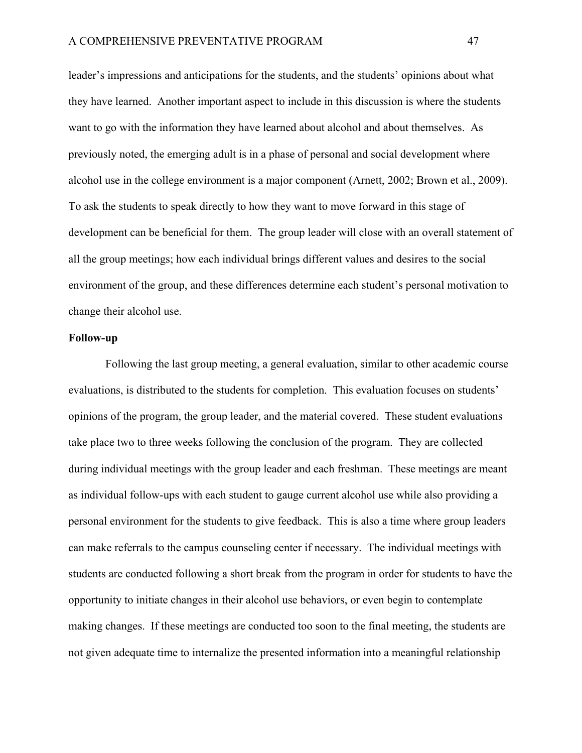leader's impressions and anticipations for the students, and the students' opinions about what they have learned. Another important aspect to include in this discussion is where the students want to go with the information they have learned about alcohol and about themselves. As previously noted, the emerging adult is in a phase of personal and social development where alcohol use in the college environment is a major component (Arnett, 2002; Brown et al., 2009). To ask the students to speak directly to how they want to move forward in this stage of development can be beneficial for them. The group leader will close with an overall statement of all the group meetings; how each individual brings different values and desires to the social environment of the group, and these differences determine each student's personal motivation to change their alcohol use.

### **Follow-up**

 Following the last group meeting, a general evaluation, similar to other academic course evaluations, is distributed to the students for completion. This evaluation focuses on students' opinions of the program, the group leader, and the material covered. These student evaluations take place two to three weeks following the conclusion of the program. They are collected during individual meetings with the group leader and each freshman. These meetings are meant as individual follow-ups with each student to gauge current alcohol use while also providing a personal environment for the students to give feedback. This is also a time where group leaders can make referrals to the campus counseling center if necessary. The individual meetings with students are conducted following a short break from the program in order for students to have the opportunity to initiate changes in their alcohol use behaviors, or even begin to contemplate making changes. If these meetings are conducted too soon to the final meeting, the students are not given adequate time to internalize the presented information into a meaningful relationship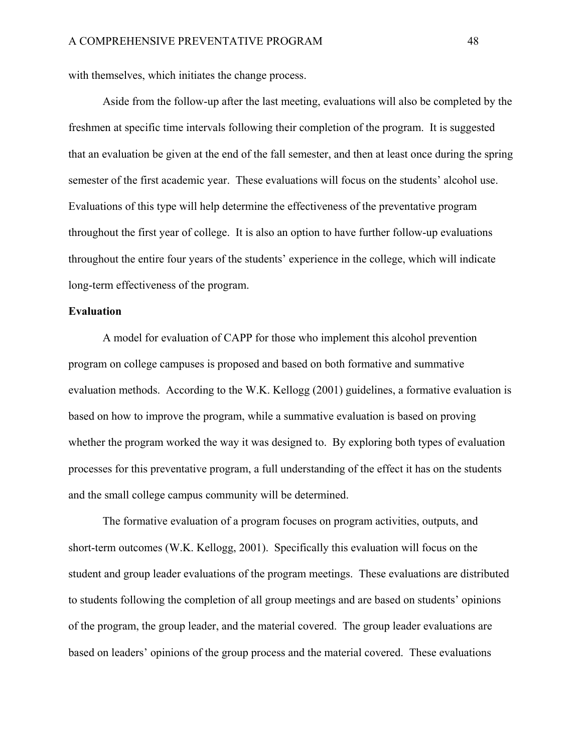with themselves, which initiates the change process.

Aside from the follow-up after the last meeting, evaluations will also be completed by the freshmen at specific time intervals following their completion of the program. It is suggested that an evaluation be given at the end of the fall semester, and then at least once during the spring semester of the first academic year. These evaluations will focus on the students' alcohol use. Evaluations of this type will help determine the effectiveness of the preventative program throughout the first year of college. It is also an option to have further follow-up evaluations throughout the entire four years of the students' experience in the college, which will indicate long-term effectiveness of the program.

# **Evaluation**

 A model for evaluation of CAPP for those who implement this alcohol prevention program on college campuses is proposed and based on both formative and summative evaluation methods. According to the W.K. Kellogg (2001) guidelines, a formative evaluation is based on how to improve the program, while a summative evaluation is based on proving whether the program worked the way it was designed to. By exploring both types of evaluation processes for this preventative program, a full understanding of the effect it has on the students and the small college campus community will be determined.

 The formative evaluation of a program focuses on program activities, outputs, and short-term outcomes (W.K. Kellogg, 2001). Specifically this evaluation will focus on the student and group leader evaluations of the program meetings. These evaluations are distributed to students following the completion of all group meetings and are based on students' opinions of the program, the group leader, and the material covered. The group leader evaluations are based on leaders' opinions of the group process and the material covered. These evaluations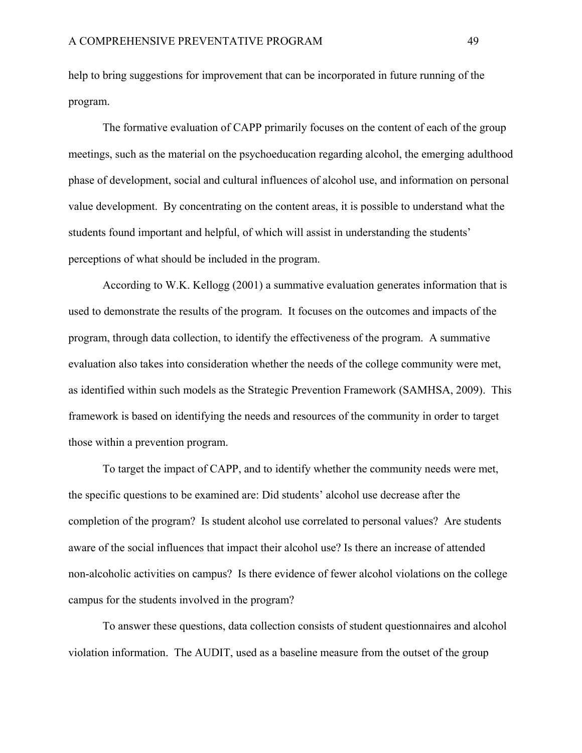help to bring suggestions for improvement that can be incorporated in future running of the program.

 The formative evaluation of CAPP primarily focuses on the content of each of the group meetings, such as the material on the psychoeducation regarding alcohol, the emerging adulthood phase of development, social and cultural influences of alcohol use, and information on personal value development. By concentrating on the content areas, it is possible to understand what the students found important and helpful, of which will assist in understanding the students' perceptions of what should be included in the program.

 According to W.K. Kellogg (2001) a summative evaluation generates information that is used to demonstrate the results of the program. It focuses on the outcomes and impacts of the program, through data collection, to identify the effectiveness of the program. A summative evaluation also takes into consideration whether the needs of the college community were met, as identified within such models as the Strategic Prevention Framework (SAMHSA, 2009). This framework is based on identifying the needs and resources of the community in order to target those within a prevention program.

To target the impact of CAPP, and to identify whether the community needs were met, the specific questions to be examined are: Did students' alcohol use decrease after the completion of the program? Is student alcohol use correlated to personal values? Are students aware of the social influences that impact their alcohol use? Is there an increase of attended non-alcoholic activities on campus? Is there evidence of fewer alcohol violations on the college campus for the students involved in the program?

 To answer these questions, data collection consists of student questionnaires and alcohol violation information. The AUDIT, used as a baseline measure from the outset of the group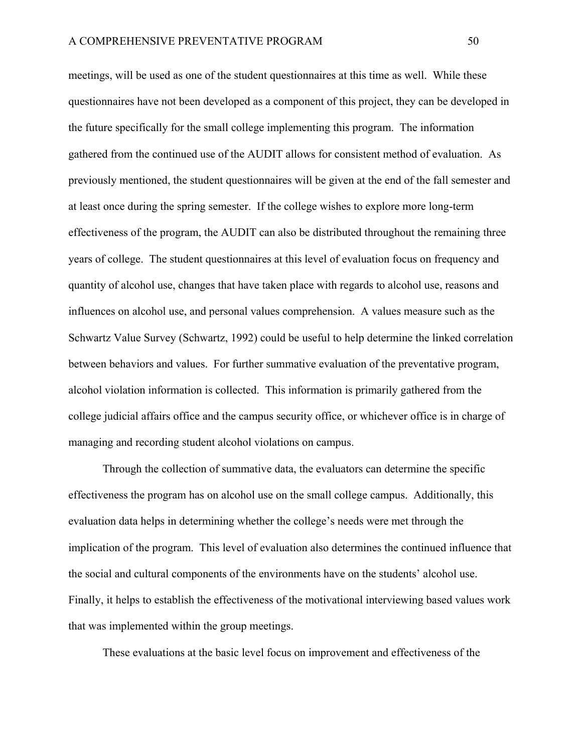meetings, will be used as one of the student questionnaires at this time as well. While these questionnaires have not been developed as a component of this project, they can be developed in the future specifically for the small college implementing this program. The information gathered from the continued use of the AUDIT allows for consistent method of evaluation. As previously mentioned, the student questionnaires will be given at the end of the fall semester and at least once during the spring semester. If the college wishes to explore more long-term effectiveness of the program, the AUDIT can also be distributed throughout the remaining three years of college. The student questionnaires at this level of evaluation focus on frequency and quantity of alcohol use, changes that have taken place with regards to alcohol use, reasons and influences on alcohol use, and personal values comprehension. A values measure such as the Schwartz Value Survey (Schwartz, 1992) could be useful to help determine the linked correlation between behaviors and values. For further summative evaluation of the preventative program, alcohol violation information is collected. This information is primarily gathered from the college judicial affairs office and the campus security office, or whichever office is in charge of managing and recording student alcohol violations on campus.

 Through the collection of summative data, the evaluators can determine the specific effectiveness the program has on alcohol use on the small college campus. Additionally, this evaluation data helps in determining whether the college's needs were met through the implication of the program. This level of evaluation also determines the continued influence that the social and cultural components of the environments have on the students' alcohol use. Finally, it helps to establish the effectiveness of the motivational interviewing based values work that was implemented within the group meetings.

These evaluations at the basic level focus on improvement and effectiveness of the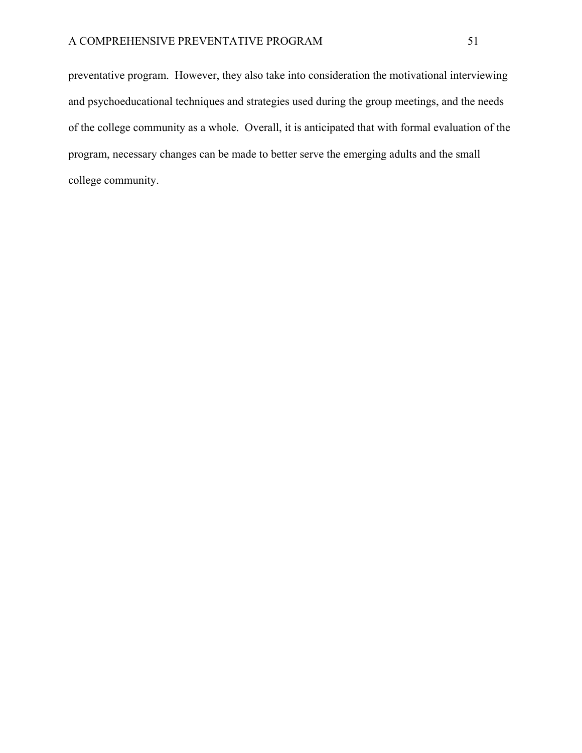preventative program. However, they also take into consideration the motivational interviewing and psychoeducational techniques and strategies used during the group meetings, and the needs of the college community as a whole. Overall, it is anticipated that with formal evaluation of the program, necessary changes can be made to better serve the emerging adults and the small college community.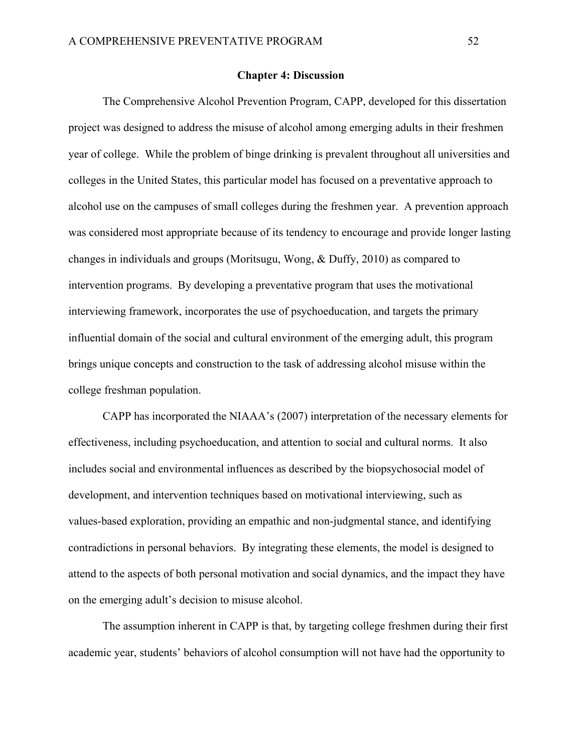### **Chapter 4: Discussion**

 The Comprehensive Alcohol Prevention Program, CAPP, developed for this dissertation project was designed to address the misuse of alcohol among emerging adults in their freshmen year of college. While the problem of binge drinking is prevalent throughout all universities and colleges in the United States, this particular model has focused on a preventative approach to alcohol use on the campuses of small colleges during the freshmen year. A prevention approach was considered most appropriate because of its tendency to encourage and provide longer lasting changes in individuals and groups (Moritsugu, Wong, & Duffy, 2010) as compared to intervention programs. By developing a preventative program that uses the motivational interviewing framework, incorporates the use of psychoeducation, and targets the primary influential domain of the social and cultural environment of the emerging adult, this program brings unique concepts and construction to the task of addressing alcohol misuse within the college freshman population.

CAPP has incorporated the NIAAA's (2007) interpretation of the necessary elements for effectiveness, including psychoeducation, and attention to social and cultural norms. It also includes social and environmental influences as described by the biopsychosocial model of development, and intervention techniques based on motivational interviewing, such as values-based exploration, providing an empathic and non-judgmental stance, and identifying contradictions in personal behaviors. By integrating these elements, the model is designed to attend to the aspects of both personal motivation and social dynamics, and the impact they have on the emerging adult's decision to misuse alcohol.

 The assumption inherent in CAPP is that, by targeting college freshmen during their first academic year, students' behaviors of alcohol consumption will not have had the opportunity to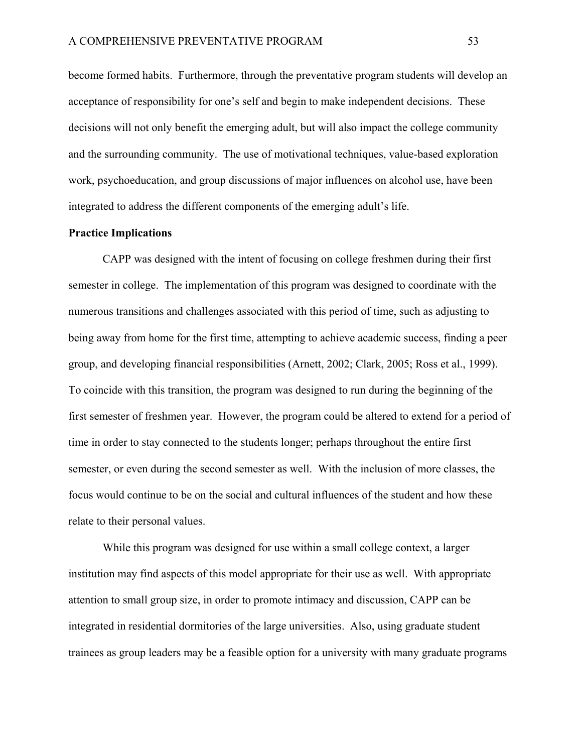become formed habits. Furthermore, through the preventative program students will develop an acceptance of responsibility for one's self and begin to make independent decisions. These decisions will not only benefit the emerging adult, but will also impact the college community and the surrounding community. The use of motivational techniques, value-based exploration work, psychoeducation, and group discussions of major influences on alcohol use, have been integrated to address the different components of the emerging adult's life.

# **Practice Implications**

CAPP was designed with the intent of focusing on college freshmen during their first semester in college. The implementation of this program was designed to coordinate with the numerous transitions and challenges associated with this period of time, such as adjusting to being away from home for the first time, attempting to achieve academic success, finding a peer group, and developing financial responsibilities (Arnett, 2002; Clark, 2005; Ross et al., 1999). To coincide with this transition, the program was designed to run during the beginning of the first semester of freshmen year. However, the program could be altered to extend for a period of time in order to stay connected to the students longer; perhaps throughout the entire first semester, or even during the second semester as well. With the inclusion of more classes, the focus would continue to be on the social and cultural influences of the student and how these relate to their personal values.

While this program was designed for use within a small college context, a larger institution may find aspects of this model appropriate for their use as well. With appropriate attention to small group size, in order to promote intimacy and discussion, CAPP can be integrated in residential dormitories of the large universities. Also, using graduate student trainees as group leaders may be a feasible option for a university with many graduate programs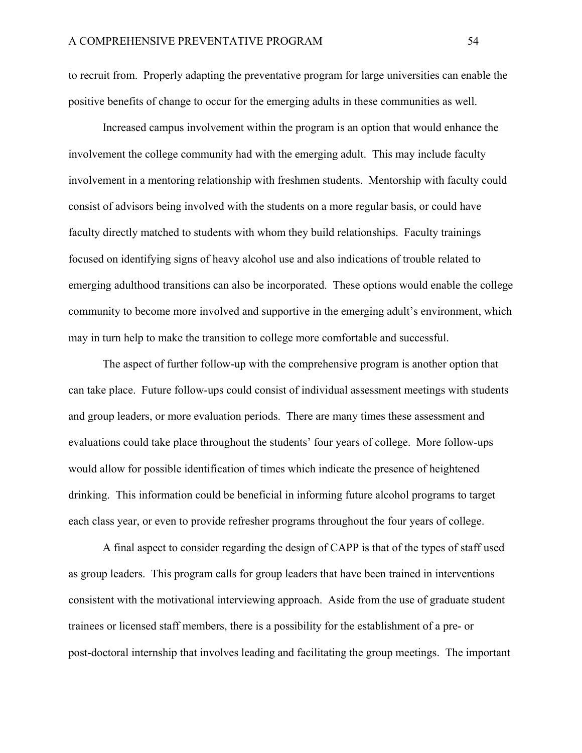to recruit from. Properly adapting the preventative program for large universities can enable the positive benefits of change to occur for the emerging adults in these communities as well.

Increased campus involvement within the program is an option that would enhance the involvement the college community had with the emerging adult. This may include faculty involvement in a mentoring relationship with freshmen students. Mentorship with faculty could consist of advisors being involved with the students on a more regular basis, or could have faculty directly matched to students with whom they build relationships. Faculty trainings focused on identifying signs of heavy alcohol use and also indications of trouble related to emerging adulthood transitions can also be incorporated. These options would enable the college community to become more involved and supportive in the emerging adult's environment, which may in turn help to make the transition to college more comfortable and successful.

 The aspect of further follow-up with the comprehensive program is another option that can take place. Future follow-ups could consist of individual assessment meetings with students and group leaders, or more evaluation periods. There are many times these assessment and evaluations could take place throughout the students' four years of college. More follow-ups would allow for possible identification of times which indicate the presence of heightened drinking. This information could be beneficial in informing future alcohol programs to target each class year, or even to provide refresher programs throughout the four years of college.

 A final aspect to consider regarding the design of CAPP is that of the types of staff used as group leaders. This program calls for group leaders that have been trained in interventions consistent with the motivational interviewing approach. Aside from the use of graduate student trainees or licensed staff members, there is a possibility for the establishment of a pre- or post-doctoral internship that involves leading and facilitating the group meetings. The important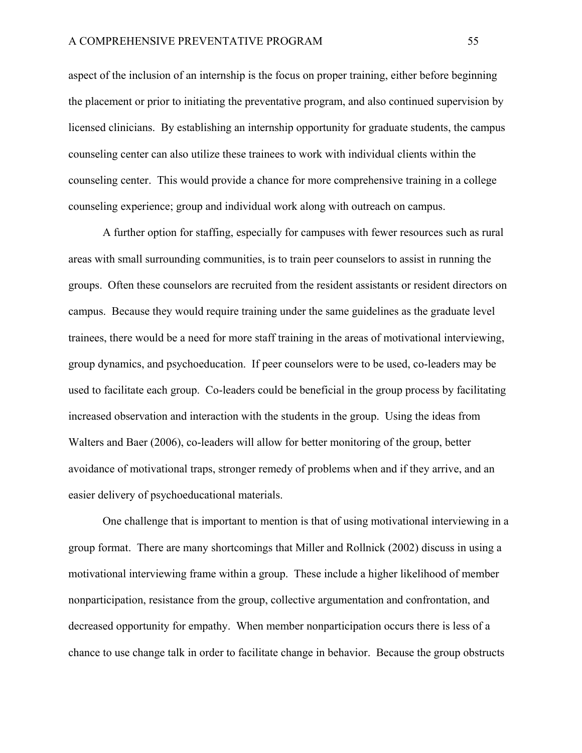aspect of the inclusion of an internship is the focus on proper training, either before beginning the placement or prior to initiating the preventative program, and also continued supervision by licensed clinicians. By establishing an internship opportunity for graduate students, the campus counseling center can also utilize these trainees to work with individual clients within the counseling center. This would provide a chance for more comprehensive training in a college counseling experience; group and individual work along with outreach on campus.

A further option for staffing, especially for campuses with fewer resources such as rural areas with small surrounding communities, is to train peer counselors to assist in running the groups. Often these counselors are recruited from the resident assistants or resident directors on campus. Because they would require training under the same guidelines as the graduate level trainees, there would be a need for more staff training in the areas of motivational interviewing, group dynamics, and psychoeducation. If peer counselors were to be used, co-leaders may be used to facilitate each group. Co-leaders could be beneficial in the group process by facilitating increased observation and interaction with the students in the group. Using the ideas from Walters and Baer (2006), co-leaders will allow for better monitoring of the group, better avoidance of motivational traps, stronger remedy of problems when and if they arrive, and an easier delivery of psychoeducational materials.

 One challenge that is important to mention is that of using motivational interviewing in a group format. There are many shortcomings that Miller and Rollnick (2002) discuss in using a motivational interviewing frame within a group. These include a higher likelihood of member nonparticipation, resistance from the group, collective argumentation and confrontation, and decreased opportunity for empathy. When member nonparticipation occurs there is less of a chance to use change talk in order to facilitate change in behavior. Because the group obstructs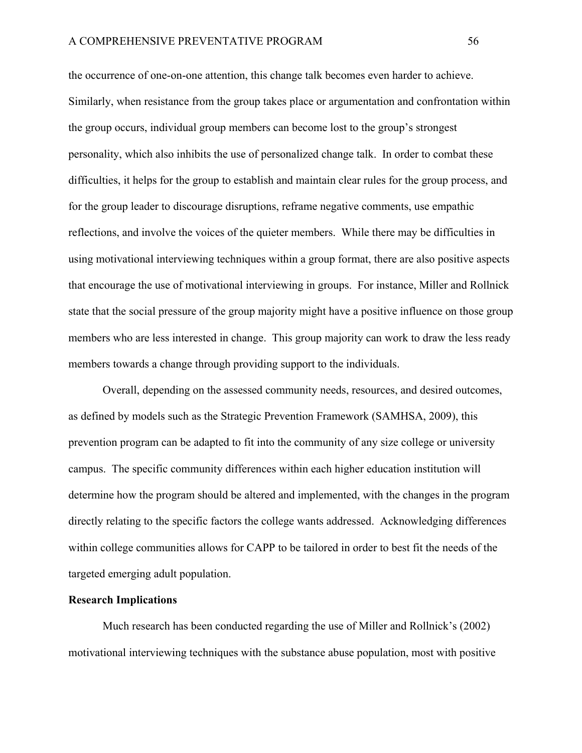the occurrence of one-on-one attention, this change talk becomes even harder to achieve. Similarly, when resistance from the group takes place or argumentation and confrontation within the group occurs, individual group members can become lost to the group's strongest personality, which also inhibits the use of personalized change talk. In order to combat these difficulties, it helps for the group to establish and maintain clear rules for the group process, and for the group leader to discourage disruptions, reframe negative comments, use empathic reflections, and involve the voices of the quieter members. While there may be difficulties in using motivational interviewing techniques within a group format, there are also positive aspects that encourage the use of motivational interviewing in groups. For instance, Miller and Rollnick state that the social pressure of the group majority might have a positive influence on those group members who are less interested in change. This group majority can work to draw the less ready members towards a change through providing support to the individuals.

Overall, depending on the assessed community needs, resources, and desired outcomes, as defined by models such as the Strategic Prevention Framework (SAMHSA, 2009), this prevention program can be adapted to fit into the community of any size college or university campus. The specific community differences within each higher education institution will determine how the program should be altered and implemented, with the changes in the program directly relating to the specific factors the college wants addressed. Acknowledging differences within college communities allows for CAPP to be tailored in order to best fit the needs of the targeted emerging adult population.

### **Research Implications**

 Much research has been conducted regarding the use of Miller and Rollnick's (2002) motivational interviewing techniques with the substance abuse population, most with positive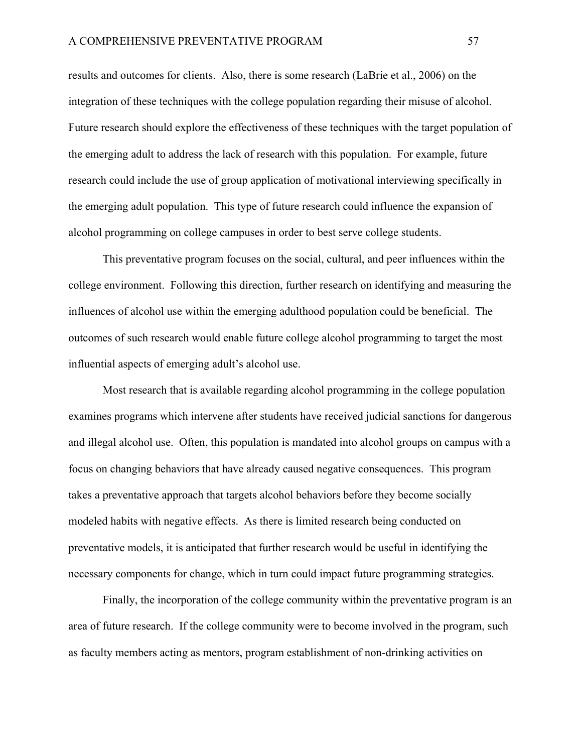results and outcomes for clients. Also, there is some research (LaBrie et al., 2006) on the integration of these techniques with the college population regarding their misuse of alcohol. Future research should explore the effectiveness of these techniques with the target population of the emerging adult to address the lack of research with this population. For example, future research could include the use of group application of motivational interviewing specifically in the emerging adult population. This type of future research could influence the expansion of alcohol programming on college campuses in order to best serve college students.

This preventative program focuses on the social, cultural, and peer influences within the college environment. Following this direction, further research on identifying and measuring the influences of alcohol use within the emerging adulthood population could be beneficial. The outcomes of such research would enable future college alcohol programming to target the most influential aspects of emerging adult's alcohol use.

 Most research that is available regarding alcohol programming in the college population examines programs which intervene after students have received judicial sanctions for dangerous and illegal alcohol use. Often, this population is mandated into alcohol groups on campus with a focus on changing behaviors that have already caused negative consequences. This program takes a preventative approach that targets alcohol behaviors before they become socially modeled habits with negative effects. As there is limited research being conducted on preventative models, it is anticipated that further research would be useful in identifying the necessary components for change, which in turn could impact future programming strategies.

 Finally, the incorporation of the college community within the preventative program is an area of future research. If the college community were to become involved in the program, such as faculty members acting as mentors, program establishment of non-drinking activities on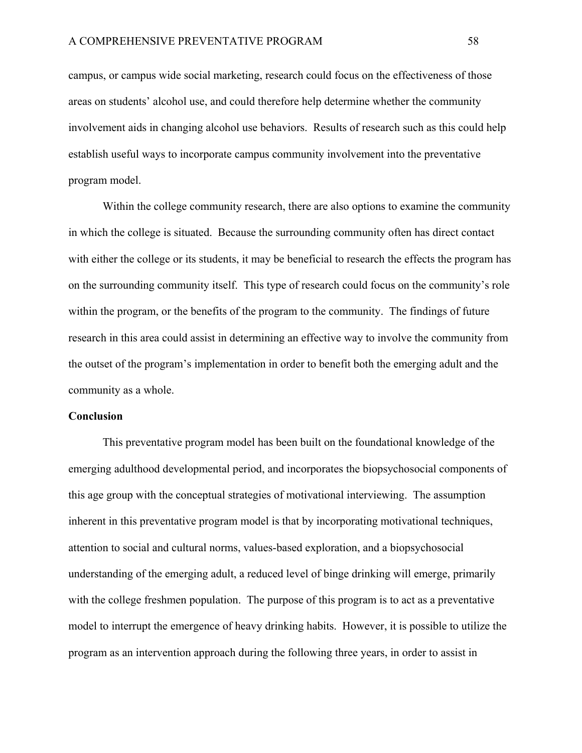campus, or campus wide social marketing, research could focus on the effectiveness of those areas on students' alcohol use, and could therefore help determine whether the community involvement aids in changing alcohol use behaviors. Results of research such as this could help establish useful ways to incorporate campus community involvement into the preventative program model.

 Within the college community research, there are also options to examine the community in which the college is situated. Because the surrounding community often has direct contact with either the college or its students, it may be beneficial to research the effects the program has on the surrounding community itself. This type of research could focus on the community's role within the program, or the benefits of the program to the community. The findings of future research in this area could assist in determining an effective way to involve the community from the outset of the program's implementation in order to benefit both the emerging adult and the community as a whole.

# **Conclusion**

This preventative program model has been built on the foundational knowledge of the emerging adulthood developmental period, and incorporates the biopsychosocial components of this age group with the conceptual strategies of motivational interviewing. The assumption inherent in this preventative program model is that by incorporating motivational techniques, attention to social and cultural norms, values-based exploration, and a biopsychosocial understanding of the emerging adult, a reduced level of binge drinking will emerge, primarily with the college freshmen population. The purpose of this program is to act as a preventative model to interrupt the emergence of heavy drinking habits. However, it is possible to utilize the program as an intervention approach during the following three years, in order to assist in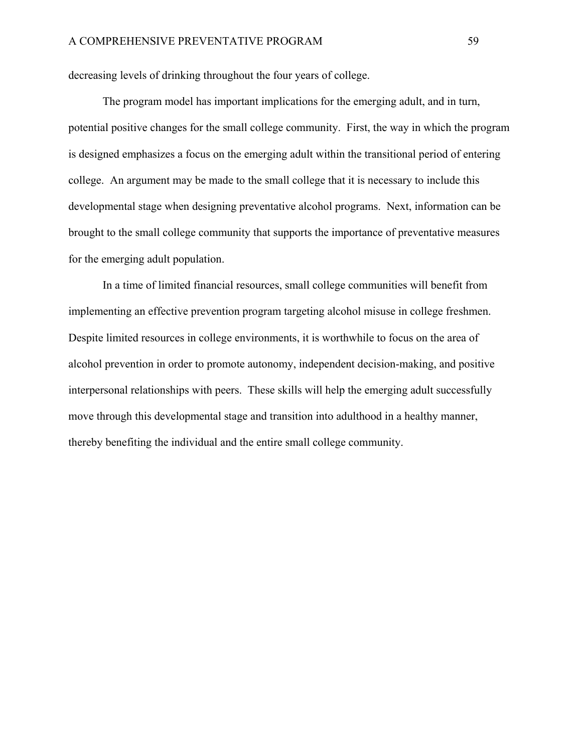decreasing levels of drinking throughout the four years of college.

The program model has important implications for the emerging adult, and in turn, potential positive changes for the small college community. First, the way in which the program is designed emphasizes a focus on the emerging adult within the transitional period of entering college. An argument may be made to the small college that it is necessary to include this developmental stage when designing preventative alcohol programs. Next, information can be brought to the small college community that supports the importance of preventative measures for the emerging adult population.

In a time of limited financial resources, small college communities will benefit from implementing an effective prevention program targeting alcohol misuse in college freshmen. Despite limited resources in college environments, it is worthwhile to focus on the area of alcohol prevention in order to promote autonomy, independent decision-making, and positive interpersonal relationships with peers. These skills will help the emerging adult successfully move through this developmental stage and transition into adulthood in a healthy manner, thereby benefiting the individual and the entire small college community.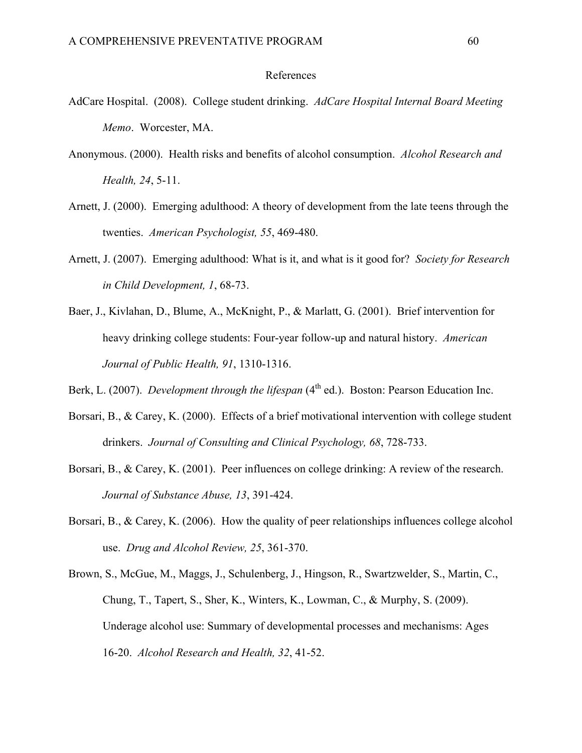### References

- AdCare Hospital. (2008). College student drinking. *AdCare Hospital Internal Board Meeting Memo*. Worcester, MA.
- Anonymous. (2000). Health risks and benefits of alcohol consumption. *Alcohol Research and Health, 24*, 5-11.
- Arnett, J. (2000). Emerging adulthood: A theory of development from the late teens through the twenties. *American Psychologist, 55*, 469-480.
- Arnett, J. (2007). Emerging adulthood: What is it, and what is it good for? *Society for Research in Child Development, 1*, 68-73.
- Baer, J., Kivlahan, D., Blume, A., McKnight, P., & Marlatt, G. (2001). Brief intervention for heavy drinking college students: Four-year follow-up and natural history. *American Journal of Public Health, 91*, 1310-1316.
- Berk, L. (2007). *Development through the lifespan* (4<sup>th</sup> ed.). Boston: Pearson Education Inc.
- Borsari, B., & Carey, K. (2000). Effects of a brief motivational intervention with college student drinkers. *Journal of Consulting and Clinical Psychology, 68*, 728-733.
- Borsari, B., & Carey, K. (2001). Peer influences on college drinking: A review of the research. *Journal of Substance Abuse, 13*, 391-424.
- Borsari, B., & Carey, K. (2006). How the quality of peer relationships influences college alcohol use. *Drug and Alcohol Review, 25*, 361-370.
- Brown, S., McGue, M., Maggs, J., Schulenberg, J., Hingson, R., Swartzwelder, S., Martin, C., Chung, T., Tapert, S., Sher, K., Winters, K., Lowman, C., & Murphy, S. (2009). Underage alcohol use: Summary of developmental processes and mechanisms: Ages 16-20. *Alcohol Research and Health, 32*, 41-52.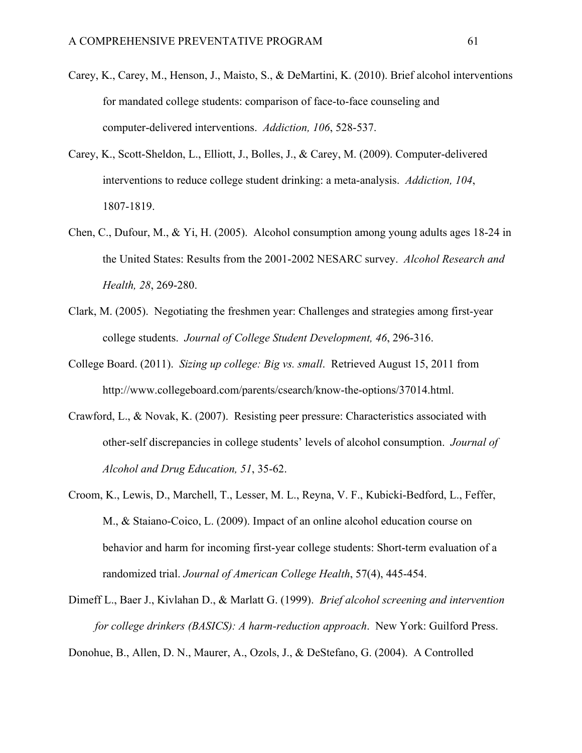- Carey, K., Carey, M., Henson, J., Maisto, S., & DeMartini, K. (2010). Brief alcohol interventions for mandated college students: comparison of face-to-face counseling and computer-delivered interventions. *Addiction, 106*, 528-537.
- Carey, K., Scott-Sheldon, L., Elliott, J., Bolles, J., & Carey, M. (2009). Computer-delivered interventions to reduce college student drinking: a meta-analysis. *Addiction, 104*, 1807-1819.
- Chen, C., Dufour, M., & Yi, H. (2005). Alcohol consumption among young adults ages 18-24 in the United States: Results from the 2001-2002 NESARC survey. *Alcohol Research and Health, 28*, 269-280.
- Clark, M. (2005). Negotiating the freshmen year: Challenges and strategies among first-year college students. *Journal of College Student Development, 46*, 296-316.
- College Board. (2011). *Sizing up college: Big vs. small*. Retrieved August 15, 2011 from http://www.collegeboard.com/parents/csearch/know-the-options/37014.html.
- Crawford, L., & Novak, K. (2007). Resisting peer pressure: Characteristics associated with other-self discrepancies in college students' levels of alcohol consumption. *Journal of Alcohol and Drug Education, 51*, 35-62.
- Croom, K., Lewis, D., Marchell, T., Lesser, M. L., Reyna, V. F., Kubicki-Bedford, L., Feffer, M., & Staiano-Coico, L. (2009). Impact of an online alcohol education course on behavior and harm for incoming first-year college students: Short-term evaluation of a randomized trial. *Journal of American College Health*, 57(4), 445-454.
- Dimeff L., Baer J., Kivlahan D., & Marlatt G. (1999). *Brief alcohol screening and intervention for college drinkers (BASICS): A harm-reduction approach*. New York: Guilford Press.

Donohue, B., Allen, D. N., Maurer, A., Ozols, J., & DeStefano, G. (2004). A Controlled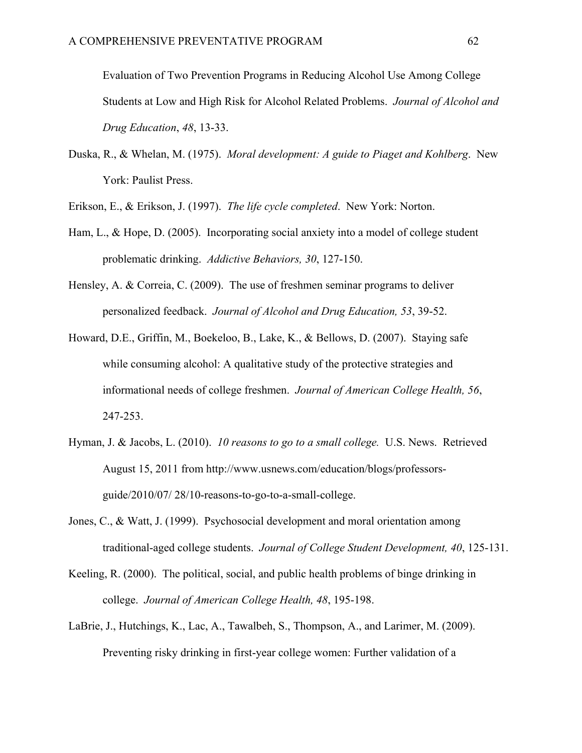Evaluation of Two Prevention Programs in Reducing Alcohol Use Among College Students at Low and High Risk for Alcohol Related Problems. *Journal of Alcohol and Drug Education*, *48*, 13-33.

- Duska, R., & Whelan, M. (1975). *Moral development: A guide to Piaget and Kohlberg*. New York: Paulist Press.
- Erikson, E., & Erikson, J. (1997). *The life cycle completed*. New York: Norton.
- Ham, L., & Hope, D. (2005). Incorporating social anxiety into a model of college student problematic drinking. *Addictive Behaviors, 30*, 127-150.
- Hensley, A. & Correia, C. (2009). The use of freshmen seminar programs to deliver personalized feedback. *Journal of Alcohol and Drug Education, 53*, 39-52.
- Howard, D.E., Griffin, M., Boekeloo, B., Lake, K., & Bellows, D. (2007). Staying safe while consuming alcohol: A qualitative study of the protective strategies and informational needs of college freshmen. *Journal of American College Health, 56*, 247-253.
- Hyman, J. & Jacobs, L. (2010). *10 reasons to go to a small college.* U.S. News. Retrieved August 15, 2011 from http://www.usnews.com/education/blogs/professorsguide/2010/07/ 28/10-reasons-to-go-to-a-small-college.
- Jones, C., & Watt, J. (1999). Psychosocial development and moral orientation among traditional-aged college students. *Journal of College Student Development, 40*, 125-131.
- Keeling, R. (2000). The political, social, and public health problems of binge drinking in college. *Journal of American College Health, 48*, 195-198.
- LaBrie, J., Hutchings, K., Lac, A., Tawalbeh, S., Thompson, A., and Larimer, M. (2009). Preventing risky drinking in first-year college women: Further validation of a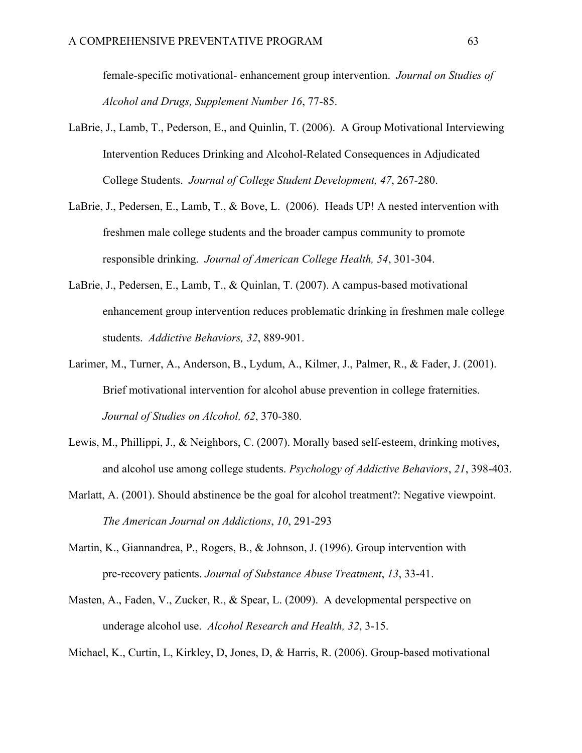female-specific motivational- enhancement group intervention. *Journal on Studies of Alcohol and Drugs, Supplement Number 16*, 77-85.

- LaBrie, J., Lamb, T., Pederson, E., and Quinlin, T. (2006). A Group Motivational Interviewing Intervention Reduces Drinking and Alcohol-Related Consequences in Adjudicated College Students. *Journal of College Student Development, 47*, 267-280.
- LaBrie, J., Pedersen, E., Lamb, T., & Bove, L. (2006). Heads UP! A nested intervention with freshmen male college students and the broader campus community to promote responsible drinking. *Journal of American College Health, 54*, 301-304.
- LaBrie, J., Pedersen, E., Lamb, T., & Quinlan, T. (2007). A campus-based motivational enhancement group intervention reduces problematic drinking in freshmen male college students. *Addictive Behaviors, 32*, 889-901.
- Larimer, M., Turner, A., Anderson, B., Lydum, A., Kilmer, J., Palmer, R., & Fader, J. (2001). Brief motivational intervention for alcohol abuse prevention in college fraternities. *Journal of Studies on Alcohol, 62*, 370-380.
- Lewis, M., Phillippi, J., & Neighbors, C. (2007). Morally based self-esteem, drinking motives, and alcohol use among college students. *Psychology of Addictive Behaviors*, *21*, 398-403.
- Marlatt, A. (2001). Should abstinence be the goal for alcohol treatment?: Negative viewpoint. *The American Journal on Addictions*, *10*, 291-293
- Martin, K., Giannandrea, P., Rogers, B., & Johnson, J. (1996). Group intervention with pre-recovery patients. *Journal of Substance Abuse Treatment*, *13*, 33-41.
- Masten, A., Faden, V., Zucker, R., & Spear, L. (2009). A developmental perspective on underage alcohol use. *Alcohol Research and Health, 32*, 3-15.

Michael, K., Curtin, L, Kirkley, D, Jones, D, & Harris, R. (2006). Group-based motivational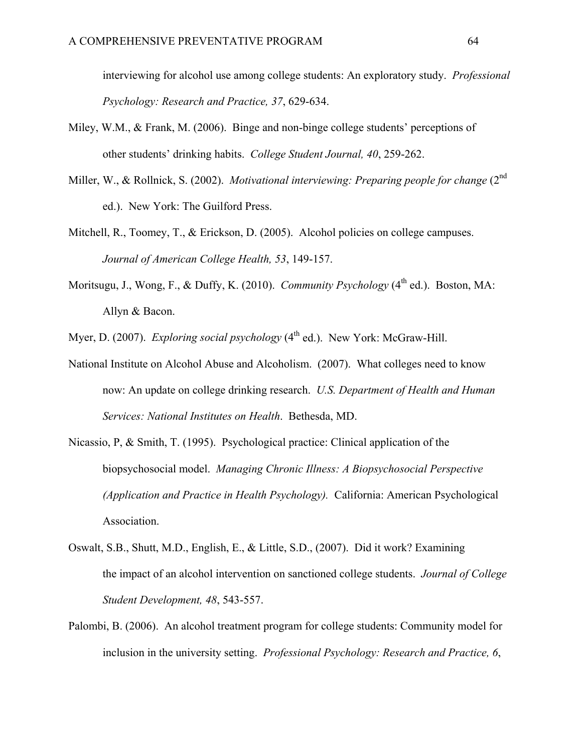interviewing for alcohol use among college students: An exploratory study. *Professional Psychology: Research and Practice, 37*, 629-634.

- Miley, W.M., & Frank, M. (2006). Binge and non-binge college students' perceptions of other students' drinking habits. *College Student Journal, 40*, 259-262.
- Miller, W., & Rollnick, S. (2002). *Motivational interviewing: Preparing people for change* (2<sup>nd</sup>) ed.). New York: The Guilford Press.
- Mitchell, R., Toomey, T., & Erickson, D. (2005). Alcohol policies on college campuses. *Journal of American College Health, 53*, 149-157.
- Moritsugu, J., Wong, F., & Duffy, K. (2010). *Community Psychology* (4<sup>th</sup> ed.). Boston, MA: Allyn & Bacon.

Myer, D. (2007). *Exploring social psychology* (4<sup>th</sup> ed.). New York: McGraw-Hill.

- National Institute on Alcohol Abuse and Alcoholism. (2007). What colleges need to know now: An update on college drinking research. *U.S. Department of Health and Human Services: National Institutes on Health*. Bethesda, MD.
- Nicassio, P, & Smith, T. (1995). Psychological practice: Clinical application of the biopsychosocial model. *Managing Chronic Illness: A Biopsychosocial Perspective (Application and Practice in Health Psychology).* California: American Psychological Association.
- Oswalt, S.B., Shutt, M.D., English, E., & Little, S.D., (2007). Did it work? Examining the impact of an alcohol intervention on sanctioned college students. *Journal of College Student Development, 48*, 543-557.
- Palombi, B. (2006). An alcohol treatment program for college students: Community model for inclusion in the university setting. *Professional Psychology: Research and Practice, 6*,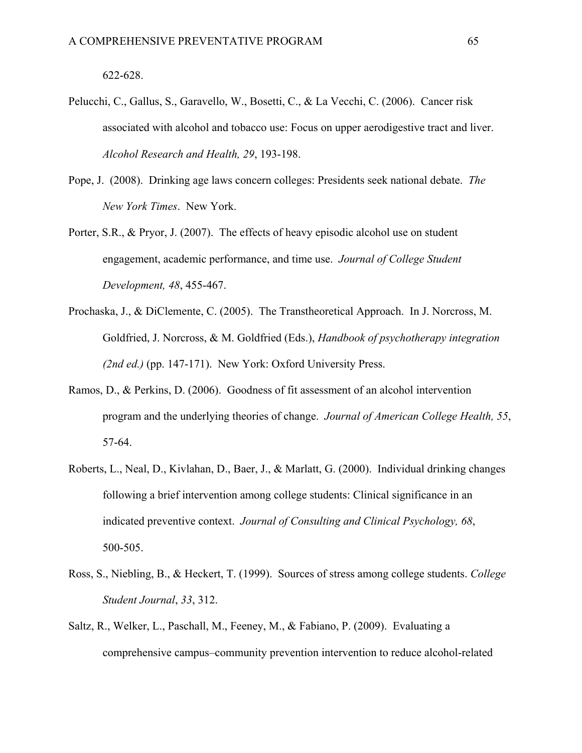622-628.

- Pelucchi, C., Gallus, S., Garavello, W., Bosetti, C., & La Vecchi, C. (2006). Cancer risk associated with alcohol and tobacco use: Focus on upper aerodigestive tract and liver. *Alcohol Research and Health, 29*, 193-198.
- Pope, J. (2008). Drinking age laws concern colleges: Presidents seek national debate. *The New York Times*. New York.
- Porter, S.R., & Pryor, J. (2007). The effects of heavy episodic alcohol use on student engagement, academic performance, and time use. *Journal of College Student Development, 48*, 455-467.
- Prochaska, J., & DiClemente, C. (2005). The Transtheoretical Approach. In J. Norcross, M. Goldfried, J. Norcross, & M. Goldfried (Eds.), *Handbook of psychotherapy integration (2nd ed.)* (pp. 147-171). New York: Oxford University Press.
- Ramos, D., & Perkins, D. (2006). Goodness of fit assessment of an alcohol intervention program and the underlying theories of change. *Journal of American College Health, 55*, 57-64.
- Roberts, L., Neal, D., Kivlahan, D., Baer, J., & Marlatt, G. (2000). Individual drinking changes following a brief intervention among college students: Clinical significance in an indicated preventive context. *Journal of Consulting and Clinical Psychology, 68*, 500-505.
- Ross, S., Niebling, B., & Heckert, T. (1999). Sources of stress among college students. *College Student Journal*, *33*, 312.
- Saltz, R., Welker, L., Paschall, M., Feeney, M., & Fabiano, P. (2009). Evaluating a comprehensive campus–community prevention intervention to reduce alcohol-related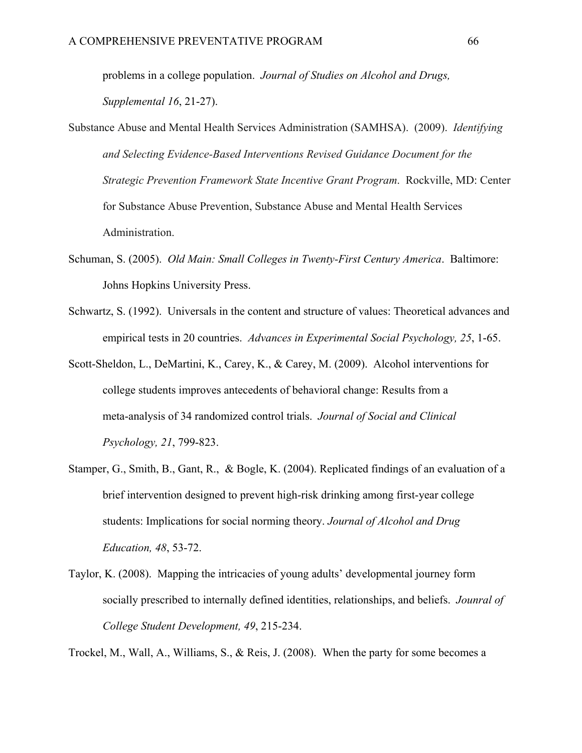problems in a college population. *Journal of Studies on Alcohol and Drugs, Supplemental 16*, 21-27).

- Substance Abuse and Mental Health Services Administration (SAMHSA). (2009). *Identifying and Selecting Evidence-Based Interventions Revised Guidance Document for the Strategic Prevention Framework State Incentive Grant Program*. Rockville, MD: Center for Substance Abuse Prevention, Substance Abuse and Mental Health Services Administration.
- Schuman, S. (2005). *Old Main: Small Colleges in Twenty-First Century America*. Baltimore: Johns Hopkins University Press.
- Schwartz, S. (1992). Universals in the content and structure of values: Theoretical advances and empirical tests in 20 countries. *Advances in Experimental Social Psychology, 25*, 1-65.
- Scott-Sheldon, L., DeMartini, K., Carey, K., & Carey, M. (2009). Alcohol interventions for college students improves antecedents of behavioral change: Results from a meta-analysis of 34 randomized control trials. *Journal of Social and Clinical Psychology, 21*, 799-823.
- Stamper, G., Smith, B., Gant, R., & Bogle, K. (2004). Replicated findings of an evaluation of a brief intervention designed to prevent high-risk drinking among first-year college students: Implications for social norming theory. *Journal of Alcohol and Drug Education, 48*, 53-72.
- Taylor, K. (2008). Mapping the intricacies of young adults' developmental journey form socially prescribed to internally defined identities, relationships, and beliefs. *Jounral of College Student Development, 49*, 215-234.

Trockel, M., Wall, A., Williams, S., & Reis, J. (2008). When the party for some becomes a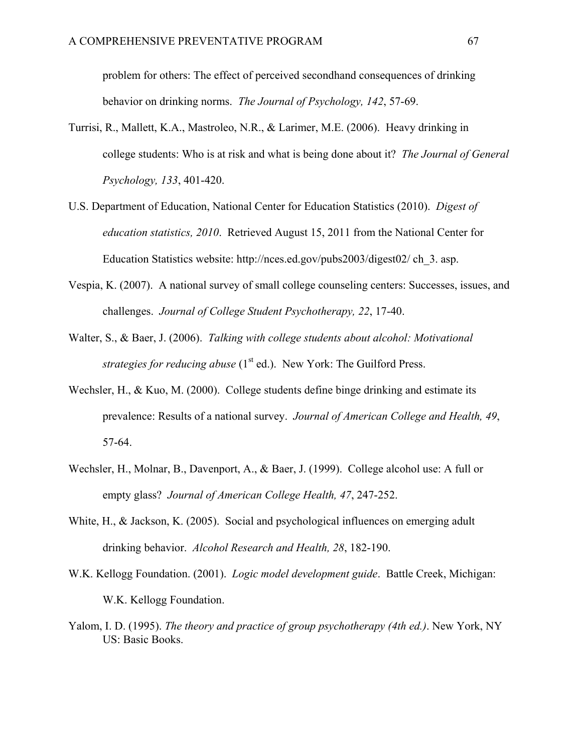problem for others: The effect of perceived secondhand consequences of drinking behavior on drinking norms. *The Journal of Psychology, 142*, 57-69.

- Turrisi, R., Mallett, K.A., Mastroleo, N.R., & Larimer, M.E. (2006). Heavy drinking in college students: Who is at risk and what is being done about it? *The Journal of General Psychology, 133*, 401-420.
- U.S. Department of Education, National Center for Education Statistics (2010). *Digest of education statistics, 2010*. Retrieved August 15, 2011 from the National Center for Education Statistics website: http://nces.ed.gov/pubs2003/digest02/ ch\_3. asp.
- Vespia, K. (2007). A national survey of small college counseling centers: Successes, issues, and challenges. *Journal of College Student Psychotherapy, 22*, 17-40.
- Walter, S., & Baer, J. (2006). *Talking with college students about alcohol: Motivational strategies for reducing abuse* (1<sup>st</sup> ed.). New York: The Guilford Press.
- Wechsler, H., & Kuo, M. (2000). College students define binge drinking and estimate its prevalence: Results of a national survey. *Journal of American College and Health, 49*, 57-64.
- Wechsler, H., Molnar, B., Davenport, A., & Baer, J. (1999). College alcohol use: A full or empty glass? *Journal of American College Health, 47*, 247-252.
- White, H., & Jackson, K. (2005). Social and psychological influences on emerging adult drinking behavior. *Alcohol Research and Health, 28*, 182-190.
- W.K. Kellogg Foundation. (2001). *Logic model development guide*. Battle Creek, Michigan: W.K. Kellogg Foundation.
- Yalom, I. D. (1995). *The theory and practice of group psychotherapy (4th ed.)*. New York, NY US: Basic Books.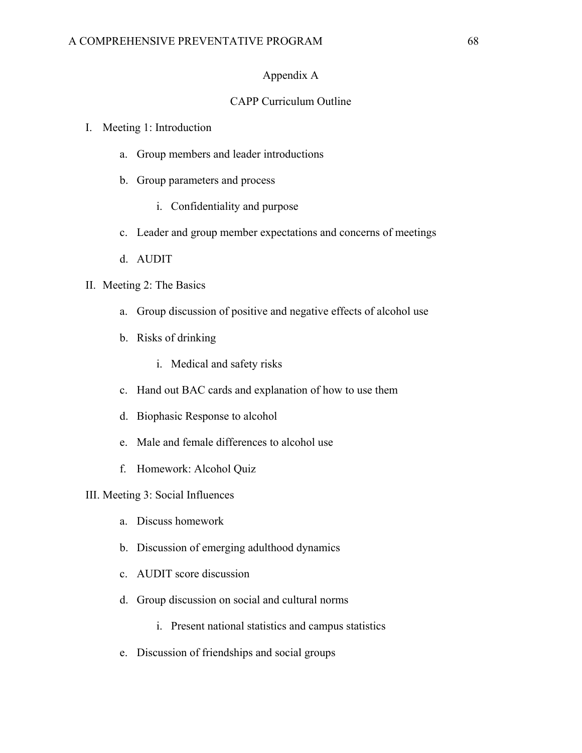### Appendix A

### CAPP Curriculum Outline

- I. Meeting 1: Introduction
	- a. Group members and leader introductions
	- b. Group parameters and process
		- i. Confidentiality and purpose
	- c. Leader and group member expectations and concerns of meetings
	- d. AUDIT

### II. Meeting 2: The Basics

- a. Group discussion of positive and negative effects of alcohol use
- b. Risks of drinking
	- i. Medical and safety risks
- c. Hand out BAC cards and explanation of how to use them
- d. Biophasic Response to alcohol
- e. Male and female differences to alcohol use
- f. Homework: Alcohol Quiz

#### III. Meeting 3: Social Influences

- a. Discuss homework
- b. Discussion of emerging adulthood dynamics
- c. AUDIT score discussion
- d. Group discussion on social and cultural norms
	- i. Present national statistics and campus statistics
- e. Discussion of friendships and social groups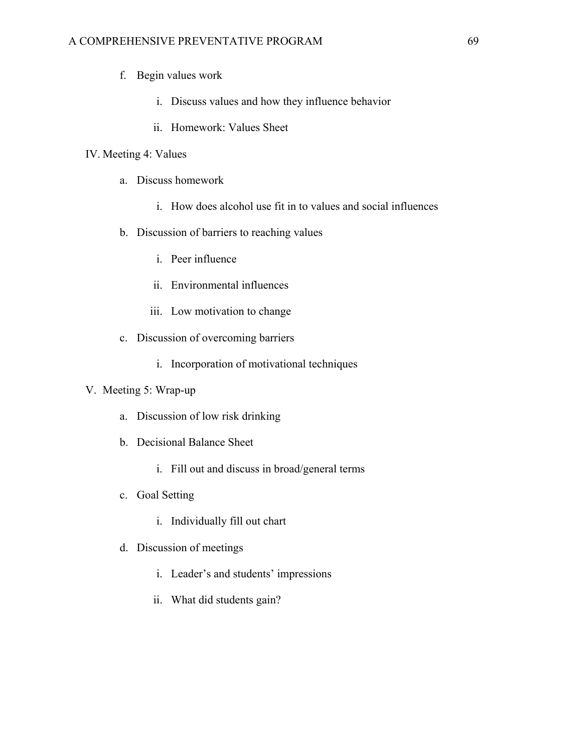- f. Begin values work
	- i. Discuss values and how they influence behavior
	- ii. Homework: Values Sheet

### IV. Meeting 4: Values

- a. Discuss homework
	- i. How does alcohol use fit in to values and social influences
- b. Discussion of barriers to reaching values
	- i. Peer influence
	- ii. Environmental influences
	- iii. Low motivation to change
- c. Discussion of overcoming barriers
	- i. Incorporation of motivational techniques

### V. Meeting 5: Wrap-up

- a. Discussion of low risk drinking
- b. Decisional Balance Sheet
	- i. Fill out and discuss in broad/general terms
- c. Goal Setting
	- i. Individually fill out chart
- d. Discussion of meetings
	- i. Leader's and students' impressions
	- ii. What did students gain?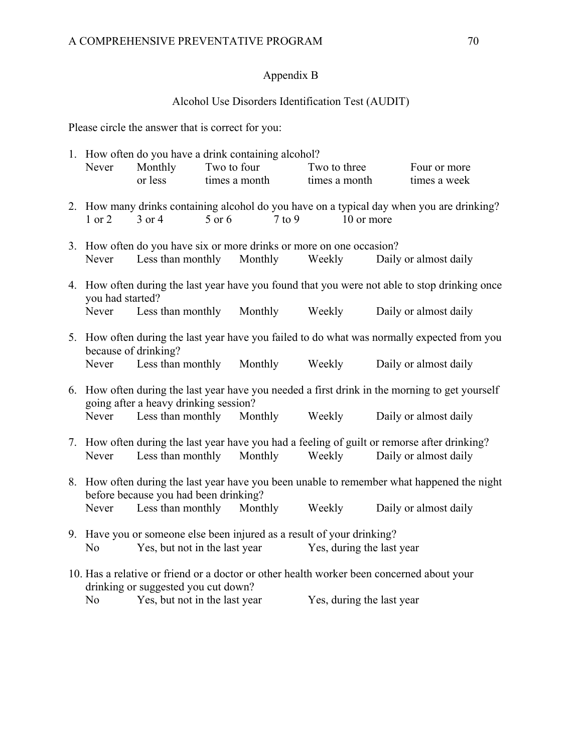# Appendix B

# Alcohol Use Disorders Identification Test (AUDIT)

Please circle the answer that is correct for you:

|                                                                                                                                                     |                                                                                                                                         | 1. How often do you have a drink containing alcohol?                                       |             |               |                           |  |                                                                                              |  |  |  |
|-----------------------------------------------------------------------------------------------------------------------------------------------------|-----------------------------------------------------------------------------------------------------------------------------------------|--------------------------------------------------------------------------------------------|-------------|---------------|---------------------------|--|----------------------------------------------------------------------------------------------|--|--|--|
|                                                                                                                                                     | Never                                                                                                                                   | Monthly                                                                                    | Two to four |               | Two to three              |  | Four or more                                                                                 |  |  |  |
|                                                                                                                                                     |                                                                                                                                         | or less                                                                                    |             | times a month | times a month             |  | times a week                                                                                 |  |  |  |
|                                                                                                                                                     |                                                                                                                                         |                                                                                            |             |               |                           |  |                                                                                              |  |  |  |
| 2. How many drinks containing alcohol do you have on a typical day when you are drinking?<br>5 or 6<br>$7$ to $9$<br>1 or 2<br>3 or 4<br>10 or more |                                                                                                                                         |                                                                                            |             |               |                           |  |                                                                                              |  |  |  |
|                                                                                                                                                     |                                                                                                                                         |                                                                                            |             |               |                           |  |                                                                                              |  |  |  |
|                                                                                                                                                     | 3. How often do you have six or more drinks or more on one occasion?                                                                    |                                                                                            |             |               |                           |  |                                                                                              |  |  |  |
|                                                                                                                                                     | Never                                                                                                                                   | Less than monthly                                                                          |             | Monthly       | Weekly                    |  | Daily or almost daily                                                                        |  |  |  |
|                                                                                                                                                     |                                                                                                                                         |                                                                                            |             |               |                           |  |                                                                                              |  |  |  |
| 4. How often during the last year have you found that you were not able to stop drinking once<br>you had started?                                   |                                                                                                                                         |                                                                                            |             |               |                           |  |                                                                                              |  |  |  |
|                                                                                                                                                     | Never                                                                                                                                   | Less than monthly                                                                          |             | Monthly       | Weekly                    |  | Daily or almost daily                                                                        |  |  |  |
|                                                                                                                                                     |                                                                                                                                         |                                                                                            |             |               |                           |  |                                                                                              |  |  |  |
|                                                                                                                                                     |                                                                                                                                         | because of drinking?                                                                       |             |               |                           |  | 5. How often during the last year have you failed to do what was normally expected from you  |  |  |  |
|                                                                                                                                                     |                                                                                                                                         | Never Less than monthly Monthly                                                            |             |               | Weekly                    |  | Daily or almost daily                                                                        |  |  |  |
|                                                                                                                                                     |                                                                                                                                         |                                                                                            |             |               |                           |  |                                                                                              |  |  |  |
|                                                                                                                                                     | 6. How often during the last year have you needed a first drink in the morning to get yourself<br>going after a heavy drinking session? |                                                                                            |             |               |                           |  |                                                                                              |  |  |  |
|                                                                                                                                                     | Never                                                                                                                                   | Less than monthly Monthly                                                                  |             |               | Weekly                    |  | Daily or almost daily                                                                        |  |  |  |
|                                                                                                                                                     |                                                                                                                                         |                                                                                            |             |               |                           |  | 7. How often during the last year have you had a feeling of guilt or remorse after drinking? |  |  |  |
|                                                                                                                                                     | Never                                                                                                                                   | Less than monthly                                                                          |             | Monthly       | Weekly                    |  | Daily or almost daily                                                                        |  |  |  |
|                                                                                                                                                     |                                                                                                                                         |                                                                                            |             |               |                           |  |                                                                                              |  |  |  |
|                                                                                                                                                     |                                                                                                                                         | 8. How often during the last year have you been unable to remember what happened the night |             |               |                           |  |                                                                                              |  |  |  |
|                                                                                                                                                     | before because you had been drinking?                                                                                                   |                                                                                            |             |               |                           |  |                                                                                              |  |  |  |
|                                                                                                                                                     | Never                                                                                                                                   | Less than monthly Monthly                                                                  |             |               | Weekly                    |  | Daily or almost daily                                                                        |  |  |  |
| 9. Have you or someone else been injured as a result of your drinking?                                                                              |                                                                                                                                         |                                                                                            |             |               |                           |  |                                                                                              |  |  |  |
|                                                                                                                                                     | N <sub>0</sub>                                                                                                                          | Yes, but not in the last year                                                              |             |               | Yes, during the last year |  |                                                                                              |  |  |  |
|                                                                                                                                                     |                                                                                                                                         |                                                                                            |             |               |                           |  |                                                                                              |  |  |  |
|                                                                                                                                                     | 10. Has a relative or friend or a doctor or other health worker been concerned about your                                               |                                                                                            |             |               |                           |  |                                                                                              |  |  |  |
|                                                                                                                                                     | drinking or suggested you cut down?                                                                                                     |                                                                                            |             |               |                           |  |                                                                                              |  |  |  |
|                                                                                                                                                     | N <sub>0</sub>                                                                                                                          | Yes, but not in the last year                                                              |             |               | Yes, during the last year |  |                                                                                              |  |  |  |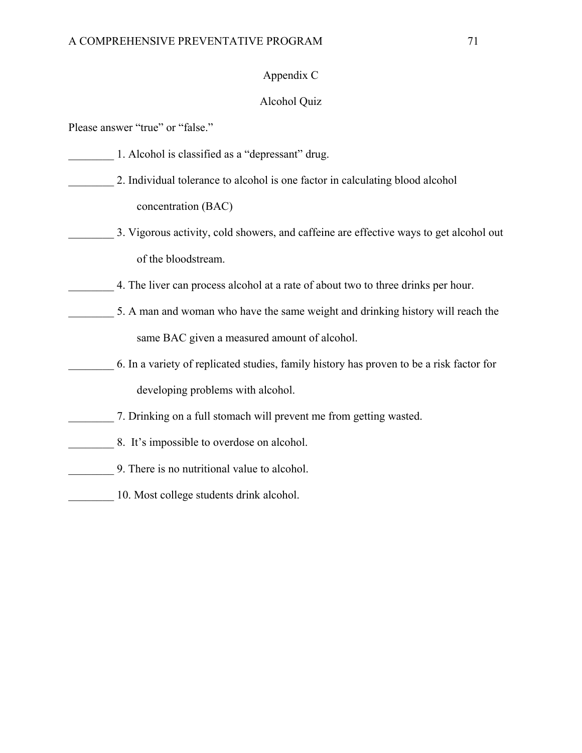### Appendix C

### Alcohol Quiz

Please answer "true" or "false."

- 1. Alcohol is classified as a "depressant" drug.
	- 2. Individual tolerance to alcohol is one factor in calculating blood alcohol concentration (BAC)
- \_\_\_\_\_\_\_\_ 3. Vigorous activity, cold showers, and caffeine are effective ways to get alcohol out of the bloodstream.
	- 4. The liver can process alcohol at a rate of about two to three drinks per hour.
- 5. A man and woman who have the same weight and drinking history will reach the same BAC given a measured amount of alcohol.
- \_\_\_\_\_\_\_\_ 6. In a variety of replicated studies, family history has proven to be a risk factor for developing problems with alcohol.
- \_\_\_\_\_\_\_\_ 7. Drinking on a full stomach will prevent me from getting wasted.
- \_\_\_\_\_\_\_\_ 8. It's impossible to overdose on alcohol.
- 9. There is no nutritional value to alcohol.
- 10. Most college students drink alcohol.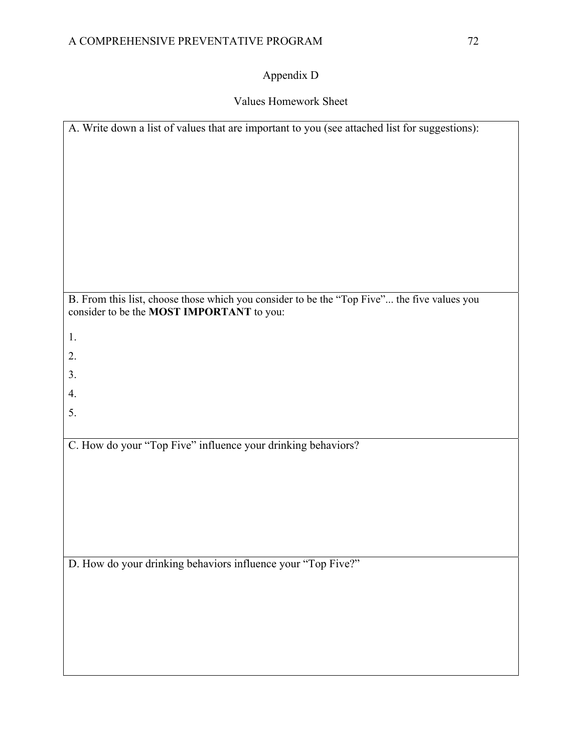# Appendix D

### Values Homework Sheet

| A. Write down a list of values that are important to you (see attached list for suggestions): |
|-----------------------------------------------------------------------------------------------|
|                                                                                               |
|                                                                                               |
|                                                                                               |
|                                                                                               |
|                                                                                               |
|                                                                                               |
|                                                                                               |
|                                                                                               |
|                                                                                               |
|                                                                                               |
|                                                                                               |
|                                                                                               |
| B. From this list, choose those which you consider to be the "Top Five" the five values you   |
| consider to be the MOST IMPORTANT to you:                                                     |
|                                                                                               |
| 1.                                                                                            |
|                                                                                               |
| 2.                                                                                            |
| 3.                                                                                            |
|                                                                                               |
| 4.                                                                                            |
| 5.                                                                                            |
|                                                                                               |
|                                                                                               |
| C. How do your "Top Five" influence your drinking behaviors?                                  |
|                                                                                               |
|                                                                                               |
|                                                                                               |
|                                                                                               |
|                                                                                               |
|                                                                                               |
|                                                                                               |
|                                                                                               |
| D. How do your drinking behaviors influence your "Top Five?"                                  |
|                                                                                               |
|                                                                                               |
|                                                                                               |
|                                                                                               |
|                                                                                               |
|                                                                                               |
|                                                                                               |
|                                                                                               |
|                                                                                               |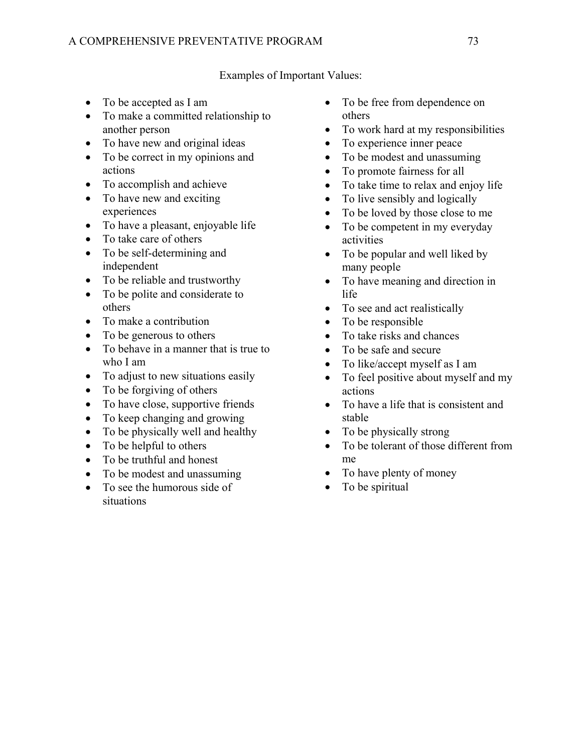### Examples of Important Values:

- To be accepted as I am
- To make a committed relationship to another person
- To have new and original ideas
- To be correct in my opinions and actions
- To accomplish and achieve
- To have new and exciting experiences
- To have a pleasant, enjoyable life
- To take care of others
- To be self-determining and independent
- To be reliable and trustworthy
- To be polite and considerate to others
- To make a contribution
- To be generous to others
- To behave in a manner that is true to who I am
- To adjust to new situations easily
- To be forgiving of others
- To have close, supportive friends
- To keep changing and growing
- To be physically well and healthy
- To be helpful to others
- To be truthful and honest
- To be modest and unassuming
- To see the humorous side of situations
- To be free from dependence on others
- To work hard at my responsibilities
- To experience inner peace
- To be modest and unassuming
- To promote fairness for all
- To take time to relax and enjoy life
- To live sensibly and logically
- To be loved by those close to me
- To be competent in my everyday activities
- To be popular and well liked by many people
- To have meaning and direction in life
- To see and act realistically
- To be responsible
- To take risks and chances
- To be safe and secure
- To like/accept myself as I am
- To feel positive about myself and my actions
- To have a life that is consistent and stable
- To be physically strong
- To be tolerant of those different from me
- To have plenty of money
- To be spiritual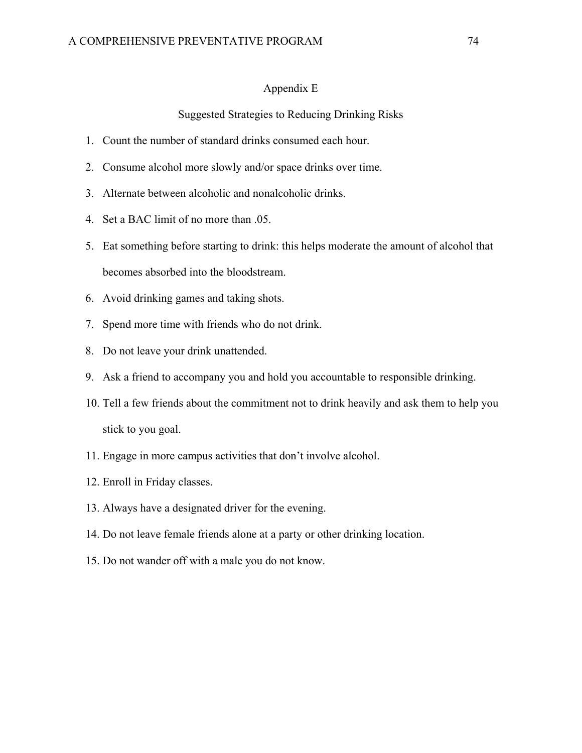### Appendix E

#### Suggested Strategies to Reducing Drinking Risks

- 1. Count the number of standard drinks consumed each hour.
- 2. Consume alcohol more slowly and/or space drinks over time.
- 3. Alternate between alcoholic and nonalcoholic drinks.
- 4. Set a BAC limit of no more than .05.
- 5. Eat something before starting to drink: this helps moderate the amount of alcohol that becomes absorbed into the bloodstream.
- 6. Avoid drinking games and taking shots.
- 7. Spend more time with friends who do not drink.
- 8. Do not leave your drink unattended.
- 9. Ask a friend to accompany you and hold you accountable to responsible drinking.
- 10. Tell a few friends about the commitment not to drink heavily and ask them to help you stick to you goal.
- 11. Engage in more campus activities that don't involve alcohol.
- 12. Enroll in Friday classes.
- 13. Always have a designated driver for the evening.
- 14. Do not leave female friends alone at a party or other drinking location.
- 15. Do not wander off with a male you do not know.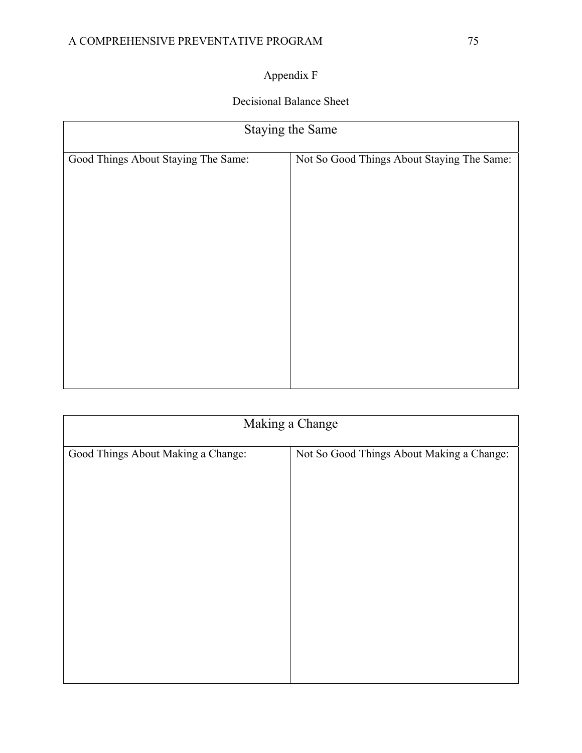# Appendix F

### Decisional Balance Sheet

| Staying the Same                           |  |  |  |  |  |  |  |
|--------------------------------------------|--|--|--|--|--|--|--|
| Not So Good Things About Staying The Same: |  |  |  |  |  |  |  |
|                                            |  |  |  |  |  |  |  |
|                                            |  |  |  |  |  |  |  |
|                                            |  |  |  |  |  |  |  |
|                                            |  |  |  |  |  |  |  |
|                                            |  |  |  |  |  |  |  |
|                                            |  |  |  |  |  |  |  |
|                                            |  |  |  |  |  |  |  |
|                                            |  |  |  |  |  |  |  |
|                                            |  |  |  |  |  |  |  |
|                                            |  |  |  |  |  |  |  |

| Not So Good Things About Making a Change: |
|-------------------------------------------|
|                                           |
|                                           |
|                                           |
|                                           |
|                                           |
|                                           |
|                                           |
|                                           |
|                                           |